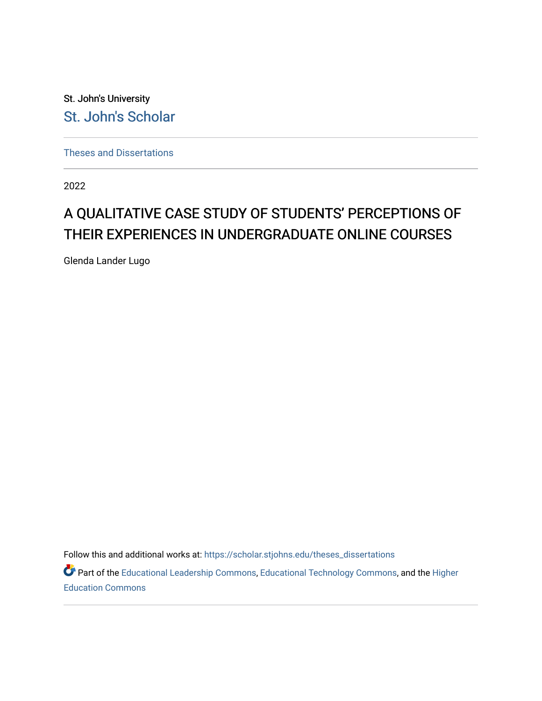St. John's University [St. John's Scholar](https://scholar.stjohns.edu/) 

[Theses and Dissertations](https://scholar.stjohns.edu/theses_dissertations)

2022

# A QUALITATIVE CASE STUDY OF STUDENTS' PERCEPTIONS OF THEIR EXPERIENCES IN UNDERGRADUATE ONLINE COURSES

Glenda Lander Lugo

Follow this and additional works at: [https://scholar.stjohns.edu/theses\\_dissertations](https://scholar.stjohns.edu/theses_dissertations?utm_source=scholar.stjohns.edu%2Ftheses_dissertations%2F411&utm_medium=PDF&utm_campaign=PDFCoverPages)

Part of the [Educational Leadership Commons,](https://network.bepress.com/hgg/discipline/1230?utm_source=scholar.stjohns.edu%2Ftheses_dissertations%2F411&utm_medium=PDF&utm_campaign=PDFCoverPages) [Educational Technology Commons,](https://network.bepress.com/hgg/discipline/1415?utm_source=scholar.stjohns.edu%2Ftheses_dissertations%2F411&utm_medium=PDF&utm_campaign=PDFCoverPages) and the [Higher](https://network.bepress.com/hgg/discipline/1245?utm_source=scholar.stjohns.edu%2Ftheses_dissertations%2F411&utm_medium=PDF&utm_campaign=PDFCoverPages)  [Education Commons](https://network.bepress.com/hgg/discipline/1245?utm_source=scholar.stjohns.edu%2Ftheses_dissertations%2F411&utm_medium=PDF&utm_campaign=PDFCoverPages)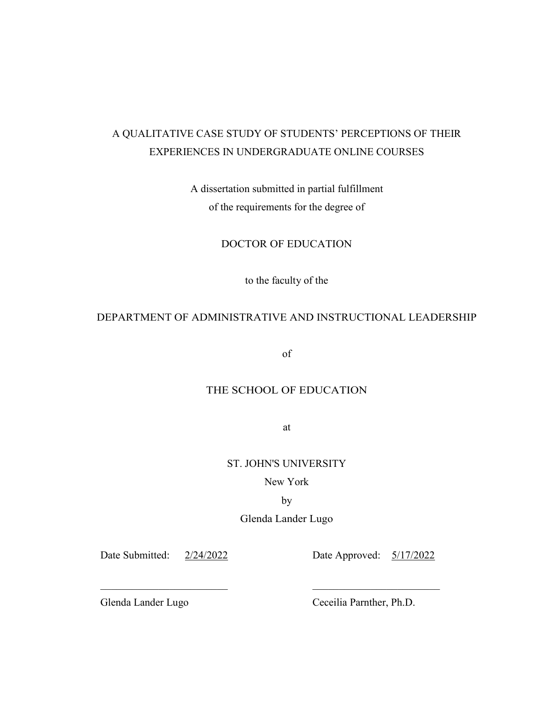# A QUALITATIVE CASE STUDY OF STUDENTS' PERCEPTIONS OF THEIR EXPERIENCES IN UNDERGRADUATE ONLINE COURSES

A dissertation submitted in partial fulfillment of the requirements for the degree of

DOCTOR OF EDUCATION

to the faculty of the

# DEPARTMENT OF ADMINISTRATIVE AND INSTRUCTIONAL LEADERSHIP

of

# THE SCHOOL OF EDUCATION

at

ST. JOHN'S UNIVERSITY

## New York

## by

## Glenda Lander Lugo

 $\mathcal{L}_\mathcal{L}$  , and the contribution of the contribution of  $\mathcal{L}_\mathcal{L}$ 

Date Submitted: 2/24/2022 Date Approved: 5/17/2022

Glenda Lander Lugo Ceceilia Parnther, Ph.D.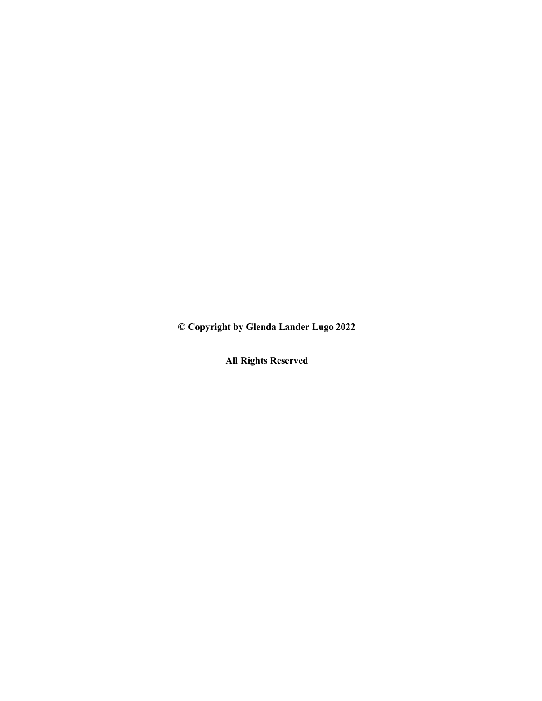**© Copyright by Glenda Lander Lugo 2022**

**All Rights Reserved**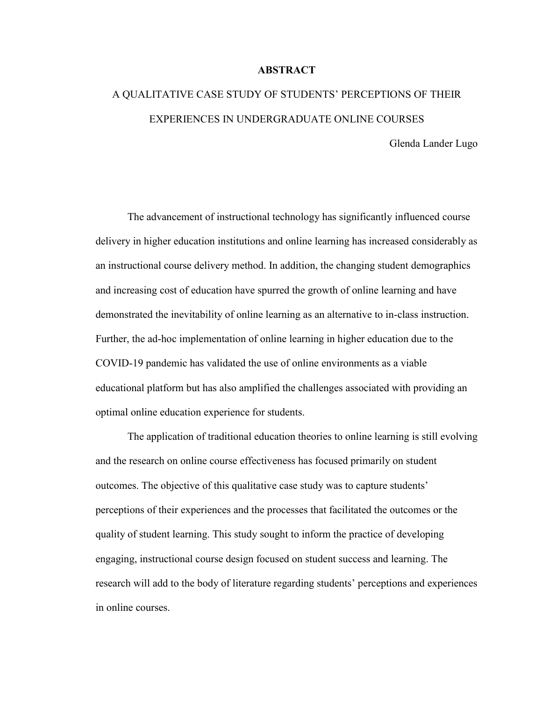#### **ABSTRACT**

# A QUALITATIVE CASE STUDY OF STUDENTS' PERCEPTIONS OF THEIR EXPERIENCES IN UNDERGRADUATE ONLINE COURSES Glenda Lander Lugo

The advancement of instructional technology has significantly influenced course delivery in higher education institutions and online learning has increased considerably as an instructional course delivery method. In addition, the changing student demographics and increasing cost of education have spurred the growth of online learning and have demonstrated the inevitability of online learning as an alternative to in-class instruction. Further, the ad-hoc implementation of online learning in higher education due to the COVID-19 pandemic has validated the use of online environments as a viable educational platform but has also amplified the challenges associated with providing an optimal online education experience for students.

The application of traditional education theories to online learning is still evolving and the research on online course effectiveness has focused primarily on student outcomes. The objective of this qualitative case study was to capture students' perceptions of their experiences and the processes that facilitated the outcomes or the quality of student learning. This study sought to inform the practice of developing engaging, instructional course design focused on student success and learning. The research will add to the body of literature regarding students' perceptions and experiences in online courses.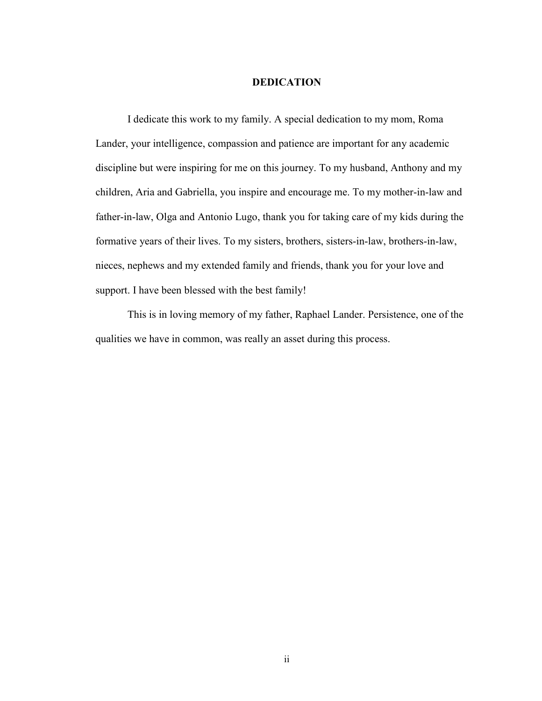#### **DEDICATION**

<span id="page-4-0"></span>I dedicate this work to my family. A special dedication to my mom, Roma Lander, your intelligence, compassion and patience are important for any academic discipline but were inspiring for me on this journey. To my husband, Anthony and my children, Aria and Gabriella, you inspire and encourage me. To my mother-in-law and father-in-law, Olga and Antonio Lugo, thank you for taking care of my kids during the formative years of their lives. To my sisters, brothers, sisters-in-law, brothers-in-law, nieces, nephews and my extended family and friends, thank you for your love and support. I have been blessed with the best family!

This is in loving memory of my father, Raphael Lander. Persistence, one of the qualities we have in common, was really an asset during this process.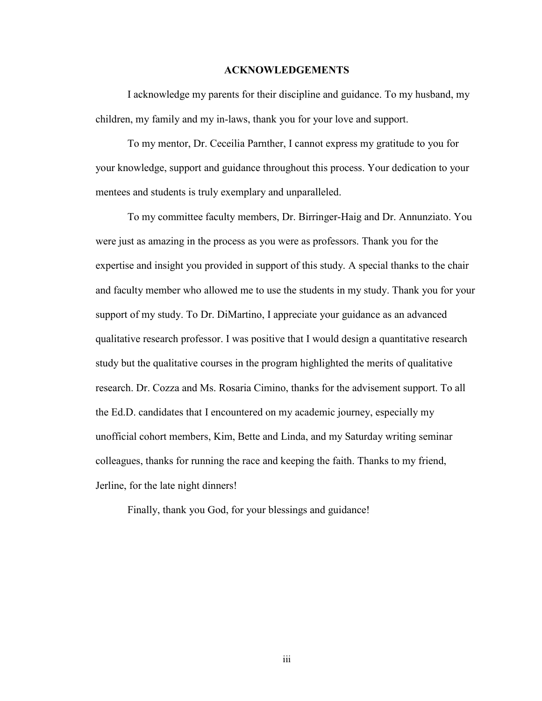#### **ACKNOWLEDGEMENTS**

<span id="page-5-0"></span>I acknowledge my parents for their discipline and guidance. To my husband, my children, my family and my in-laws, thank you for your love and support.

To my mentor, Dr. Ceceilia Parnther, I cannot express my gratitude to you for your knowledge, support and guidance throughout this process. Your dedication to your mentees and students is truly exemplary and unparalleled.

To my committee faculty members, Dr. Birringer-Haig and Dr. Annunziato. You were just as amazing in the process as you were as professors. Thank you for the expertise and insight you provided in support of this study. A special thanks to the chair and faculty member who allowed me to use the students in my study. Thank you for your support of my study. To Dr. DiMartino, I appreciate your guidance as an advanced qualitative research professor. I was positive that I would design a quantitative research study but the qualitative courses in the program highlighted the merits of qualitative research. Dr. Cozza and Ms. Rosaria Cimino, thanks for the advisement support. To all the Ed.D. candidates that I encountered on my academic journey, especially my unofficial cohort members, Kim, Bette and Linda, and my Saturday writing seminar colleagues, thanks for running the race and keeping the faith. Thanks to my friend, Jerline, for the late night dinners!

Finally, thank you God, for your blessings and guidance!

iii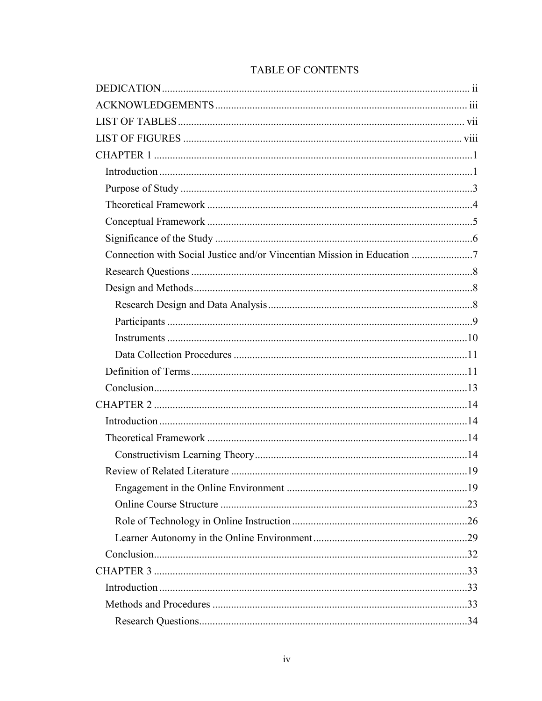| Connection with Social Justice and/or Vincentian Mission in Education |
|-----------------------------------------------------------------------|
|                                                                       |
|                                                                       |
|                                                                       |
|                                                                       |
|                                                                       |
|                                                                       |
|                                                                       |
|                                                                       |
|                                                                       |
|                                                                       |
|                                                                       |
|                                                                       |
|                                                                       |
|                                                                       |
|                                                                       |
|                                                                       |
|                                                                       |
|                                                                       |
|                                                                       |
|                                                                       |
|                                                                       |
|                                                                       |

# TABLE OF CONTENTS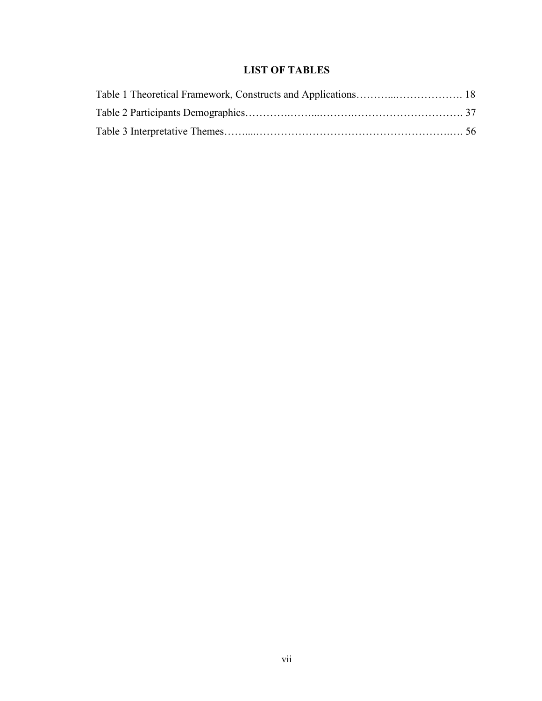# **LIST OF TABLES**

<span id="page-9-0"></span>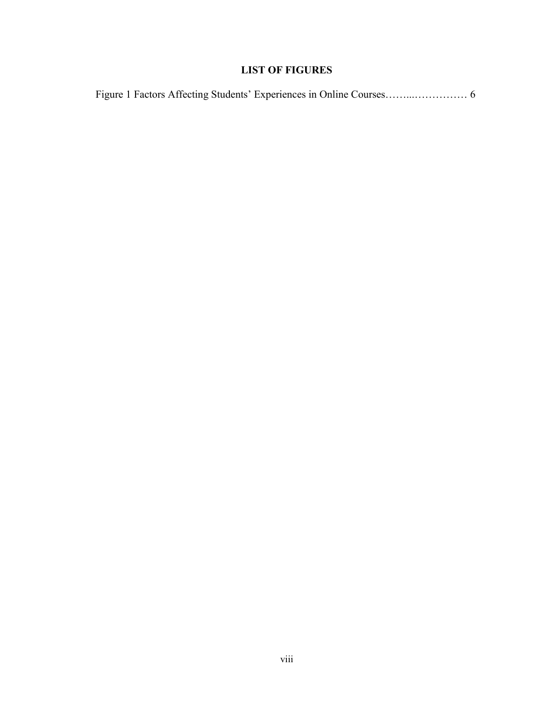# **LIST OF FIGURES**

<span id="page-10-0"></span>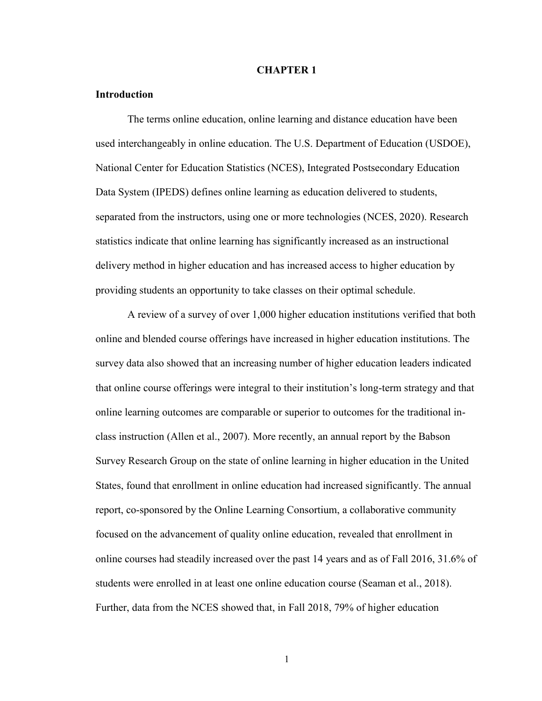#### **CHAPTER 1**

#### <span id="page-11-1"></span><span id="page-11-0"></span>**Introduction**

The terms online education, online learning and distance education have been used interchangeably in online education. The U.S. Department of Education (USDOE), National Center for Education Statistics (NCES), Integrated Postsecondary Education Data System (IPEDS) defines online learning as education delivered to students, separated from the instructors, using one or more technologies (NCES, 2020). Research statistics indicate that online learning has significantly increased as an instructional delivery method in higher education and has increased access to higher education by providing students an opportunity to take classes on their optimal schedule.

A review of a survey of over 1,000 higher education institutions verified that both online and blended course offerings have increased in higher education institutions. The survey data also showed that an increasing number of higher education leaders indicated that online course offerings were integral to their institution's long-term strategy and that online learning outcomes are comparable or superior to outcomes for the traditional inclass instruction (Allen et al., 2007). More recently, an annual report by the Babson Survey Research Group on the state of online learning in higher education in the United States, found that enrollment in online education had increased significantly. The annual report, co-sponsored by the Online Learning Consortium, a collaborative community focused on the advancement of quality online education, revealed that enrollment in online courses had steadily increased over the past 14 years and as of Fall 2016, 31.6% of students were enrolled in at least one online education course (Seaman et al., 2018). Further, data from the NCES showed that, in Fall 2018, 79% of higher education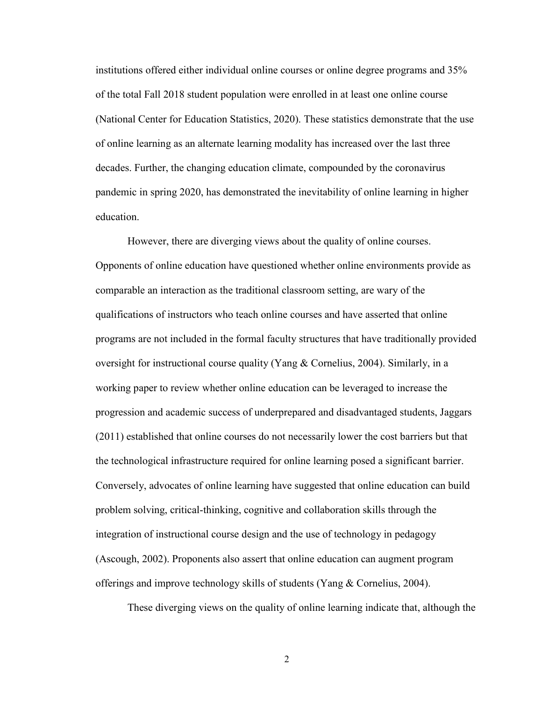institutions offered either individual online courses or online degree programs and 35% of the total Fall 2018 student population were enrolled in at least one online course (National Center for Education Statistics, 2020). These statistics demonstrate that the use of online learning as an alternate learning modality has increased over the last three decades. Further, the changing education climate, compounded by the coronavirus pandemic in spring 2020, has demonstrated the inevitability of online learning in higher education.

However, there are diverging views about the quality of online courses. Opponents of online education have questioned whether online environments provide as comparable an interaction as the traditional classroom setting, are wary of the qualifications of instructors who teach online courses and have asserted that online programs are not included in the formal faculty structures that have traditionally provided oversight for instructional course quality (Yang & Cornelius, 2004). Similarly, in a working paper to review whether online education can be leveraged to increase the progression and academic success of underprepared and disadvantaged students, Jaggars (2011) established that online courses do not necessarily lower the cost barriers but that the technological infrastructure required for online learning posed a significant barrier. Conversely, advocates of online learning have suggested that online education can build problem solving, critical-thinking, cognitive and collaboration skills through the integration of instructional course design and the use of technology in pedagogy (Ascough, 2002). Proponents also assert that online education can augment program offerings and improve technology skills of students (Yang & Cornelius, 2004).

These diverging views on the quality of online learning indicate that, although the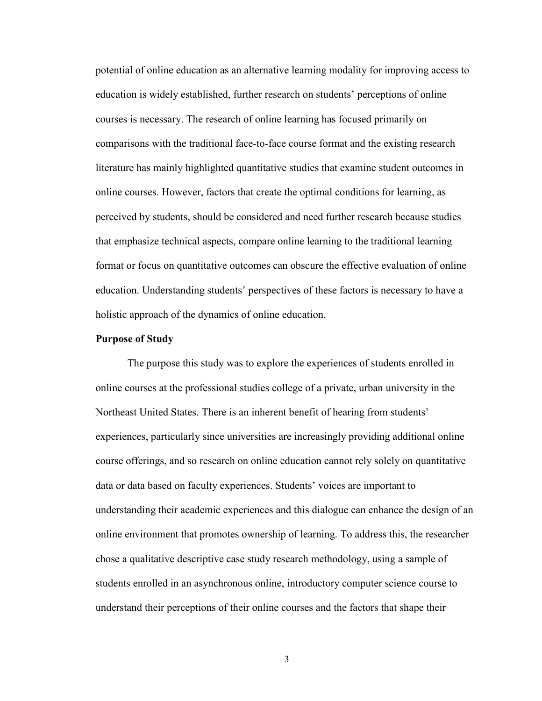potential of online education as an alternative learning modality for improving access to education is widely established, further research on students' perceptions of online courses is necessary. The research of online learning has focused primarily on comparisons with the traditional face-to-face course format and the existing research literature has mainly highlighted quantitative studies that examine student outcomes in online courses. However, factors that create the optimal conditions for learning, as perceived by students, should be considered and need further research because studies that emphasize technical aspects, compare online learning to the traditional learning format or focus on quantitative outcomes can obscure the effective evaluation of online education. Understanding students' perspectives of these factors is necessary to have a holistic approach of the dynamics of online education.

#### <span id="page-13-0"></span>**Purpose of Study**

The purpose this study was to explore the experiences of students enrolled in online courses at the professional studies college of a private, urban university in the Northeast United States. There is an inherent benefit of hearing from students' experiences, particularly since universities are increasingly providing additional online course offerings, and so research on online education cannot rely solely on quantitative data or data based on faculty experiences. Students' voices are important to understanding their academic experiences and this dialogue can enhance the design of an online environment that promotes ownership of learning. To address this, the researcher chose a qualitative descriptive case study research methodology, using a sample of students enrolled in an asynchronous online, introductory computer science course to understand their perceptions of their online courses and the factors that shape their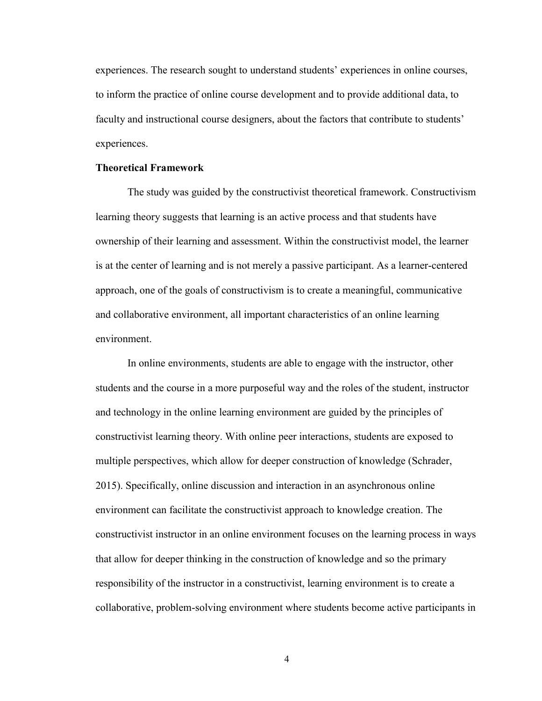experiences. The research sought to understand students' experiences in online courses, to inform the practice of online course development and to provide additional data, to faculty and instructional course designers, about the factors that contribute to students' experiences.

#### <span id="page-14-0"></span>**Theoretical Framework**

The study was guided by the constructivist theoretical framework. Constructivism learning theory suggests that learning is an active process and that students have ownership of their learning and assessment. Within the constructivist model, the learner is at the center of learning and is not merely a passive participant. As a learner-centered approach, one of the goals of constructivism is to create a meaningful, communicative and collaborative environment, all important characteristics of an online learning environment.

In online environments, students are able to engage with the instructor, other students and the course in a more purposeful way and the roles of the student, instructor and technology in the online learning environment are guided by the principles of constructivist learning theory. With online peer interactions, students are exposed to multiple perspectives, which allow for deeper construction of knowledge (Schrader, 2015). Specifically, online discussion and interaction in an asynchronous online environment can facilitate the constructivist approach to knowledge creation. The constructivist instructor in an online environment focuses on the learning process in ways that allow for deeper thinking in the construction of knowledge and so the primary responsibility of the instructor in a constructivist, learning environment is to create a collaborative, problem-solving environment where students become active participants in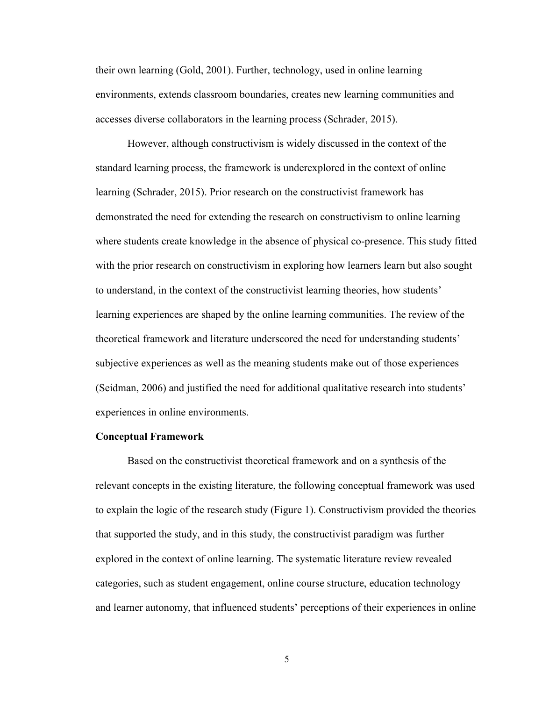their own learning (Gold, 2001). Further, technology, used in online learning environments, extends classroom boundaries, creates new learning communities and accesses diverse collaborators in the learning process (Schrader, 2015).

However, although constructivism is widely discussed in the context of the standard learning process, the framework is underexplored in the context of online learning (Schrader, 2015). Prior research on the constructivist framework has demonstrated the need for extending the research on constructivism to online learning where students create knowledge in the absence of physical co-presence. This study fitted with the prior research on constructivism in exploring how learners learn but also sought to understand, in the context of the constructivist learning theories, how students' learning experiences are shaped by the online learning communities. The review of the theoretical framework and literature underscored the need for understanding students' subjective experiences as well as the meaning students make out of those experiences (Seidman, 2006) and justified the need for additional qualitative research into students' experiences in online environments.

#### <span id="page-15-0"></span>**Conceptual Framework**

Based on the constructivist theoretical framework and on a synthesis of the relevant concepts in the existing literature, the following conceptual framework was used to explain the logic of the research study (Figure 1). Constructivism provided the theories that supported the study, and in this study, the constructivist paradigm was further explored in the context of online learning. The systematic literature review revealed categories, such as student engagement, online course structure, education technology and learner autonomy, that influenced students' perceptions of their experiences in online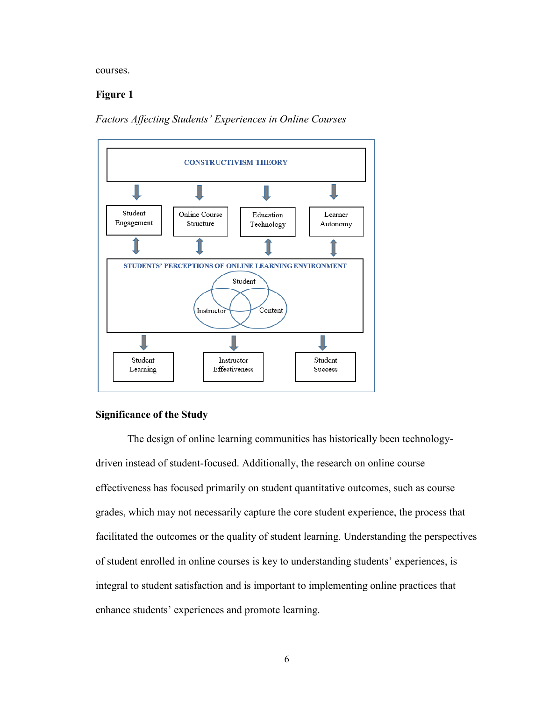courses.

## **Figure 1**

*Factors Affecting Students' Experiences in Online Courses*



#### <span id="page-16-0"></span>**Significance of the Study**

The design of online learning communities has historically been technologydriven instead of student-focused. Additionally, the research on online course effectiveness has focused primarily on student quantitative outcomes, such as course grades, which may not necessarily capture the core student experience, the process that facilitated the outcomes or the quality of student learning. Understanding the perspectives of student enrolled in online courses is key to understanding students' experiences, is integral to student satisfaction and is important to implementing online practices that enhance students' experiences and promote learning.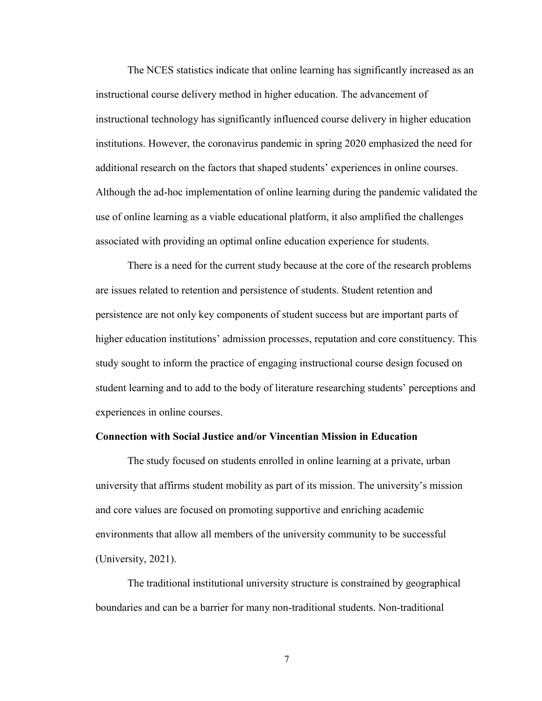The NCES statistics indicate that online learning has significantly increased as an instructional course delivery method in higher education. The advancement of instructional technology has significantly influenced course delivery in higher education institutions. However, the coronavirus pandemic in spring 2020 emphasized the need for additional research on the factors that shaped students' experiences in online courses. Although the ad-hoc implementation of online learning during the pandemic validated the use of online learning as a viable educational platform, it also amplified the challenges associated with providing an optimal online education experience for students.

There is a need for the current study because at the core of the research problems are issues related to retention and persistence of students. Student retention and persistence are not only key components of student success but are important parts of higher education institutions' admission processes, reputation and core constituency. This study sought to inform the practice of engaging instructional course design focused on student learning and to add to the body of literature researching students' perceptions and experiences in online courses.

#### <span id="page-17-0"></span>**Connection with Social Justice and/or Vincentian Mission in Education**

The study focused on students enrolled in online learning at a private, urban university that affirms student mobility as part of its mission. The university's mission and core values are focused on promoting supportive and enriching academic environments that allow all members of the university community to be successful (University, 2021).

The traditional institutional university structure is constrained by geographical boundaries and can be a barrier for many non-traditional students. Non-traditional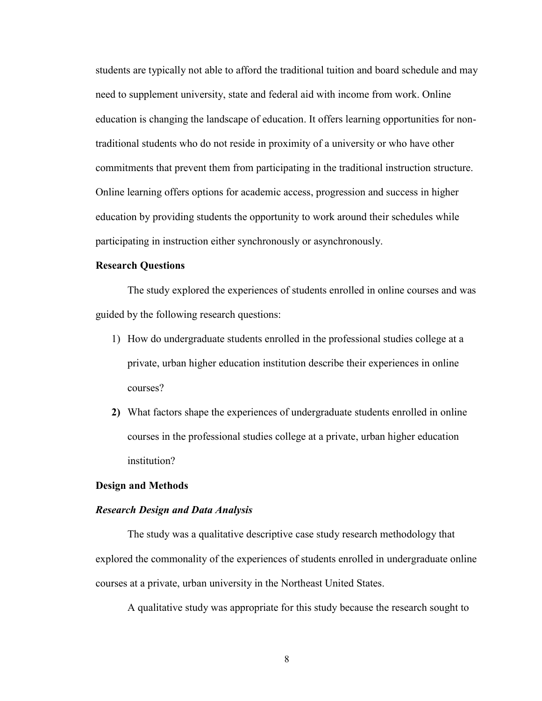students are typically not able to afford the traditional tuition and board schedule and may need to supplement university, state and federal aid with income from work. Online education is changing the landscape of education. It offers learning opportunities for nontraditional students who do not reside in proximity of a university or who have other commitments that prevent them from participating in the traditional instruction structure. Online learning offers options for academic access, progression and success in higher education by providing students the opportunity to work around their schedules while participating in instruction either synchronously or asynchronously.

#### <span id="page-18-0"></span>**Research Questions**

The study explored the experiences of students enrolled in online courses and was guided by the following research questions:

- 1) How do undergraduate students enrolled in the professional studies college at a private, urban higher education institution describe their experiences in online courses?
- **2)** What factors shape the experiences of undergraduate students enrolled in online courses in the professional studies college at a private, urban higher education institution?

#### <span id="page-18-1"></span>**Design and Methods**

#### <span id="page-18-2"></span>*Research Design and Data Analysis*

The study was a qualitative descriptive case study research methodology that explored the commonality of the experiences of students enrolled in undergraduate online courses at a private, urban university in the Northeast United States.

A qualitative study was appropriate for this study because the research sought to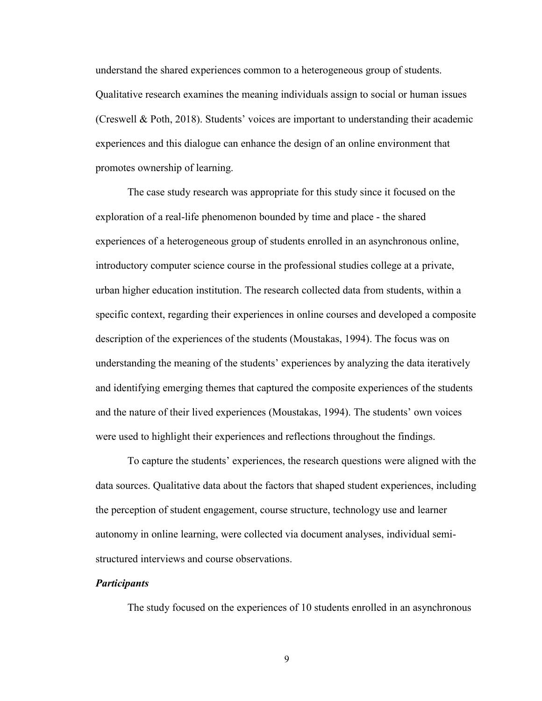understand the shared experiences common to a heterogeneous group of students. Qualitative research examines the meaning individuals assign to social or human issues (Creswell & Poth, 2018). Students' voices are important to understanding their academic experiences and this dialogue can enhance the design of an online environment that promotes ownership of learning.

The case study research was appropriate for this study since it focused on the exploration of a real-life phenomenon bounded by time and place - the shared experiences of a heterogeneous group of students enrolled in an asynchronous online, introductory computer science course in the professional studies college at a private, urban higher education institution. The research collected data from students, within a specific context, regarding their experiences in online courses and developed a composite description of the experiences of the students (Moustakas, 1994). The focus was on understanding the meaning of the students' experiences by analyzing the data iteratively and identifying emerging themes that captured the composite experiences of the students and the nature of their lived experiences (Moustakas, 1994). The students' own voices were used to highlight their experiences and reflections throughout the findings.

To capture the students' experiences, the research questions were aligned with the data sources. Qualitative data about the factors that shaped student experiences, including the perception of student engagement, course structure, technology use and learner autonomy in online learning, were collected via document analyses, individual semistructured interviews and course observations.

#### <span id="page-19-0"></span>*Participants*

The study focused on the experiences of 10 students enrolled in an asynchronous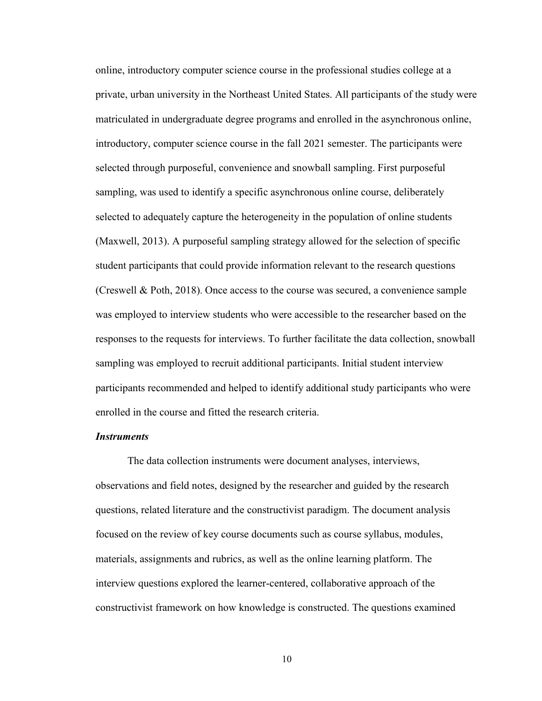online, introductory computer science course in the professional studies college at a private, urban university in the Northeast United States. All participants of the study were matriculated in undergraduate degree programs and enrolled in the asynchronous online, introductory, computer science course in the fall 2021 semester. The participants were selected through purposeful, convenience and snowball sampling. First purposeful sampling, was used to identify a specific asynchronous online course, deliberately selected to adequately capture the heterogeneity in the population of online students (Maxwell, 2013). A purposeful sampling strategy allowed for the selection of specific student participants that could provide information relevant to the research questions (Creswell & Poth, 2018). Once access to the course was secured, a convenience sample was employed to interview students who were accessible to the researcher based on the responses to the requests for interviews. To further facilitate the data collection, snowball sampling was employed to recruit additional participants. Initial student interview participants recommended and helped to identify additional study participants who were enrolled in the course and fitted the research criteria.

## <span id="page-20-0"></span>*Instruments*

The data collection instruments were document analyses, interviews, observations and field notes, designed by the researcher and guided by the research questions, related literature and the constructivist paradigm. The document analysis focused on the review of key course documents such as course syllabus, modules, materials, assignments and rubrics, as well as the online learning platform. The interview questions explored the learner-centered, collaborative approach of the constructivist framework on how knowledge is constructed. The questions examined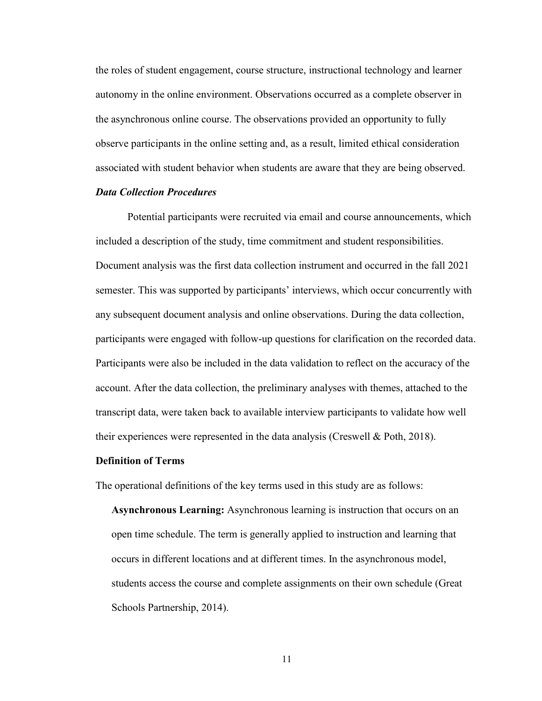the roles of student engagement, course structure, instructional technology and learner autonomy in the online environment. Observations occurred as a complete observer in the asynchronous online course. The observations provided an opportunity to fully observe participants in the online setting and, as a result, limited ethical consideration associated with student behavior when students are aware that they are being observed.

## <span id="page-21-0"></span>*Data Collection Procedures*

Potential participants were recruited via email and course announcements, which included a description of the study, time commitment and student responsibilities. Document analysis was the first data collection instrument and occurred in the fall 2021 semester. This was supported by participants' interviews, which occur concurrently with any subsequent document analysis and online observations. During the data collection, participants were engaged with follow-up questions for clarification on the recorded data. Participants were also be included in the data validation to reflect on the accuracy of the account. After the data collection, the preliminary analyses with themes, attached to the transcript data, were taken back to available interview participants to validate how well their experiences were represented in the data analysis (Creswell & Poth, 2018).

#### <span id="page-21-1"></span>**Definition of Terms**

The operational definitions of the key terms used in this study are as follows:

**Asynchronous Learning:** Asynchronous learning is instruction that occurs on an open time schedule. The term is generally applied to instruction and learning that occurs in different locations and at different times. In the asynchronous model, students access the course and complete assignments on their own schedule (Great Schools Partnership, 2014).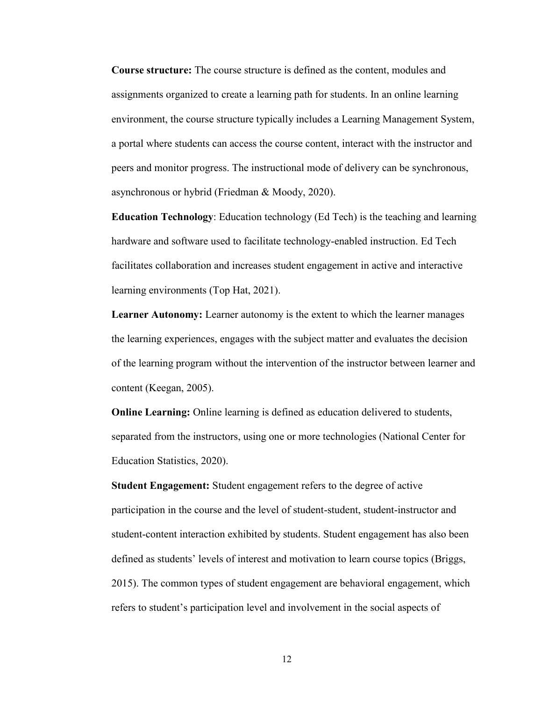**Course structure:** The course structure is defined as the content, modules and assignments organized to create a learning path for students. In an online learning environment, the course structure typically includes a Learning Management System, a portal where students can access the course content, interact with the instructor and peers and monitor progress. The instructional mode of delivery can be synchronous, asynchronous or hybrid (Friedman & Moody, 2020).

**Education Technology**: Education technology (Ed Tech) is the teaching and learning hardware and software used to facilitate technology-enabled instruction. Ed Tech facilitates collaboration and increases student engagement in active and interactive learning environments (Top Hat, 2021).

**Learner Autonomy:** Learner autonomy is the extent to which the learner manages the learning experiences, engages with the subject matter and evaluates the decision of the learning program without the intervention of the instructor between learner and content (Keegan, 2005).

**Online Learning:** Online learning is defined as education delivered to students, separated from the instructors, using one or more technologies (National Center for Education Statistics, 2020).

**Student Engagement:** Student engagement refers to the degree of active participation in the course and the level of student-student, student-instructor and student-content interaction exhibited by students. Student engagement has also been defined as students' levels of interest and motivation to learn course topics (Briggs, 2015). The common types of student engagement are behavioral engagement, which refers to student's participation level and involvement in the social aspects of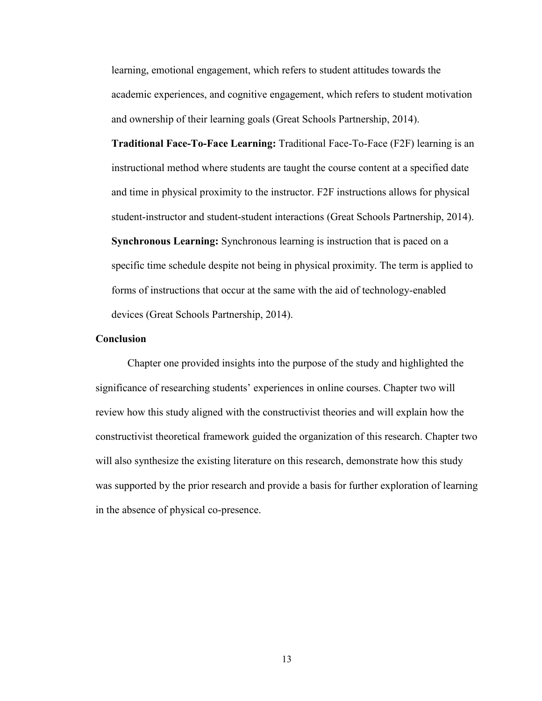learning, emotional engagement, which refers to student attitudes towards the academic experiences, and cognitive engagement, which refers to student motivation and ownership of their learning goals (Great Schools Partnership, 2014).

**Traditional Face-To-Face Learning:** Traditional Face-To-Face (F2F) learning is an instructional method where students are taught the course content at a specified date and time in physical proximity to the instructor. F2F instructions allows for physical student-instructor and student-student interactions (Great Schools Partnership, 2014). **Synchronous Learning:** Synchronous learning is instruction that is paced on a specific time schedule despite not being in physical proximity. The term is applied to forms of instructions that occur at the same with the aid of technology-enabled devices (Great Schools Partnership, 2014).

#### <span id="page-23-0"></span>**Conclusion**

Chapter one provided insights into the purpose of the study and highlighted the significance of researching students' experiences in online courses. Chapter two will review how this study aligned with the constructivist theories and will explain how the constructivist theoretical framework guided the organization of this research. Chapter two will also synthesize the existing literature on this research, demonstrate how this study was supported by the prior research and provide a basis for further exploration of learning in the absence of physical co-presence.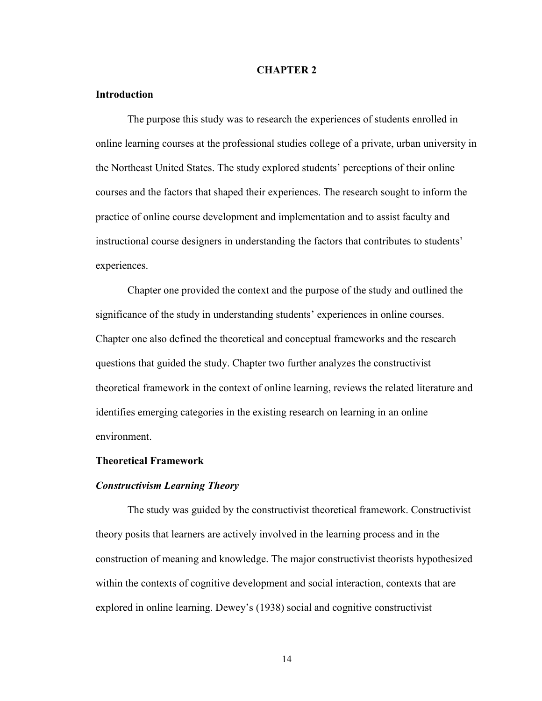#### **CHAPTER 2**

## <span id="page-24-1"></span><span id="page-24-0"></span>**Introduction**

The purpose this study was to research the experiences of students enrolled in online learning courses at the professional studies college of a private, urban university in the Northeast United States. The study explored students' perceptions of their online courses and the factors that shaped their experiences. The research sought to inform the practice of online course development and implementation and to assist faculty and instructional course designers in understanding the factors that contributes to students' experiences.

Chapter one provided the context and the purpose of the study and outlined the significance of the study in understanding students' experiences in online courses. Chapter one also defined the theoretical and conceptual frameworks and the research questions that guided the study. Chapter two further analyzes the constructivist theoretical framework in the context of online learning, reviews the related literature and identifies emerging categories in the existing research on learning in an online environment.

#### <span id="page-24-2"></span>**Theoretical Framework**

#### <span id="page-24-3"></span>*Constructivism Learning Theory*

The study was guided by the constructivist theoretical framework. Constructivist theory posits that learners are actively involved in the learning process and in the construction of meaning and knowledge. The major constructivist theorists hypothesized within the contexts of cognitive development and social interaction, contexts that are explored in online learning. Dewey's (1938) social and cognitive constructivist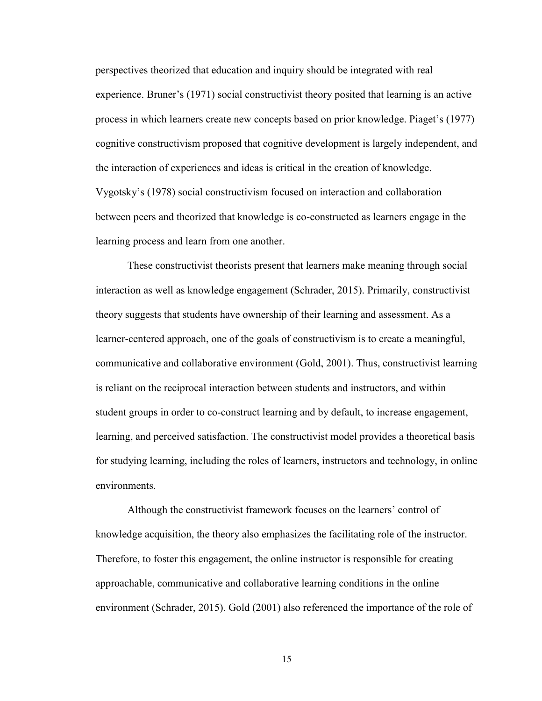perspectives theorized that education and inquiry should be integrated with real experience. Bruner's (1971) social constructivist theory posited that learning is an active process in which learners create new concepts based on prior knowledge. Piaget's (1977) cognitive constructivism proposed that cognitive development is largely independent, and the interaction of experiences and ideas is critical in the creation of knowledge. Vygotsky's (1978) social constructivism focused on interaction and collaboration between peers and theorized that knowledge is co-constructed as learners engage in the learning process and learn from one another.

These constructivist theorists present that learners make meaning through social interaction as well as knowledge engagement (Schrader, 2015). Primarily, constructivist theory suggests that students have ownership of their learning and assessment. As a learner-centered approach, one of the goals of constructivism is to create a meaningful, communicative and collaborative environment (Gold, 2001). Thus, constructivist learning is reliant on the reciprocal interaction between students and instructors, and within student groups in order to co-construct learning and by default, to increase engagement, learning, and perceived satisfaction. The constructivist model provides a theoretical basis for studying learning, including the roles of learners, instructors and technology, in online environments.

Although the constructivist framework focuses on the learners' control of knowledge acquisition, the theory also emphasizes the facilitating role of the instructor. Therefore, to foster this engagement, the online instructor is responsible for creating approachable, communicative and collaborative learning conditions in the online environment (Schrader, 2015). Gold (2001) also referenced the importance of the role of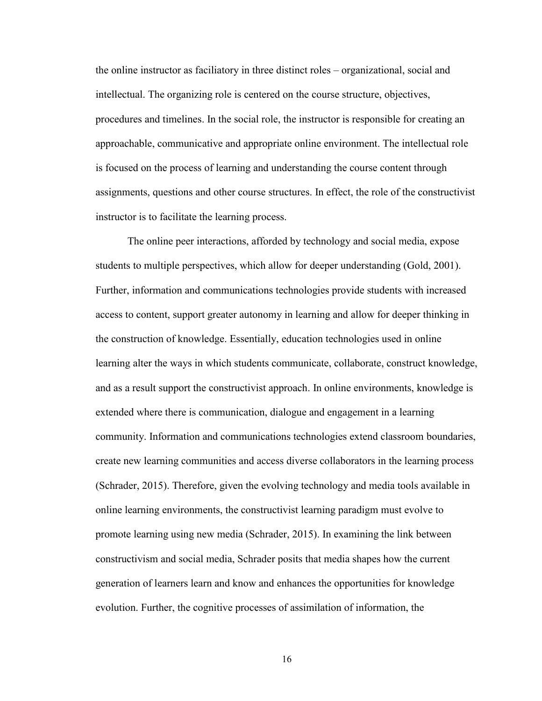the online instructor as faciliatory in three distinct roles – organizational, social and intellectual. The organizing role is centered on the course structure, objectives, procedures and timelines. In the social role, the instructor is responsible for creating an approachable, communicative and appropriate online environment. The intellectual role is focused on the process of learning and understanding the course content through assignments, questions and other course structures. In effect, the role of the constructivist instructor is to facilitate the learning process.

The online peer interactions, afforded by technology and social media, expose students to multiple perspectives, which allow for deeper understanding (Gold, 2001). Further, information and communications technologies provide students with increased access to content, support greater autonomy in learning and allow for deeper thinking in the construction of knowledge. Essentially, education technologies used in online learning alter the ways in which students communicate, collaborate, construct knowledge, and as a result support the constructivist approach. In online environments, knowledge is extended where there is communication, dialogue and engagement in a learning community. Information and communications technologies extend classroom boundaries, create new learning communities and access diverse collaborators in the learning process (Schrader, 2015). Therefore, given the evolving technology and media tools available in online learning environments, the constructivist learning paradigm must evolve to promote learning using new media (Schrader, 2015). In examining the link between constructivism and social media, Schrader posits that media shapes how the current generation of learners learn and know and enhances the opportunities for knowledge evolution. Further, the cognitive processes of assimilation of information, the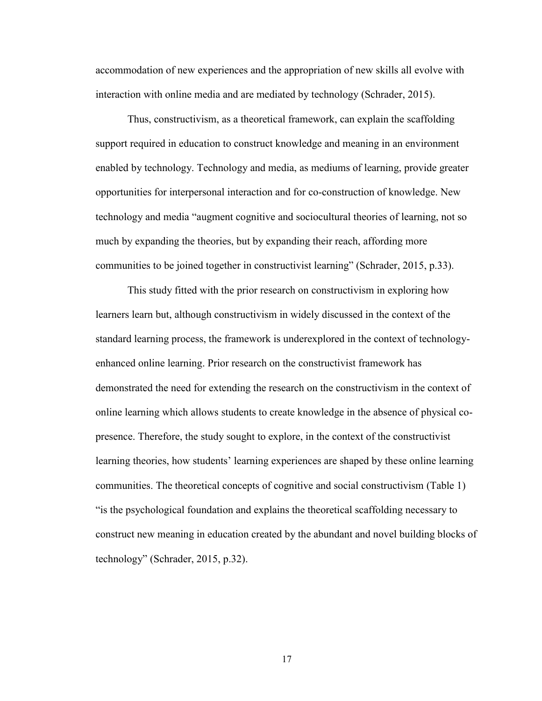accommodation of new experiences and the appropriation of new skills all evolve with interaction with online media and are mediated by technology (Schrader, 2015).

Thus, constructivism, as a theoretical framework, can explain the scaffolding support required in education to construct knowledge and meaning in an environment enabled by technology. Technology and media, as mediums of learning, provide greater opportunities for interpersonal interaction and for co-construction of knowledge. New technology and media "augment cognitive and sociocultural theories of learning, not so much by expanding the theories, but by expanding their reach, affording more communities to be joined together in constructivist learning" (Schrader, 2015, p.33).

This study fitted with the prior research on constructivism in exploring how learners learn but, although constructivism in widely discussed in the context of the standard learning process, the framework is underexplored in the context of technologyenhanced online learning. Prior research on the constructivist framework has demonstrated the need for extending the research on the constructivism in the context of online learning which allows students to create knowledge in the absence of physical copresence. Therefore, the study sought to explore, in the context of the constructivist learning theories, how students' learning experiences are shaped by these online learning communities. The theoretical concepts of cognitive and social constructivism (Table 1) "is the psychological foundation and explains the theoretical scaffolding necessary to construct new meaning in education created by the abundant and novel building blocks of technology" (Schrader, 2015, p.32).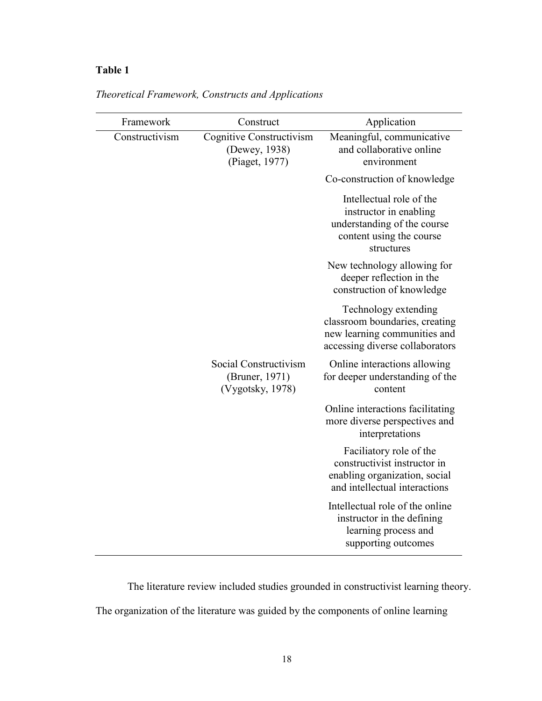# **Table 1**

| Framework      | Construct                                                   | Application                                                                                                                 |
|----------------|-------------------------------------------------------------|-----------------------------------------------------------------------------------------------------------------------------|
| Constructivism | Cognitive Constructivism<br>(Dewey, 1938)<br>(Piaget, 1977) | Meaningful, communicative<br>and collaborative online<br>environment                                                        |
|                |                                                             | Co-construction of knowledge                                                                                                |
|                |                                                             | Intellectual role of the<br>instructor in enabling<br>understanding of the course<br>content using the course<br>structures |
|                |                                                             | New technology allowing for<br>deeper reflection in the<br>construction of knowledge                                        |
|                |                                                             | Technology extending<br>classroom boundaries, creating<br>new learning communities and<br>accessing diverse collaborators   |
|                | Social Constructivism<br>(Bruner, 1971)<br>(Vygotsky, 1978) | Online interactions allowing<br>for deeper understanding of the<br>content                                                  |
|                |                                                             | Online interactions facilitating<br>more diverse perspectives and<br>interpretations                                        |
|                |                                                             | Faciliatory role of the<br>constructivist instructor in<br>enabling organization, social<br>and intellectual interactions   |
|                |                                                             | Intellectual role of the online<br>instructor in the defining<br>learning process and<br>supporting outcomes                |

*Theoretical Framework, Constructs and Applications*

The literature review included studies grounded in constructivist learning theory. The organization of the literature was guided by the components of online learning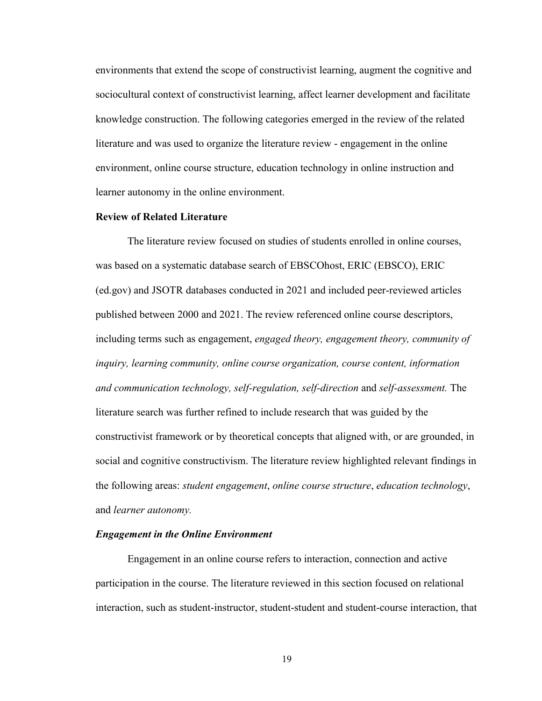environments that extend the scope of constructivist learning, augment the cognitive and sociocultural context of constructivist learning, affect learner development and facilitate knowledge construction. The following categories emerged in the review of the related literature and was used to organize the literature review - engagement in the online environment, online course structure, education technology in online instruction and learner autonomy in the online environment.

#### <span id="page-29-0"></span>**Review of Related Literature**

The literature review focused on studies of students enrolled in online courses, was based on a systematic database search of EBSCOhost, ERIC (EBSCO), ERIC (ed.gov) and JSOTR databases conducted in 2021 and included peer-reviewed articles published between 2000 and 2021. The review referenced online course descriptors, including terms such as engagement, *engaged theory, engagement theory, community of inquiry, learning community, online course organization, course content, information and communication technology, self-regulation, self-direction* and *self-assessment.* The literature search was further refined to include research that was guided by the constructivist framework or by theoretical concepts that aligned with, or are grounded, in social and cognitive constructivism. The literature review highlighted relevant findings in the following areas: *student engagement*, *online course structure*, *education technology*, and *learner autonomy.* 

#### <span id="page-29-1"></span>*Engagement in the Online Environment*

Engagement in an online course refers to interaction, connection and active participation in the course. The literature reviewed in this section focused on relational interaction, such as student-instructor, student-student and student-course interaction, that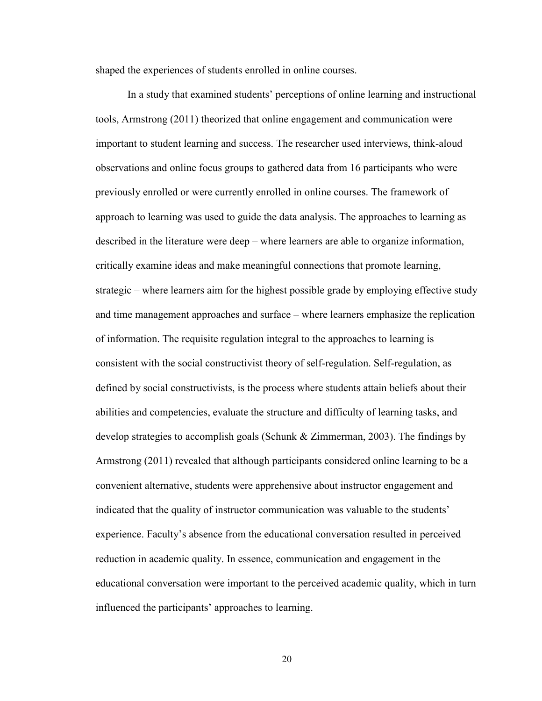shaped the experiences of students enrolled in online courses.

In a study that examined students' perceptions of online learning and instructional tools, Armstrong (2011) theorized that online engagement and communication were important to student learning and success. The researcher used interviews, think-aloud observations and online focus groups to gathered data from 16 participants who were previously enrolled or were currently enrolled in online courses. The framework of approach to learning was used to guide the data analysis. The approaches to learning as described in the literature were deep – where learners are able to organize information, critically examine ideas and make meaningful connections that promote learning, strategic – where learners aim for the highest possible grade by employing effective study and time management approaches and surface – where learners emphasize the replication of information. The requisite regulation integral to the approaches to learning is consistent with the social constructivist theory of self-regulation. Self-regulation, as defined by social constructivists, is the process where students attain beliefs about their abilities and competencies, evaluate the structure and difficulty of learning tasks, and develop strategies to accomplish goals (Schunk & Zimmerman, 2003). The findings by Armstrong (2011) revealed that although participants considered online learning to be a convenient alternative, students were apprehensive about instructor engagement and indicated that the quality of instructor communication was valuable to the students' experience. Faculty's absence from the educational conversation resulted in perceived reduction in academic quality. In essence, communication and engagement in the educational conversation were important to the perceived academic quality, which in turn influenced the participants' approaches to learning.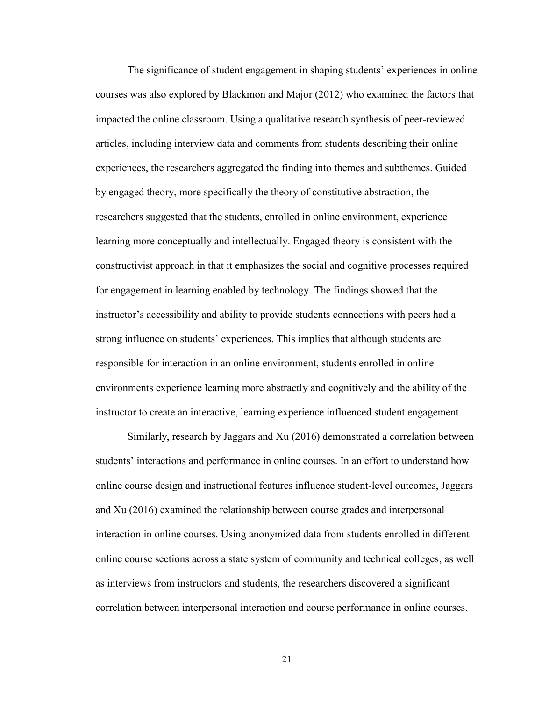The significance of student engagement in shaping students' experiences in online courses was also explored by Blackmon and Major (2012) who examined the factors that impacted the online classroom. Using a qualitative research synthesis of peer-reviewed articles, including interview data and comments from students describing their online experiences, the researchers aggregated the finding into themes and subthemes. Guided by engaged theory, more specifically the theory of constitutive abstraction, the researchers suggested that the students, enrolled in online environment, experience learning more conceptually and intellectually. Engaged theory is consistent with the constructivist approach in that it emphasizes the social and cognitive processes required for engagement in learning enabled by technology. The findings showed that the instructor's accessibility and ability to provide students connections with peers had a strong influence on students' experiences. This implies that although students are responsible for interaction in an online environment, students enrolled in online environments experience learning more abstractly and cognitively and the ability of the instructor to create an interactive, learning experience influenced student engagement.

Similarly, research by Jaggars and Xu (2016) demonstrated a correlation between students' interactions and performance in online courses. In an effort to understand how online course design and instructional features influence student-level outcomes, Jaggars and Xu (2016) examined the relationship between course grades and interpersonal interaction in online courses. Using anonymized data from students enrolled in different online course sections across a state system of community and technical colleges, as well as interviews from instructors and students, the researchers discovered a significant correlation between interpersonal interaction and course performance in online courses.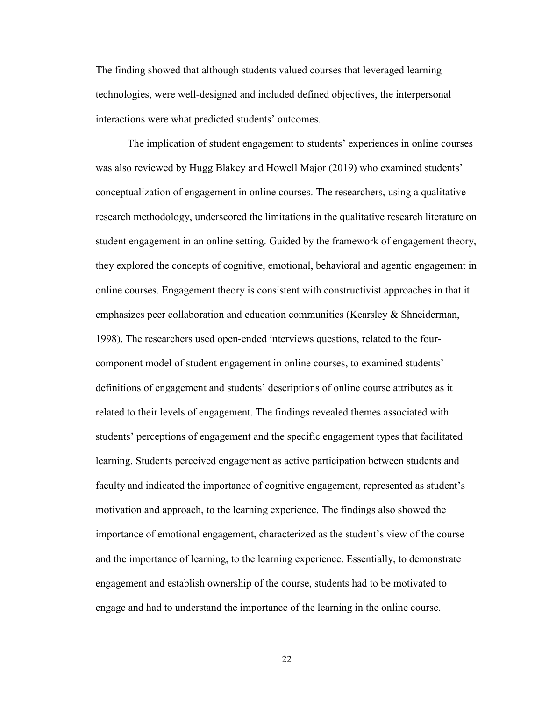The finding showed that although students valued courses that leveraged learning technologies, were well-designed and included defined objectives, the interpersonal interactions were what predicted students' outcomes.

The implication of student engagement to students' experiences in online courses was also reviewed by Hugg Blakey and Howell Major (2019) who examined students' conceptualization of engagement in online courses. The researchers, using a qualitative research methodology, underscored the limitations in the qualitative research literature on student engagement in an online setting. Guided by the framework of engagement theory, they explored the concepts of cognitive, emotional, behavioral and agentic engagement in online courses. Engagement theory is consistent with constructivist approaches in that it emphasizes peer collaboration and education communities (Kearsley & Shneiderman, 1998). The researchers used open-ended interviews questions, related to the fourcomponent model of student engagement in online courses, to examined students' definitions of engagement and students' descriptions of online course attributes as it related to their levels of engagement. The findings revealed themes associated with students' perceptions of engagement and the specific engagement types that facilitated learning. Students perceived engagement as active participation between students and faculty and indicated the importance of cognitive engagement, represented as student's motivation and approach, to the learning experience. The findings also showed the importance of emotional engagement, characterized as the student's view of the course and the importance of learning, to the learning experience. Essentially, to demonstrate engagement and establish ownership of the course, students had to be motivated to engage and had to understand the importance of the learning in the online course.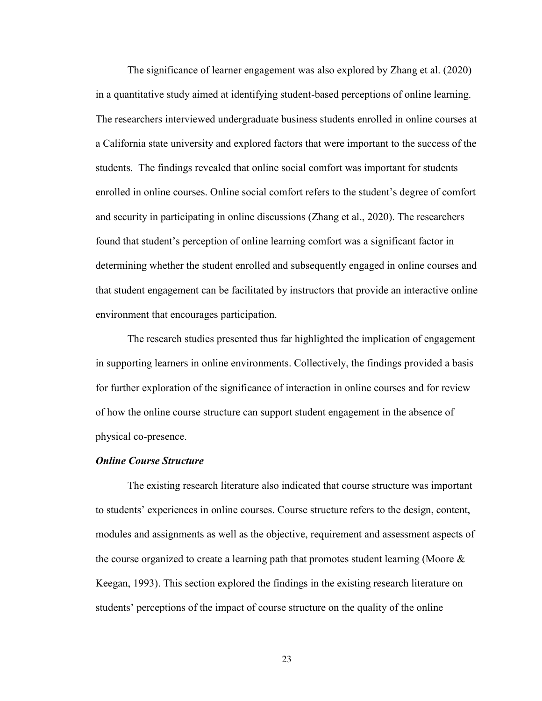The significance of learner engagement was also explored by Zhang et al. (2020) in a quantitative study aimed at identifying student-based perceptions of online learning. The researchers interviewed undergraduate business students enrolled in online courses at a California state university and explored factors that were important to the success of the students. The findings revealed that online social comfort was important for students enrolled in online courses. Online social comfort refers to the student's degree of comfort and security in participating in online discussions (Zhang et al., 2020). The researchers found that student's perception of online learning comfort was a significant factor in determining whether the student enrolled and subsequently engaged in online courses and that student engagement can be facilitated by instructors that provide an interactive online environment that encourages participation.

The research studies presented thus far highlighted the implication of engagement in supporting learners in online environments. Collectively, the findings provided a basis for further exploration of the significance of interaction in online courses and for review of how the online course structure can support student engagement in the absence of physical co-presence.

#### <span id="page-33-0"></span>*Online Course Structure*

The existing research literature also indicated that course structure was important to students' experiences in online courses. Course structure refers to the design, content, modules and assignments as well as the objective, requirement and assessment aspects of the course organized to create a learning path that promotes student learning (Moore  $\&$ Keegan, 1993). This section explored the findings in the existing research literature on students' perceptions of the impact of course structure on the quality of the online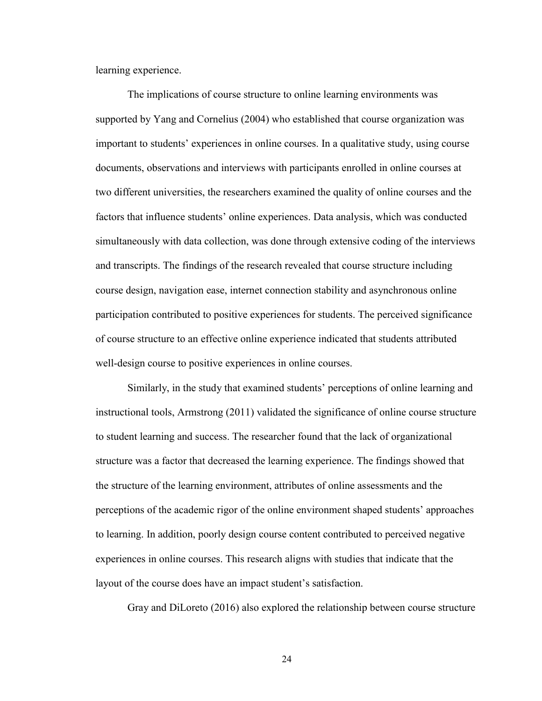learning experience.

The implications of course structure to online learning environments was supported by Yang and Cornelius (2004) who established that course organization was important to students' experiences in online courses. In a qualitative study, using course documents, observations and interviews with participants enrolled in online courses at two different universities, the researchers examined the quality of online courses and the factors that influence students' online experiences. Data analysis, which was conducted simultaneously with data collection, was done through extensive coding of the interviews and transcripts. The findings of the research revealed that course structure including course design, navigation ease, internet connection stability and asynchronous online participation contributed to positive experiences for students. The perceived significance of course structure to an effective online experience indicated that students attributed well-design course to positive experiences in online courses.

Similarly, in the study that examined students' perceptions of online learning and instructional tools, Armstrong (2011) validated the significance of online course structure to student learning and success. The researcher found that the lack of organizational structure was a factor that decreased the learning experience. The findings showed that the structure of the learning environment, attributes of online assessments and the perceptions of the academic rigor of the online environment shaped students' approaches to learning. In addition, poorly design course content contributed to perceived negative experiences in online courses. This research aligns with studies that indicate that the layout of the course does have an impact student's satisfaction.

Gray and DiLoreto (2016) also explored the relationship between course structure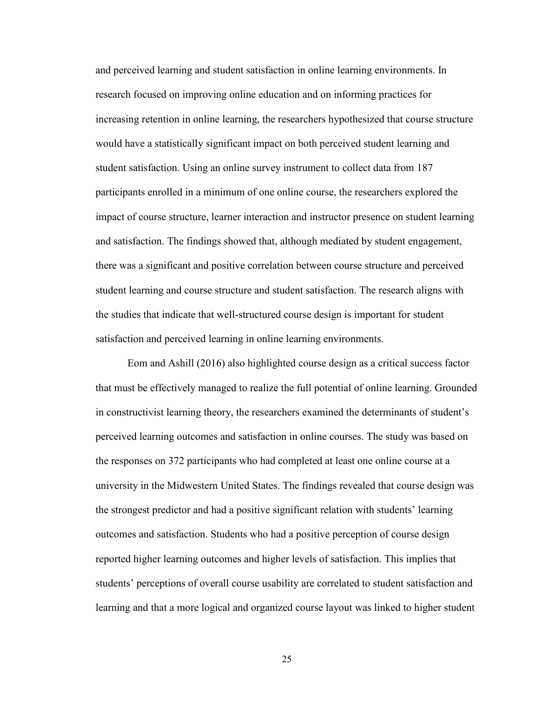and perceived learning and student satisfaction in online learning environments. In research focused on improving online education and on informing practices for increasing retention in online learning, the researchers hypothesized that course structure would have a statistically significant impact on both perceived student learning and student satisfaction. Using an online survey instrument to collect data from 187 participants enrolled in a minimum of one online course, the researchers explored the impact of course structure, learner interaction and instructor presence on student learning and satisfaction. The findings showed that, although mediated by student engagement, there was a significant and positive correlation between course structure and perceived student learning and course structure and student satisfaction. The research aligns with the studies that indicate that well-structured course design is important for student satisfaction and perceived learning in online learning environments.

Eom and Ashill (2016) also highlighted course design as a critical success factor that must be effectively managed to realize the full potential of online learning. Grounded in constructivist learning theory, the researchers examined the determinants of student's perceived learning outcomes and satisfaction in online courses. The study was based on the responses on 372 participants who had completed at least one online course at a university in the Midwestern United States. The findings revealed that course design was the strongest predictor and had a positive significant relation with students' learning outcomes and satisfaction. Students who had a positive perception of course design reported higher learning outcomes and higher levels of satisfaction. This implies that students' perceptions of overall course usability are correlated to student satisfaction and learning and that a more logical and organized course layout was linked to higher student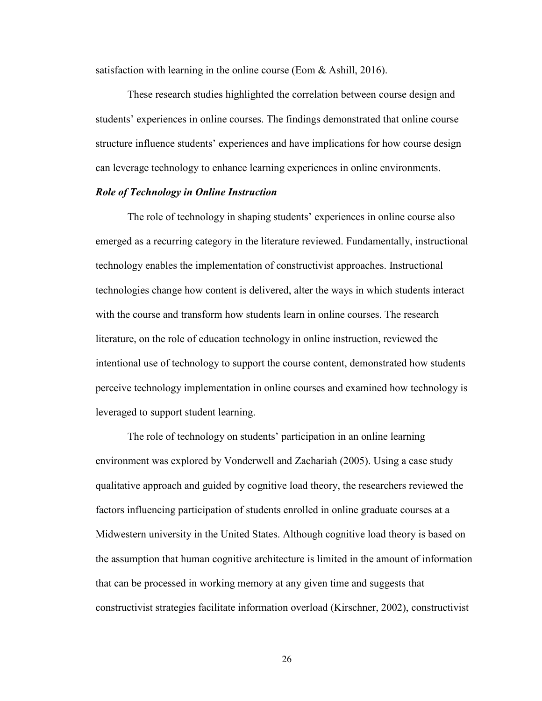satisfaction with learning in the online course (Eom  $&$  Ashill, 2016).

These research studies highlighted the correlation between course design and students' experiences in online courses. The findings demonstrated that online course structure influence students' experiences and have implications for how course design can leverage technology to enhance learning experiences in online environments.

#### *Role of Technology in Online Instruction*

The role of technology in shaping students' experiences in online course also emerged as a recurring category in the literature reviewed. Fundamentally, instructional technology enables the implementation of constructivist approaches. Instructional technologies change how content is delivered, alter the ways in which students interact with the course and transform how students learn in online courses. The research literature, on the role of education technology in online instruction, reviewed the intentional use of technology to support the course content, demonstrated how students perceive technology implementation in online courses and examined how technology is leveraged to support student learning.

The role of technology on students' participation in an online learning environment was explored by Vonderwell and Zachariah (2005). Using a case study qualitative approach and guided by cognitive load theory, the researchers reviewed the factors influencing participation of students enrolled in online graduate courses at a Midwestern university in the United States. Although cognitive load theory is based on the assumption that human cognitive architecture is limited in the amount of information that can be processed in working memory at any given time and suggests that constructivist strategies facilitate information overload (Kirschner, 2002), constructivist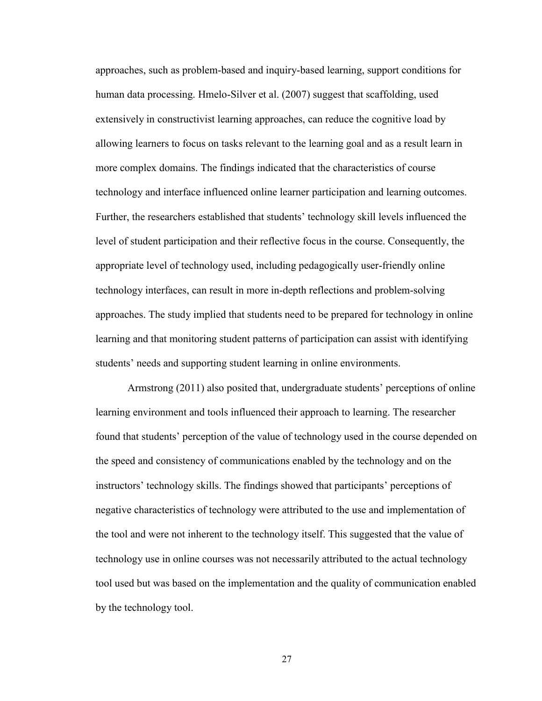approaches, such as problem-based and inquiry-based learning, support conditions for human data processing. Hmelo-Silver et al. (2007) suggest that scaffolding, used extensively in constructivist learning approaches, can reduce the cognitive load by allowing learners to focus on tasks relevant to the learning goal and as a result learn in more complex domains. The findings indicated that the characteristics of course technology and interface influenced online learner participation and learning outcomes. Further, the researchers established that students' technology skill levels influenced the level of student participation and their reflective focus in the course. Consequently, the appropriate level of technology used, including pedagogically user-friendly online technology interfaces, can result in more in-depth reflections and problem-solving approaches. The study implied that students need to be prepared for technology in online learning and that monitoring student patterns of participation can assist with identifying students' needs and supporting student learning in online environments.

Armstrong (2011) also posited that, undergraduate students' perceptions of online learning environment and tools influenced their approach to learning. The researcher found that students' perception of the value of technology used in the course depended on the speed and consistency of communications enabled by the technology and on the instructors' technology skills. The findings showed that participants' perceptions of negative characteristics of technology were attributed to the use and implementation of the tool and were not inherent to the technology itself. This suggested that the value of technology use in online courses was not necessarily attributed to the actual technology tool used but was based on the implementation and the quality of communication enabled by the technology tool.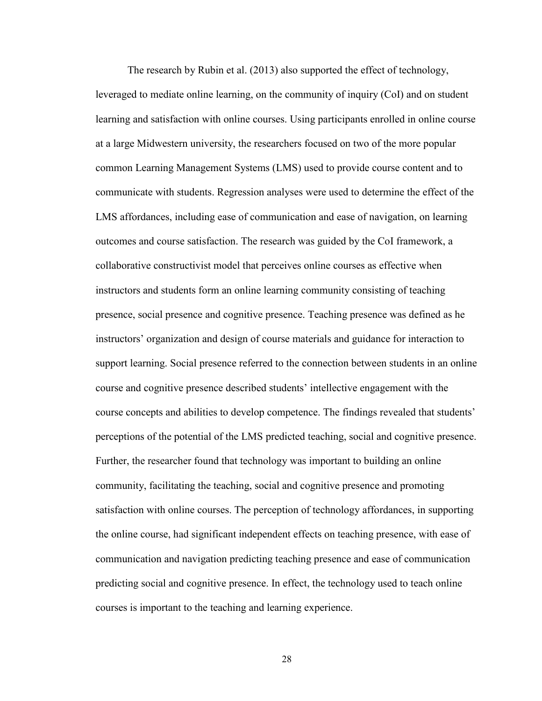The research by Rubin et al. (2013) also supported the effect of technology, leveraged to mediate online learning, on the community of inquiry (CoI) and on student learning and satisfaction with online courses. Using participants enrolled in online course at a large Midwestern university, the researchers focused on two of the more popular common Learning Management Systems (LMS) used to provide course content and to communicate with students. Regression analyses were used to determine the effect of the LMS affordances, including ease of communication and ease of navigation, on learning outcomes and course satisfaction. The research was guided by the CoI framework, a collaborative constructivist model that perceives online courses as effective when instructors and students form an online learning community consisting of teaching presence, social presence and cognitive presence. Teaching presence was defined as he instructors' organization and design of course materials and guidance for interaction to support learning. Social presence referred to the connection between students in an online course and cognitive presence described students' intellective engagement with the course concepts and abilities to develop competence. The findings revealed that students' perceptions of the potential of the LMS predicted teaching, social and cognitive presence. Further, the researcher found that technology was important to building an online community, facilitating the teaching, social and cognitive presence and promoting satisfaction with online courses. The perception of technology affordances, in supporting the online course, had significant independent effects on teaching presence, with ease of communication and navigation predicting teaching presence and ease of communication predicting social and cognitive presence. In effect, the technology used to teach online courses is important to the teaching and learning experience.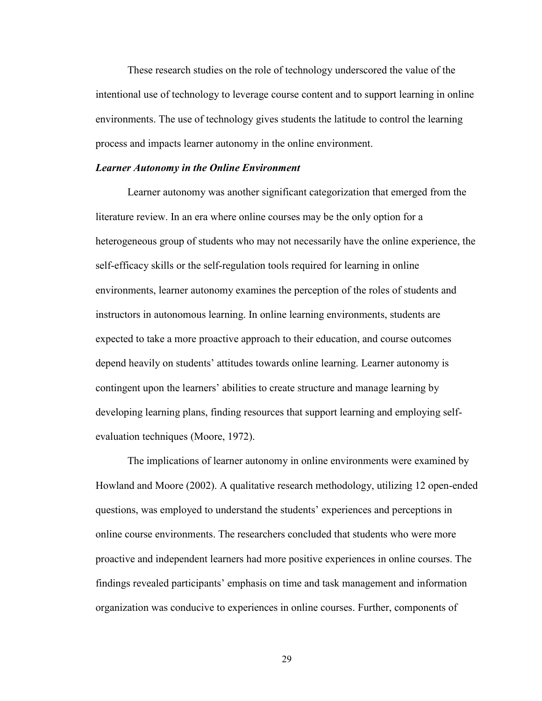These research studies on the role of technology underscored the value of the intentional use of technology to leverage course content and to support learning in online environments. The use of technology gives students the latitude to control the learning process and impacts learner autonomy in the online environment.

#### *Learner Autonomy in the Online Environment*

Learner autonomy was another significant categorization that emerged from the literature review. In an era where online courses may be the only option for a heterogeneous group of students who may not necessarily have the online experience, the self-efficacy skills or the self-regulation tools required for learning in online environments, learner autonomy examines the perception of the roles of students and instructors in autonomous learning. In online learning environments, students are expected to take a more proactive approach to their education, and course outcomes depend heavily on students' attitudes towards online learning. Learner autonomy is contingent upon the learners' abilities to create structure and manage learning by developing learning plans, finding resources that support learning and employing selfevaluation techniques (Moore, 1972).

The implications of learner autonomy in online environments were examined by Howland and Moore (2002). A qualitative research methodology, utilizing 12 open-ended questions, was employed to understand the students' experiences and perceptions in online course environments. The researchers concluded that students who were more proactive and independent learners had more positive experiences in online courses. The findings revealed participants' emphasis on time and task management and information organization was conducive to experiences in online courses. Further, components of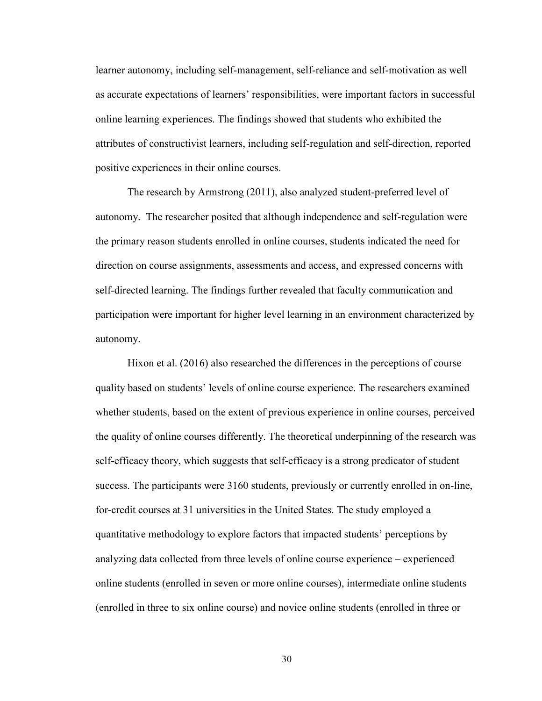learner autonomy, including self-management, self-reliance and self-motivation as well as accurate expectations of learners' responsibilities, were important factors in successful online learning experiences. The findings showed that students who exhibited the attributes of constructivist learners, including self-regulation and self-direction, reported positive experiences in their online courses.

The research by Armstrong (2011), also analyzed student-preferred level of autonomy. The researcher posited that although independence and self-regulation were the primary reason students enrolled in online courses, students indicated the need for direction on course assignments, assessments and access, and expressed concerns with self-directed learning. The findings further revealed that faculty communication and participation were important for higher level learning in an environment characterized by autonomy.

Hixon et al. (2016) also researched the differences in the perceptions of course quality based on students' levels of online course experience. The researchers examined whether students, based on the extent of previous experience in online courses, perceived the quality of online courses differently. The theoretical underpinning of the research was self-efficacy theory, which suggests that self-efficacy is a strong predicator of student success. The participants were 3160 students, previously or currently enrolled in on-line, for-credit courses at 31 universities in the United States. The study employed a quantitative methodology to explore factors that impacted students' perceptions by analyzing data collected from three levels of online course experience – experienced online students (enrolled in seven or more online courses), intermediate online students (enrolled in three to six online course) and novice online students (enrolled in three or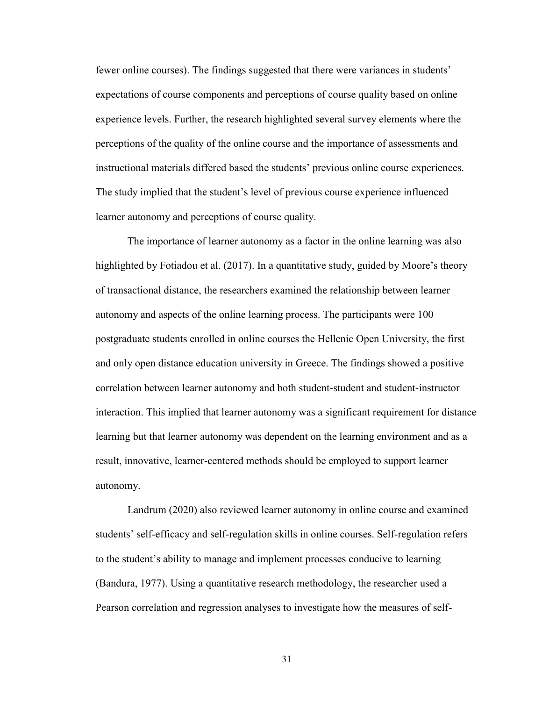fewer online courses). The findings suggested that there were variances in students' expectations of course components and perceptions of course quality based on online experience levels. Further, the research highlighted several survey elements where the perceptions of the quality of the online course and the importance of assessments and instructional materials differed based the students' previous online course experiences. The study implied that the student's level of previous course experience influenced learner autonomy and perceptions of course quality.

The importance of learner autonomy as a factor in the online learning was also highlighted by Fotiadou et al. (2017). In a quantitative study, guided by Moore's theory of transactional distance, the researchers examined the relationship between learner autonomy and aspects of the online learning process. The participants were 100 postgraduate students enrolled in online courses the Hellenic Open University, the first and only open distance education university in Greece. The findings showed a positive correlation between learner autonomy and both student-student and student-instructor interaction. This implied that learner autonomy was a significant requirement for distance learning but that learner autonomy was dependent on the learning environment and as a result, innovative, learner-centered methods should be employed to support learner autonomy.

Landrum (2020) also reviewed learner autonomy in online course and examined students' self-efficacy and self-regulation skills in online courses. Self-regulation refers to the student's ability to manage and implement processes conducive to learning (Bandura, 1977). Using a quantitative research methodology, the researcher used a Pearson correlation and regression analyses to investigate how the measures of self-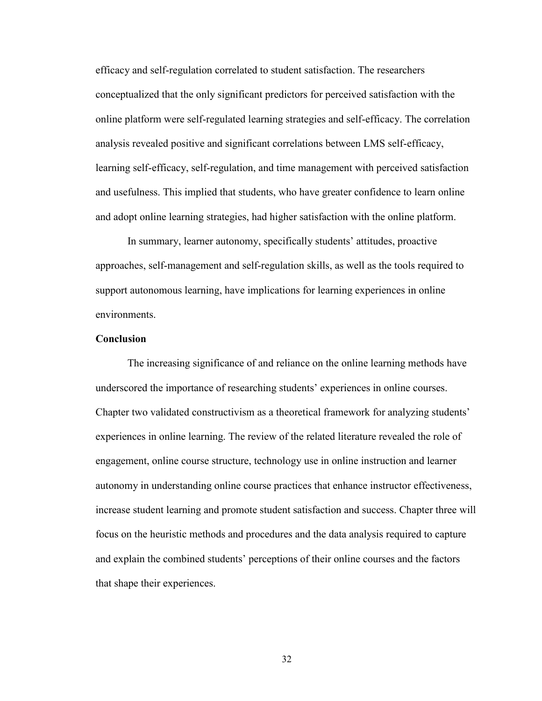efficacy and self-regulation correlated to student satisfaction. The researchers conceptualized that the only significant predictors for perceived satisfaction with the online platform were self-regulated learning strategies and self-efficacy. The correlation analysis revealed positive and significant correlations between LMS self-efficacy, learning self-efficacy, self-regulation, and time management with perceived satisfaction and usefulness. This implied that students, who have greater confidence to learn online and adopt online learning strategies, had higher satisfaction with the online platform.

In summary, learner autonomy, specifically students' attitudes, proactive approaches, self-management and self-regulation skills, as well as the tools required to support autonomous learning, have implications for learning experiences in online environments.

### **Conclusion**

The increasing significance of and reliance on the online learning methods have underscored the importance of researching students' experiences in online courses. Chapter two validated constructivism as a theoretical framework for analyzing students' experiences in online learning. The review of the related literature revealed the role of engagement, online course structure, technology use in online instruction and learner autonomy in understanding online course practices that enhance instructor effectiveness, increase student learning and promote student satisfaction and success. Chapter three will focus on the heuristic methods and procedures and the data analysis required to capture and explain the combined students' perceptions of their online courses and the factors that shape their experiences.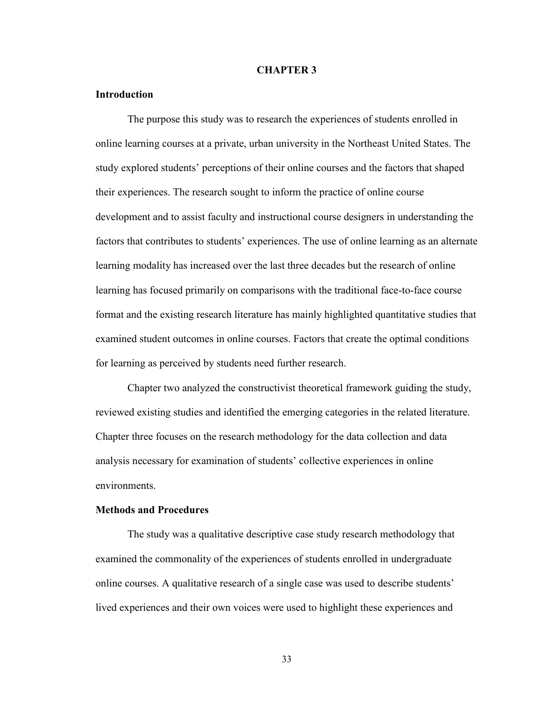#### **CHAPTER 3**

### **Introduction**

The purpose this study was to research the experiences of students enrolled in online learning courses at a private, urban university in the Northeast United States. The study explored students' perceptions of their online courses and the factors that shaped their experiences. The research sought to inform the practice of online course development and to assist faculty and instructional course designers in understanding the factors that contributes to students' experiences. The use of online learning as an alternate learning modality has increased over the last three decades but the research of online learning has focused primarily on comparisons with the traditional face-to-face course format and the existing research literature has mainly highlighted quantitative studies that examined student outcomes in online courses. Factors that create the optimal conditions for learning as perceived by students need further research.

Chapter two analyzed the constructivist theoretical framework guiding the study, reviewed existing studies and identified the emerging categories in the related literature. Chapter three focuses on the research methodology for the data collection and data analysis necessary for examination of students' collective experiences in online environments.

### **Methods and Procedures**

The study was a qualitative descriptive case study research methodology that examined the commonality of the experiences of students enrolled in undergraduate online courses. A qualitative research of a single case was used to describe students' lived experiences and their own voices were used to highlight these experiences and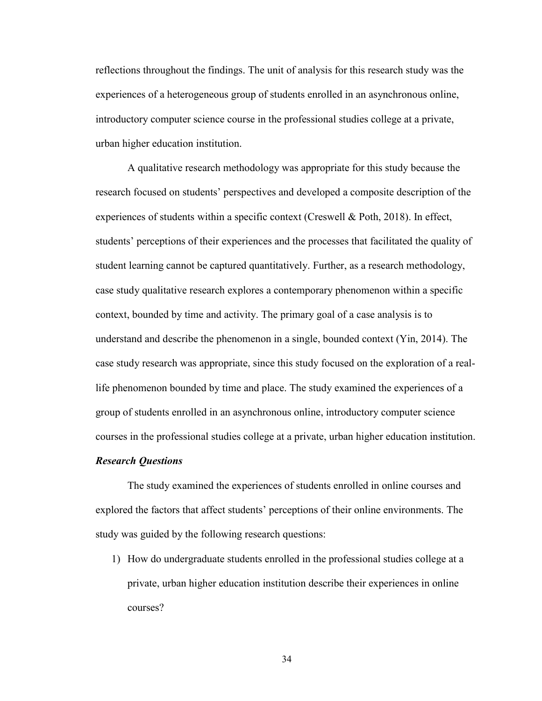reflections throughout the findings. The unit of analysis for this research study was the experiences of a heterogeneous group of students enrolled in an asynchronous online, introductory computer science course in the professional studies college at a private, urban higher education institution.

A qualitative research methodology was appropriate for this study because the research focused on students' perspectives and developed a composite description of the experiences of students within a specific context (Creswell & Poth, 2018). In effect, students' perceptions of their experiences and the processes that facilitated the quality of student learning cannot be captured quantitatively. Further, as a research methodology, case study qualitative research explores a contemporary phenomenon within a specific context, bounded by time and activity. The primary goal of a case analysis is to understand and describe the phenomenon in a single, bounded context (Yin, 2014). The case study research was appropriate, since this study focused on the exploration of a reallife phenomenon bounded by time and place. The study examined the experiences of a group of students enrolled in an asynchronous online, introductory computer science courses in the professional studies college at a private, urban higher education institution.

#### *Research Questions*

The study examined the experiences of students enrolled in online courses and explored the factors that affect students' perceptions of their online environments. The study was guided by the following research questions:

1) How do undergraduate students enrolled in the professional studies college at a private, urban higher education institution describe their experiences in online courses?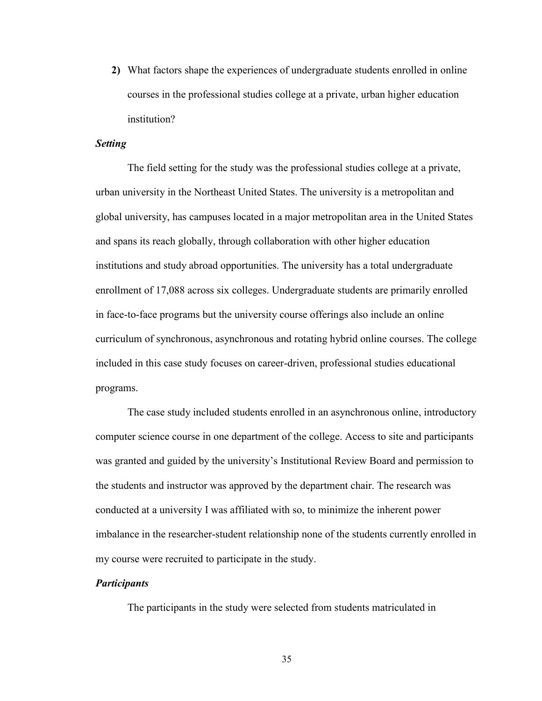**2)** What factors shape the experiences of undergraduate students enrolled in online courses in the professional studies college at a private, urban higher education institution?

#### *Setting*

The field setting for the study was the professional studies college at a private, urban university in the Northeast United States. The university is a metropolitan and global university, has campuses located in a major metropolitan area in the United States and spans its reach globally, through collaboration with other higher education institutions and study abroad opportunities. The university has a total undergraduate enrollment of 17,088 across six colleges. Undergraduate students are primarily enrolled in face-to-face programs but the university course offerings also include an online curriculum of synchronous, asynchronous and rotating hybrid online courses. The college included in this case study focuses on career-driven, professional studies educational programs.

The case study included students enrolled in an asynchronous online, introductory computer science course in one department of the college. Access to site and participants was granted and guided by the university's Institutional Review Board and permission to the students and instructor was approved by the department chair. The research was conducted at a university I was affiliated with so, to minimize the inherent power imbalance in the researcher-student relationship none of the students currently enrolled in my course were recruited to participate in the study.

### *Participants*

The participants in the study were selected from students matriculated in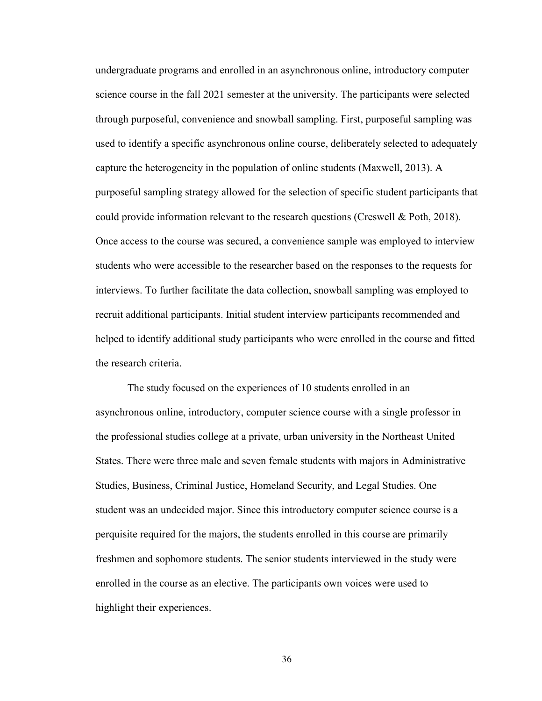undergraduate programs and enrolled in an asynchronous online, introductory computer science course in the fall 2021 semester at the university. The participants were selected through purposeful, convenience and snowball sampling. First, purposeful sampling was used to identify a specific asynchronous online course, deliberately selected to adequately capture the heterogeneity in the population of online students (Maxwell, 2013). A purposeful sampling strategy allowed for the selection of specific student participants that could provide information relevant to the research questions (Creswell & Poth, 2018). Once access to the course was secured, a convenience sample was employed to interview students who were accessible to the researcher based on the responses to the requests for interviews. To further facilitate the data collection, snowball sampling was employed to recruit additional participants. Initial student interview participants recommended and helped to identify additional study participants who were enrolled in the course and fitted the research criteria.

The study focused on the experiences of 10 students enrolled in an asynchronous online, introductory, computer science course with a single professor in the professional studies college at a private, urban university in the Northeast United States. There were three male and seven female students with majors in Administrative Studies, Business, Criminal Justice, Homeland Security, and Legal Studies. One student was an undecided major. Since this introductory computer science course is a perquisite required for the majors, the students enrolled in this course are primarily freshmen and sophomore students. The senior students interviewed in the study were enrolled in the course as an elective. The participants own voices were used to highlight their experiences.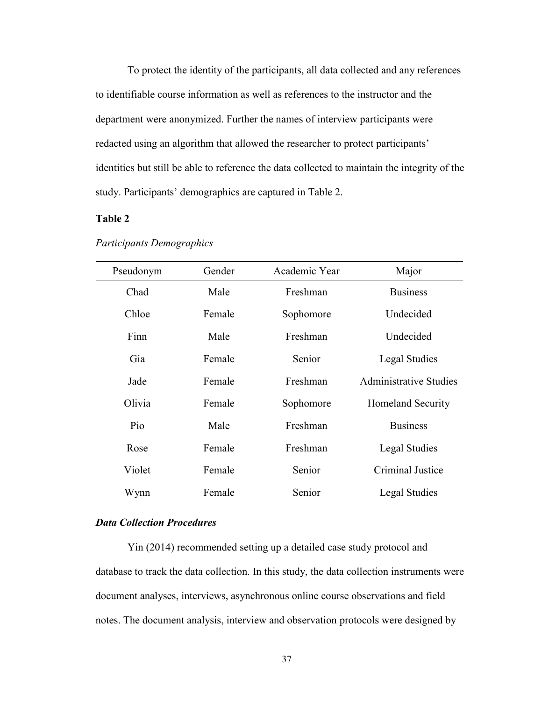To protect the identity of the participants, all data collected and any references to identifiable course information as well as references to the instructor and the department were anonymized. Further the names of interview participants were redacted using an algorithm that allowed the researcher to protect participants' identities but still be able to reference the data collected to maintain the integrity of the study. Participants' demographics are captured in Table 2.

# **Table 2**

| Pseudonym | Gender | Academic Year | Major                         |
|-----------|--------|---------------|-------------------------------|
| Chad      | Male   | Freshman      | <b>Business</b>               |
| Chloe     | Female | Sophomore     | Undecided                     |
| Finn      | Male   | Freshman      | Undecided                     |
| Gia       | Female | Senior        | Legal Studies                 |
| Jade      | Female | Freshman      | <b>Administrative Studies</b> |
| Olivia    | Female | Sophomore     | Homeland Security             |
| Pio       | Male   | Freshman      | <b>Business</b>               |
| Rose      | Female | Freshman      | Legal Studies                 |
| Violet    | Female | Senior        | Criminal Justice              |
| Wynn      | Female | Senior        | Legal Studies                 |

#### *Participants Demographics*

## *Data Collection Procedures*

Yin (2014) recommended setting up a detailed case study protocol and database to track the data collection. In this study, the data collection instruments were document analyses, interviews, asynchronous online course observations and field notes. The document analysis, interview and observation protocols were designed by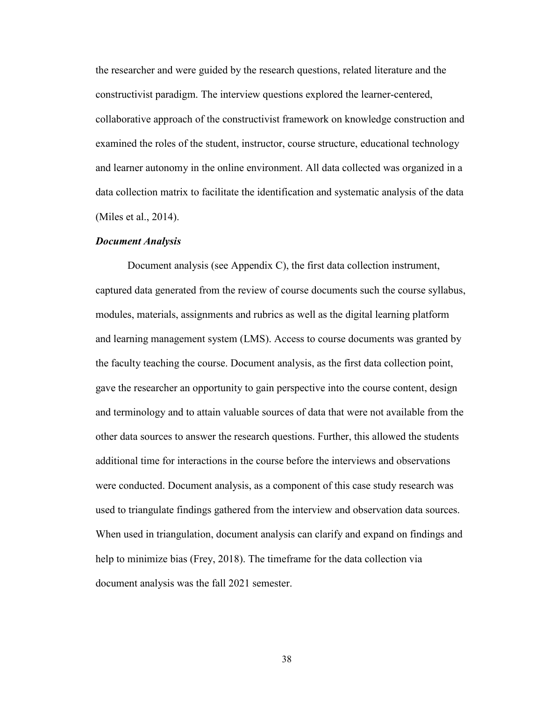the researcher and were guided by the research questions, related literature and the constructivist paradigm. The interview questions explored the learner-centered, collaborative approach of the constructivist framework on knowledge construction and examined the roles of the student, instructor, course structure, educational technology and learner autonomy in the online environment. All data collected was organized in a data collection matrix to facilitate the identification and systematic analysis of the data (Miles et al., 2014).

#### *Document Analysis*

Document analysis (see Appendix C), the first data collection instrument, captured data generated from the review of course documents such the course syllabus, modules, materials, assignments and rubrics as well as the digital learning platform and learning management system (LMS). Access to course documents was granted by the faculty teaching the course. Document analysis, as the first data collection point, gave the researcher an opportunity to gain perspective into the course content, design and terminology and to attain valuable sources of data that were not available from the other data sources to answer the research questions. Further, this allowed the students additional time for interactions in the course before the interviews and observations were conducted. Document analysis, as a component of this case study research was used to triangulate findings gathered from the interview and observation data sources. When used in triangulation, document analysis can clarify and expand on findings and help to minimize bias (Frey, 2018). The timeframe for the data collection via document analysis was the fall 2021 semester.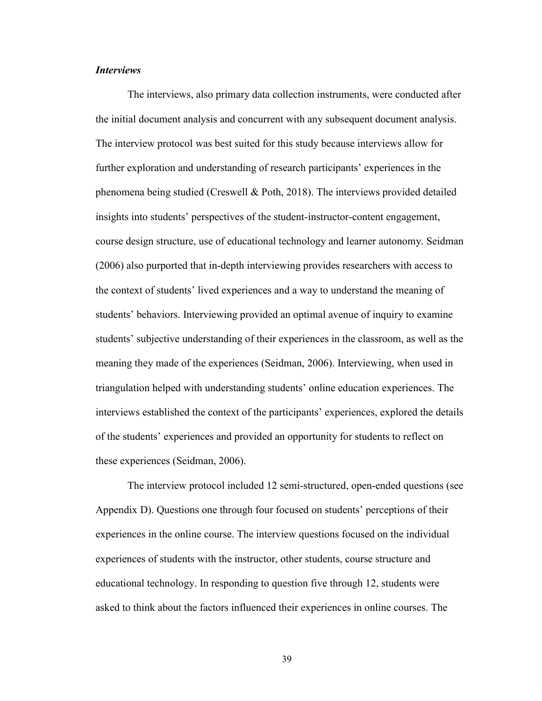### *Interviews*

The interviews, also primary data collection instruments, were conducted after the initial document analysis and concurrent with any subsequent document analysis. The interview protocol was best suited for this study because interviews allow for further exploration and understanding of research participants' experiences in the phenomena being studied (Creswell & Poth, 2018). The interviews provided detailed insights into students' perspectives of the student-instructor-content engagement, course design structure, use of educational technology and learner autonomy. Seidman (2006) also purported that in-depth interviewing provides researchers with access to the context of students' lived experiences and a way to understand the meaning of students' behaviors. Interviewing provided an optimal avenue of inquiry to examine students' subjective understanding of their experiences in the classroom, as well as the meaning they made of the experiences (Seidman, 2006). Interviewing, when used in triangulation helped with understanding students' online education experiences. The interviews established the context of the participants' experiences, explored the details of the students' experiences and provided an opportunity for students to reflect on these experiences (Seidman, 2006).

The interview protocol included 12 semi-structured, open-ended questions (see Appendix D). Questions one through four focused on students' perceptions of their experiences in the online course. The interview questions focused on the individual experiences of students with the instructor, other students, course structure and educational technology. In responding to question five through 12, students were asked to think about the factors influenced their experiences in online courses. The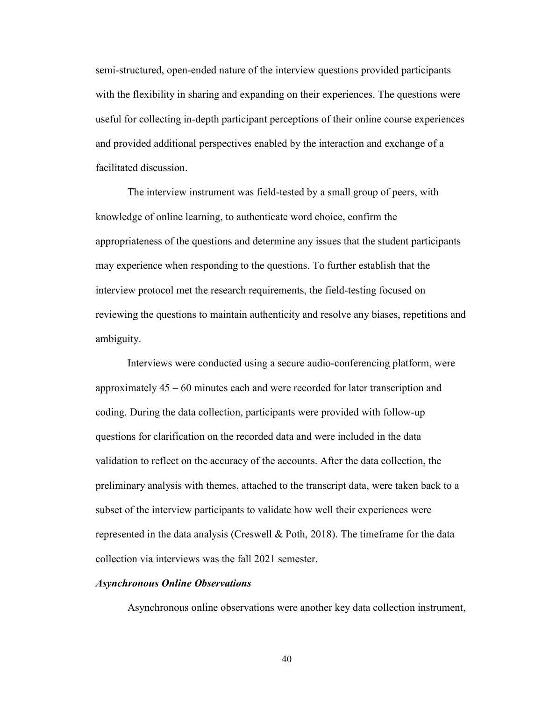semi-structured, open-ended nature of the interview questions provided participants with the flexibility in sharing and expanding on their experiences. The questions were useful for collecting in-depth participant perceptions of their online course experiences and provided additional perspectives enabled by the interaction and exchange of a facilitated discussion.

The interview instrument was field-tested by a small group of peers, with knowledge of online learning, to authenticate word choice, confirm the appropriateness of the questions and determine any issues that the student participants may experience when responding to the questions. To further establish that the interview protocol met the research requirements, the field-testing focused on reviewing the questions to maintain authenticity and resolve any biases, repetitions and ambiguity.

Interviews were conducted using a secure audio-conferencing platform, were approximately 45 – 60 minutes each and were recorded for later transcription and coding. During the data collection, participants were provided with follow-up questions for clarification on the recorded data and were included in the data validation to reflect on the accuracy of the accounts. After the data collection, the preliminary analysis with themes, attached to the transcript data, were taken back to a subset of the interview participants to validate how well their experiences were represented in the data analysis (Creswell & Poth, 2018). The timeframe for the data collection via interviews was the fall 2021 semester.

### *Asynchronous Online Observations*

Asynchronous online observations were another key data collection instrument,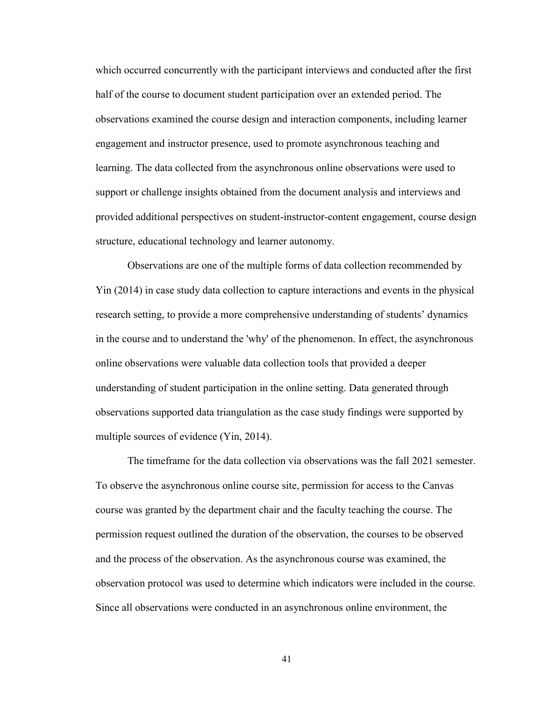which occurred concurrently with the participant interviews and conducted after the first half of the course to document student participation over an extended period. The observations examined the course design and interaction components, including learner engagement and instructor presence, used to promote asynchronous teaching and learning. The data collected from the asynchronous online observations were used to support or challenge insights obtained from the document analysis and interviews and provided additional perspectives on student-instructor-content engagement, course design structure, educational technology and learner autonomy.

Observations are one of the multiple forms of data collection recommended by Yin (2014) in case study data collection to capture interactions and events in the physical research setting, to provide a more comprehensive understanding of students' dynamics in the course and to understand the 'why' of the phenomenon. In effect, the asynchronous online observations were valuable data collection tools that provided a deeper understanding of student participation in the online setting. Data generated through observations supported data triangulation as the case study findings were supported by multiple sources of evidence (Yin, 2014).

The timeframe for the data collection via observations was the fall 2021 semester. To observe the asynchronous online course site, permission for access to the Canvas course was granted by the department chair and the faculty teaching the course. The permission request outlined the duration of the observation, the courses to be observed and the process of the observation. As the asynchronous course was examined, the observation protocol was used to determine which indicators were included in the course. Since all observations were conducted in an asynchronous online environment, the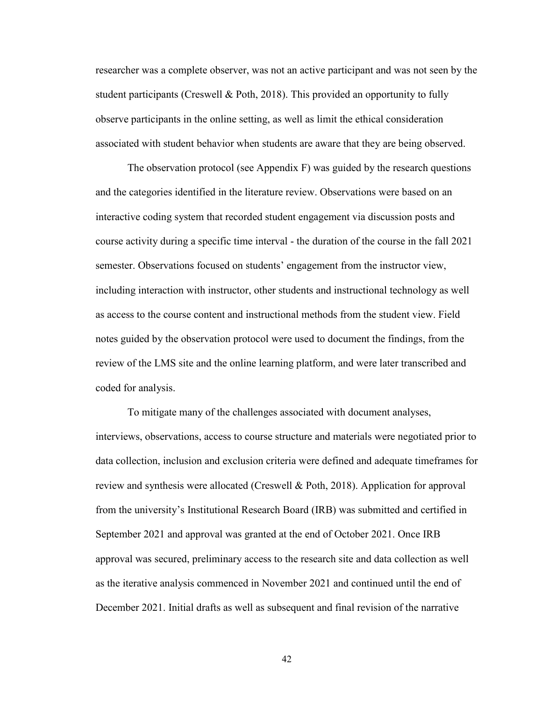researcher was a complete observer, was not an active participant and was not seen by the student participants (Creswell & Poth, 2018). This provided an opportunity to fully observe participants in the online setting, as well as limit the ethical consideration associated with student behavior when students are aware that they are being observed.

The observation protocol (see Appendix F) was guided by the research questions and the categories identified in the literature review. Observations were based on an interactive coding system that recorded student engagement via discussion posts and course activity during a specific time interval - the duration of the course in the fall 2021 semester. Observations focused on students' engagement from the instructor view, including interaction with instructor, other students and instructional technology as well as access to the course content and instructional methods from the student view. Field notes guided by the observation protocol were used to document the findings, from the review of the LMS site and the online learning platform, and were later transcribed and coded for analysis.

To mitigate many of the challenges associated with document analyses, interviews, observations, access to course structure and materials were negotiated prior to data collection, inclusion and exclusion criteria were defined and adequate timeframes for review and synthesis were allocated (Creswell & Poth, 2018). Application for approval from the university's Institutional Research Board (IRB) was submitted and certified in September 2021 and approval was granted at the end of October 2021. Once IRB approval was secured, preliminary access to the research site and data collection as well as the iterative analysis commenced in November 2021 and continued until the end of December 2021. Initial drafts as well as subsequent and final revision of the narrative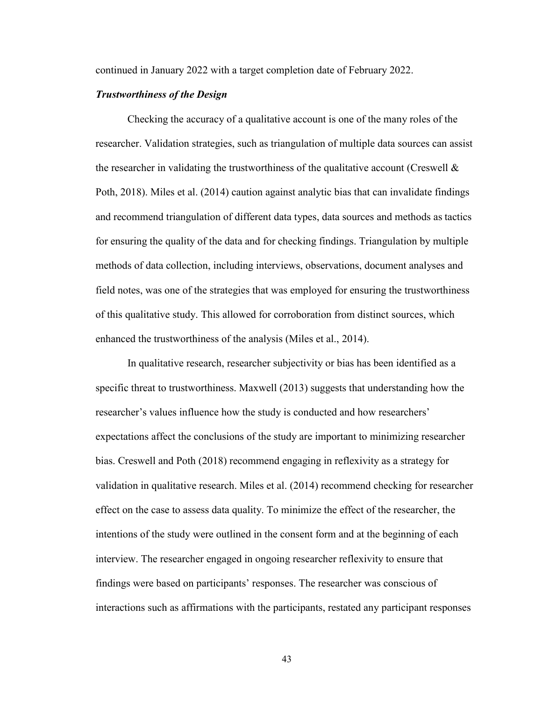continued in January 2022 with a target completion date of February 2022.

### *Trustworthiness of the Design*

Checking the accuracy of a qualitative account is one of the many roles of the researcher. Validation strategies, such as triangulation of multiple data sources can assist the researcher in validating the trustworthiness of the qualitative account (Creswell  $\&$ Poth, 2018). Miles et al. (2014) caution against analytic bias that can invalidate findings and recommend triangulation of different data types, data sources and methods as tactics for ensuring the quality of the data and for checking findings. Triangulation by multiple methods of data collection, including interviews, observations, document analyses and field notes, was one of the strategies that was employed for ensuring the trustworthiness of this qualitative study. This allowed for corroboration from distinct sources, which enhanced the trustworthiness of the analysis (Miles et al., 2014).

In qualitative research, researcher subjectivity or bias has been identified as a specific threat to trustworthiness. Maxwell (2013) suggests that understanding how the researcher's values influence how the study is conducted and how researchers' expectations affect the conclusions of the study are important to minimizing researcher bias. Creswell and Poth (2018) recommend engaging in reflexivity as a strategy for validation in qualitative research. Miles et al. (2014) recommend checking for researcher effect on the case to assess data quality. To minimize the effect of the researcher, the intentions of the study were outlined in the consent form and at the beginning of each interview. The researcher engaged in ongoing researcher reflexivity to ensure that findings were based on participants' responses. The researcher was conscious of interactions such as affirmations with the participants, restated any participant responses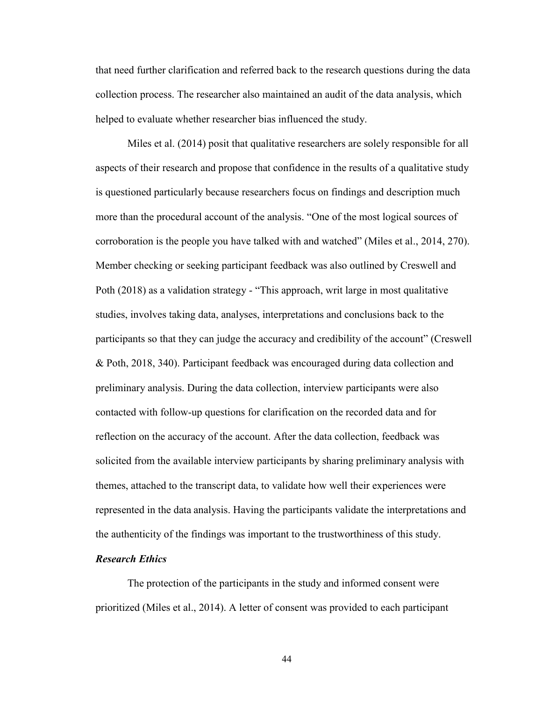that need further clarification and referred back to the research questions during the data collection process. The researcher also maintained an audit of the data analysis, which helped to evaluate whether researcher bias influenced the study.

Miles et al. (2014) posit that qualitative researchers are solely responsible for all aspects of their research and propose that confidence in the results of a qualitative study is questioned particularly because researchers focus on findings and description much more than the procedural account of the analysis. "One of the most logical sources of corroboration is the people you have talked with and watched" (Miles et al., 2014, 270). Member checking or seeking participant feedback was also outlined by Creswell and Poth (2018) as a validation strategy - "This approach, writ large in most qualitative studies, involves taking data, analyses, interpretations and conclusions back to the participants so that they can judge the accuracy and credibility of the account" (Creswell & Poth, 2018, 340). Participant feedback was encouraged during data collection and preliminary analysis. During the data collection, interview participants were also contacted with follow-up questions for clarification on the recorded data and for reflection on the accuracy of the account. After the data collection, feedback was solicited from the available interview participants by sharing preliminary analysis with themes, attached to the transcript data, to validate how well their experiences were represented in the data analysis. Having the participants validate the interpretations and the authenticity of the findings was important to the trustworthiness of this study.

#### *Research Ethics*

The protection of the participants in the study and informed consent were prioritized (Miles et al., 2014). A letter of consent was provided to each participant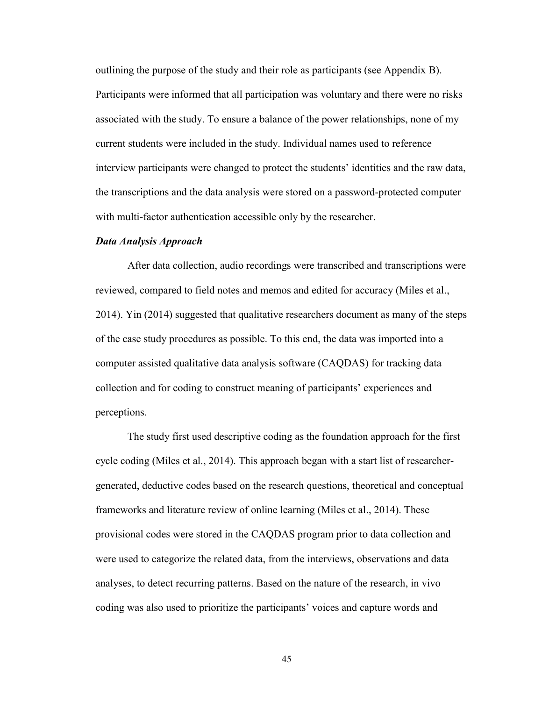outlining the purpose of the study and their role as participants (see Appendix B). Participants were informed that all participation was voluntary and there were no risks associated with the study. To ensure a balance of the power relationships, none of my current students were included in the study. Individual names used to reference interview participants were changed to protect the students' identities and the raw data, the transcriptions and the data analysis were stored on a password-protected computer with multi-factor authentication accessible only by the researcher.

#### *Data Analysis Approach*

After data collection, audio recordings were transcribed and transcriptions were reviewed, compared to field notes and memos and edited for accuracy (Miles et al., 2014). Yin (2014) suggested that qualitative researchers document as many of the steps of the case study procedures as possible. To this end, the data was imported into a computer assisted qualitative data analysis software (CAQDAS) for tracking data collection and for coding to construct meaning of participants' experiences and perceptions.

The study first used descriptive coding as the foundation approach for the first cycle coding (Miles et al., 2014). This approach began with a start list of researchergenerated, deductive codes based on the research questions, theoretical and conceptual frameworks and literature review of online learning (Miles et al., 2014). These provisional codes were stored in the CAQDAS program prior to data collection and were used to categorize the related data, from the interviews, observations and data analyses, to detect recurring patterns. Based on the nature of the research, in vivo coding was also used to prioritize the participants' voices and capture words and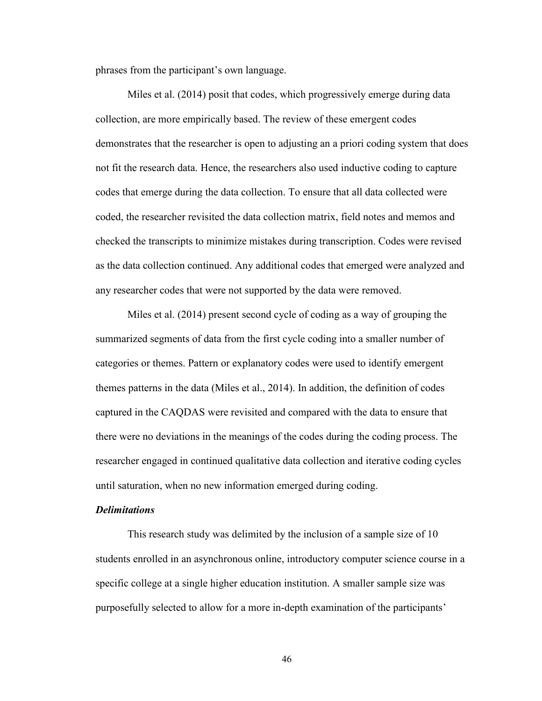phrases from the participant's own language.

Miles et al. (2014) posit that codes, which progressively emerge during data collection, are more empirically based. The review of these emergent codes demonstrates that the researcher is open to adjusting an a priori coding system that does not fit the research data. Hence, the researchers also used inductive coding to capture codes that emerge during the data collection. To ensure that all data collected were coded, the researcher revisited the data collection matrix, field notes and memos and checked the transcripts to minimize mistakes during transcription. Codes were revised as the data collection continued. Any additional codes that emerged were analyzed and any researcher codes that were not supported by the data were removed.

Miles et al. (2014) present second cycle of coding as a way of grouping the summarized segments of data from the first cycle coding into a smaller number of categories or themes. Pattern or explanatory codes were used to identify emergent themes patterns in the data (Miles et al., 2014). In addition, the definition of codes captured in the CAQDAS were revisited and compared with the data to ensure that there were no deviations in the meanings of the codes during the coding process. The researcher engaged in continued qualitative data collection and iterative coding cycles until saturation, when no new information emerged during coding.

### *Delimitations*

This research study was delimited by the inclusion of a sample size of 10 students enrolled in an asynchronous online, introductory computer science course in a specific college at a single higher education institution. A smaller sample size was purposefully selected to allow for a more in-depth examination of the participants'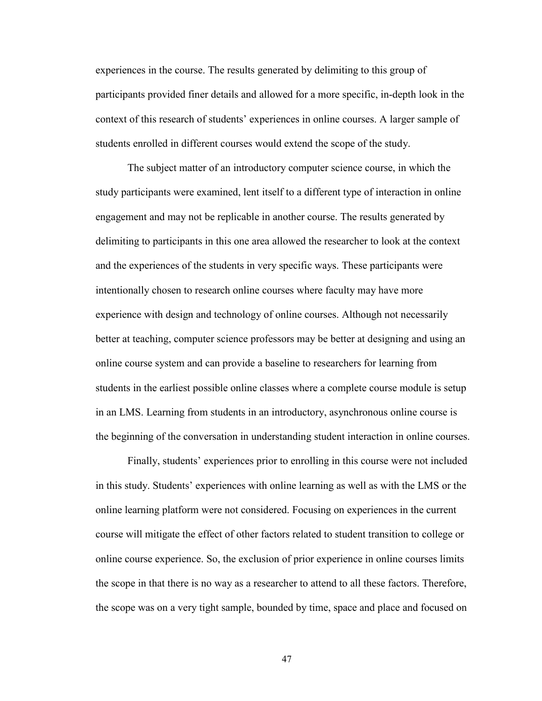experiences in the course. The results generated by delimiting to this group of participants provided finer details and allowed for a more specific, in-depth look in the context of this research of students' experiences in online courses. A larger sample of students enrolled in different courses would extend the scope of the study.

The subject matter of an introductory computer science course, in which the study participants were examined, lent itself to a different type of interaction in online engagement and may not be replicable in another course. The results generated by delimiting to participants in this one area allowed the researcher to look at the context and the experiences of the students in very specific ways. These participants were intentionally chosen to research online courses where faculty may have more experience with design and technology of online courses. Although not necessarily better at teaching, computer science professors may be better at designing and using an online course system and can provide a baseline to researchers for learning from students in the earliest possible online classes where a complete course module is setup in an LMS. Learning from students in an introductory, asynchronous online course is the beginning of the conversation in understanding student interaction in online courses.

Finally, students' experiences prior to enrolling in this course were not included in this study. Students' experiences with online learning as well as with the LMS or the online learning platform were not considered. Focusing on experiences in the current course will mitigate the effect of other factors related to student transition to college or online course experience. So, the exclusion of prior experience in online courses limits the scope in that there is no way as a researcher to attend to all these factors. Therefore, the scope was on a very tight sample, bounded by time, space and place and focused on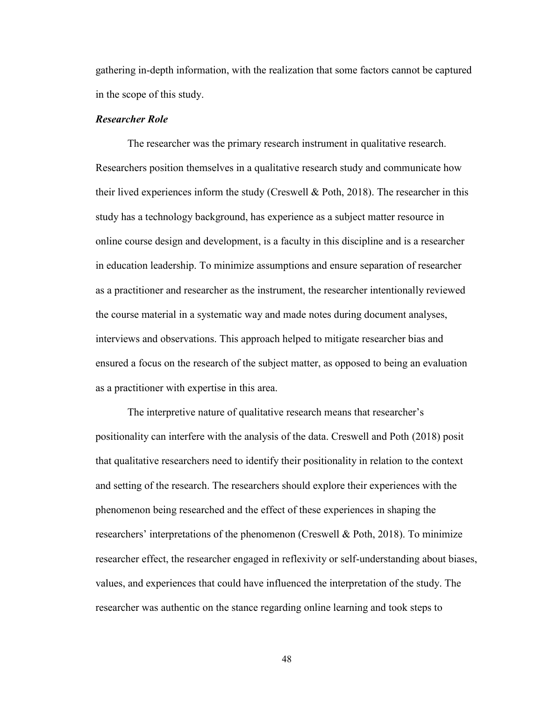gathering in-depth information, with the realization that some factors cannot be captured in the scope of this study.

### *Researcher Role*

The researcher was the primary research instrument in qualitative research. Researchers position themselves in a qualitative research study and communicate how their lived experiences inform the study (Creswell  $\&$  Poth, 2018). The researcher in this study has a technology background, has experience as a subject matter resource in online course design and development, is a faculty in this discipline and is a researcher in education leadership. To minimize assumptions and ensure separation of researcher as a practitioner and researcher as the instrument, the researcher intentionally reviewed the course material in a systematic way and made notes during document analyses, interviews and observations. This approach helped to mitigate researcher bias and ensured a focus on the research of the subject matter, as opposed to being an evaluation as a practitioner with expertise in this area.

The interpretive nature of qualitative research means that researcher's positionality can interfere with the analysis of the data. Creswell and Poth (2018) posit that qualitative researchers need to identify their positionality in relation to the context and setting of the research. The researchers should explore their experiences with the phenomenon being researched and the effect of these experiences in shaping the researchers' interpretations of the phenomenon (Creswell & Poth, 2018). To minimize researcher effect, the researcher engaged in reflexivity or self-understanding about biases, values, and experiences that could have influenced the interpretation of the study. The researcher was authentic on the stance regarding online learning and took steps to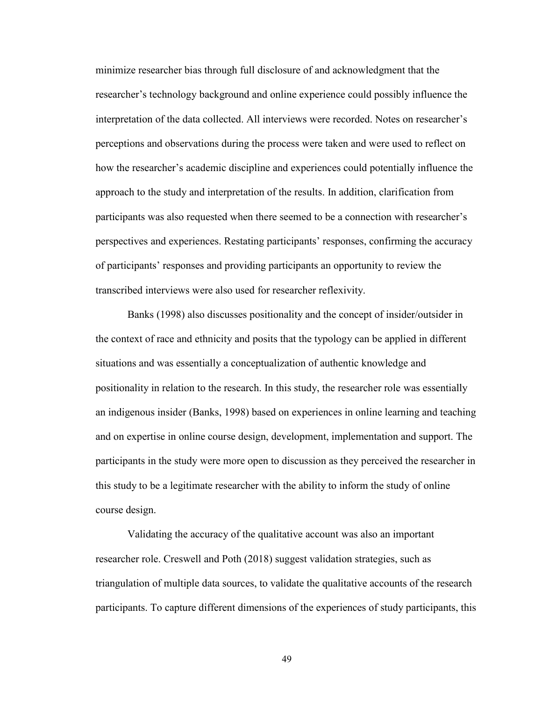minimize researcher bias through full disclosure of and acknowledgment that the researcher's technology background and online experience could possibly influence the interpretation of the data collected. All interviews were recorded. Notes on researcher's perceptions and observations during the process were taken and were used to reflect on how the researcher's academic discipline and experiences could potentially influence the approach to the study and interpretation of the results. In addition, clarification from participants was also requested when there seemed to be a connection with researcher's perspectives and experiences. Restating participants' responses, confirming the accuracy of participants' responses and providing participants an opportunity to review the transcribed interviews were also used for researcher reflexivity.

Banks (1998) also discusses positionality and the concept of insider/outsider in the context of race and ethnicity and posits that the typology can be applied in different situations and was essentially a conceptualization of authentic knowledge and positionality in relation to the research. In this study, the researcher role was essentially an indigenous insider (Banks, 1998) based on experiences in online learning and teaching and on expertise in online course design, development, implementation and support. The participants in the study were more open to discussion as they perceived the researcher in this study to be a legitimate researcher with the ability to inform the study of online course design.

Validating the accuracy of the qualitative account was also an important researcher role. Creswell and Poth (2018) suggest validation strategies, such as triangulation of multiple data sources, to validate the qualitative accounts of the research participants. To capture different dimensions of the experiences of study participants, this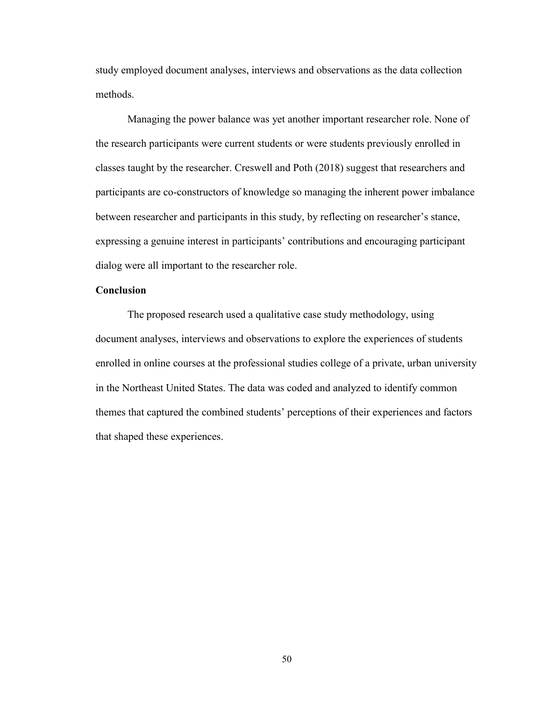study employed document analyses, interviews and observations as the data collection methods.

Managing the power balance was yet another important researcher role. None of the research participants were current students or were students previously enrolled in classes taught by the researcher. Creswell and Poth (2018) suggest that researchers and participants are co-constructors of knowledge so managing the inherent power imbalance between researcher and participants in this study, by reflecting on researcher's stance, expressing a genuine interest in participants' contributions and encouraging participant dialog were all important to the researcher role.

# **Conclusion**

The proposed research used a qualitative case study methodology, using document analyses, interviews and observations to explore the experiences of students enrolled in online courses at the professional studies college of a private, urban university in the Northeast United States. The data was coded and analyzed to identify common themes that captured the combined students' perceptions of their experiences and factors that shaped these experiences.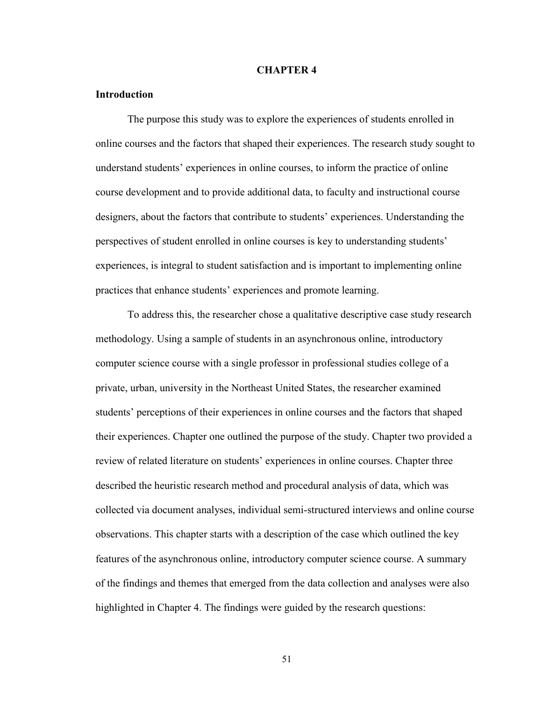#### **CHAPTER 4**

#### **Introduction**

The purpose this study was to explore the experiences of students enrolled in online courses and the factors that shaped their experiences. The research study sought to understand students' experiences in online courses, to inform the practice of online course development and to provide additional data, to faculty and instructional course designers, about the factors that contribute to students' experiences. Understanding the perspectives of student enrolled in online courses is key to understanding students' experiences, is integral to student satisfaction and is important to implementing online practices that enhance students' experiences and promote learning.

To address this, the researcher chose a qualitative descriptive case study research methodology. Using a sample of students in an asynchronous online, introductory computer science course with a single professor in professional studies college of a private, urban, university in the Northeast United States, the researcher examined students' perceptions of their experiences in online courses and the factors that shaped their experiences. Chapter one outlined the purpose of the study. Chapter two provided a review of related literature on students' experiences in online courses. Chapter three described the heuristic research method and procedural analysis of data, which was collected via document analyses, individual semi-structured interviews and online course observations. This chapter starts with a description of the case which outlined the key features of the asynchronous online, introductory computer science course. A summary of the findings and themes that emerged from the data collection and analyses were also highlighted in Chapter 4. The findings were guided by the research questions: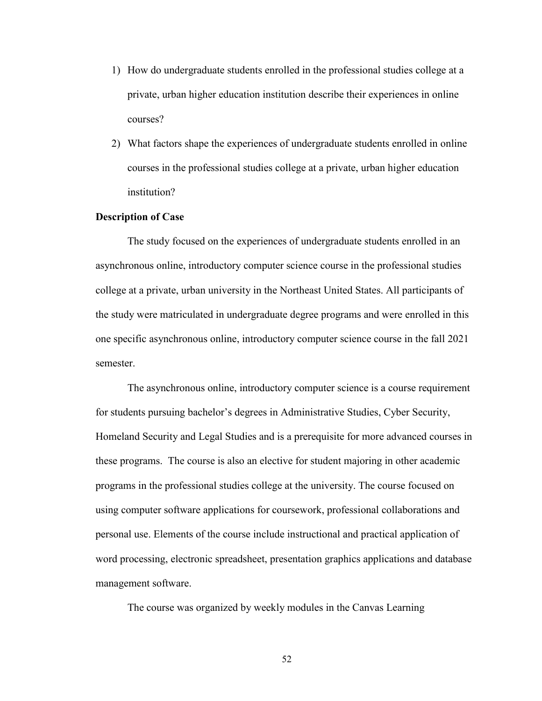- 1) How do undergraduate students enrolled in the professional studies college at a private, urban higher education institution describe their experiences in online courses?
- 2) What factors shape the experiences of undergraduate students enrolled in online courses in the professional studies college at a private, urban higher education institution?

#### **Description of Case**

The study focused on the experiences of undergraduate students enrolled in an asynchronous online, introductory computer science course in the professional studies college at a private, urban university in the Northeast United States. All participants of the study were matriculated in undergraduate degree programs and were enrolled in this one specific asynchronous online, introductory computer science course in the fall 2021 semester.

The asynchronous online, introductory computer science is a course requirement for students pursuing bachelor's degrees in Administrative Studies, Cyber Security, Homeland Security and Legal Studies and is a prerequisite for more advanced courses in these programs. The course is also an elective for student majoring in other academic programs in the professional studies college at the university. The course focused on using computer software applications for coursework, professional collaborations and personal use. Elements of the course include instructional and practical application of word processing, electronic spreadsheet, presentation graphics applications and database management software.

The course was organized by weekly modules in the Canvas Learning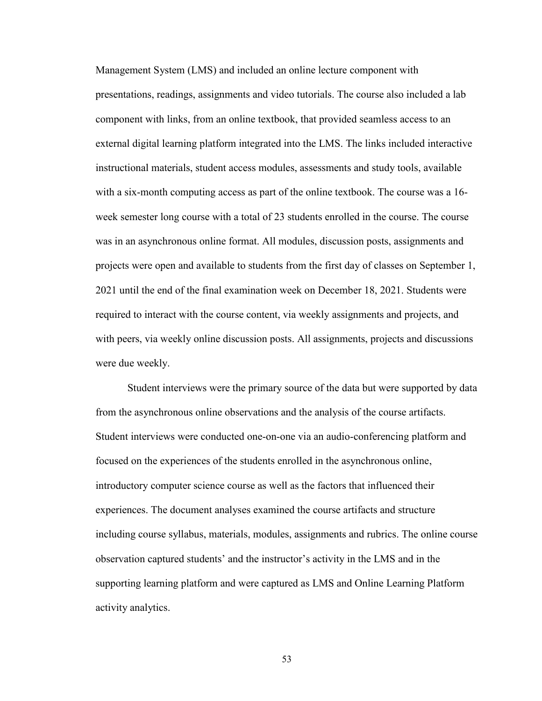Management System (LMS) and included an online lecture component with presentations, readings, assignments and video tutorials. The course also included a lab component with links, from an online textbook, that provided seamless access to an external digital learning platform integrated into the LMS. The links included interactive instructional materials, student access modules, assessments and study tools, available with a six-month computing access as part of the online textbook. The course was a 16 week semester long course with a total of 23 students enrolled in the course. The course was in an asynchronous online format. All modules, discussion posts, assignments and projects were open and available to students from the first day of classes on September 1, 2021 until the end of the final examination week on December 18, 2021. Students were required to interact with the course content, via weekly assignments and projects, and with peers, via weekly online discussion posts. All assignments, projects and discussions were due weekly.

Student interviews were the primary source of the data but were supported by data from the asynchronous online observations and the analysis of the course artifacts. Student interviews were conducted one-on-one via an audio-conferencing platform and focused on the experiences of the students enrolled in the asynchronous online, introductory computer science course as well as the factors that influenced their experiences. The document analyses examined the course artifacts and structure including course syllabus, materials, modules, assignments and rubrics. The online course observation captured students' and the instructor's activity in the LMS and in the supporting learning platform and were captured as LMS and Online Learning Platform activity analytics.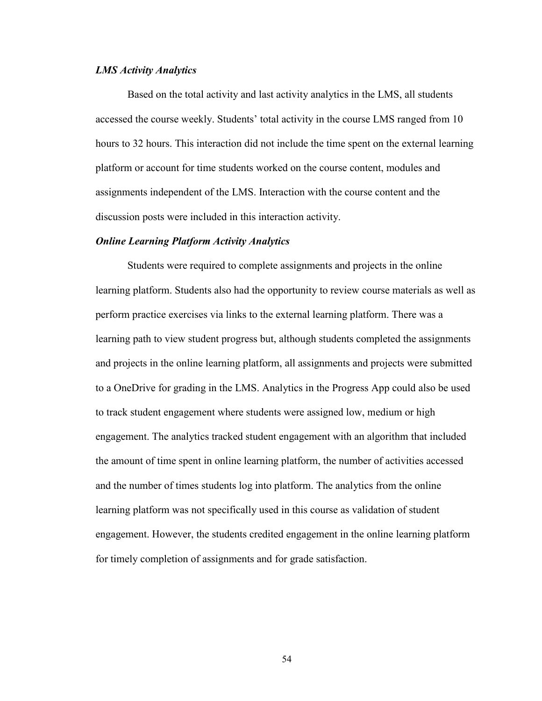#### *LMS Activity Analytics*

Based on the total activity and last activity analytics in the LMS, all students accessed the course weekly. Students' total activity in the course LMS ranged from 10 hours to 32 hours. This interaction did not include the time spent on the external learning platform or account for time students worked on the course content, modules and assignments independent of the LMS. Interaction with the course content and the discussion posts were included in this interaction activity.

#### *Online Learning Platform Activity Analytics*

Students were required to complete assignments and projects in the online learning platform. Students also had the opportunity to review course materials as well as perform practice exercises via links to the external learning platform. There was a learning path to view student progress but, although students completed the assignments and projects in the online learning platform, all assignments and projects were submitted to a OneDrive for grading in the LMS. Analytics in the Progress App could also be used to track student engagement where students were assigned low, medium or high engagement. The analytics tracked student engagement with an algorithm that included the amount of time spent in online learning platform, the number of activities accessed and the number of times students log into platform. The analytics from the online learning platform was not specifically used in this course as validation of student engagement. However, the students credited engagement in the online learning platform for timely completion of assignments and for grade satisfaction.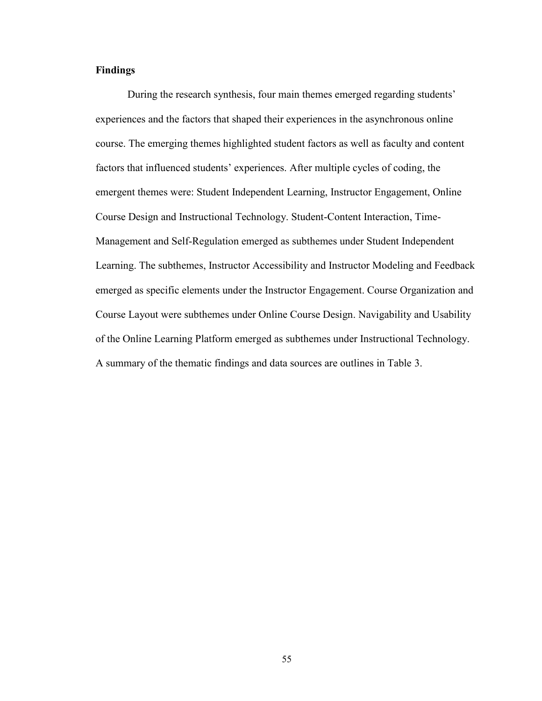## **Findings**

During the research synthesis, four main themes emerged regarding students' experiences and the factors that shaped their experiences in the asynchronous online course. The emerging themes highlighted student factors as well as faculty and content factors that influenced students' experiences. After multiple cycles of coding, the emergent themes were: Student Independent Learning, Instructor Engagement, Online Course Design and Instructional Technology. Student-Content Interaction, Time-Management and Self-Regulation emerged as subthemes under Student Independent Learning. The subthemes, Instructor Accessibility and Instructor Modeling and Feedback emerged as specific elements under the Instructor Engagement. Course Organization and Course Layout were subthemes under Online Course Design. Navigability and Usability of the Online Learning Platform emerged as subthemes under Instructional Technology. A summary of the thematic findings and data sources are outlines in Table 3.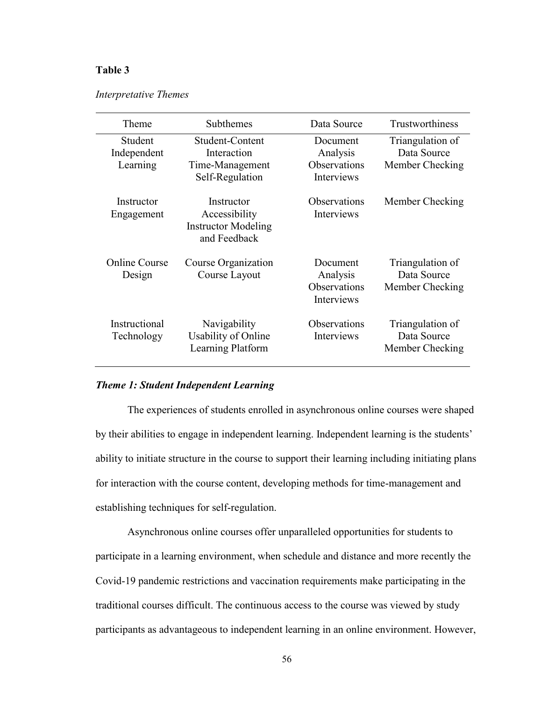# **Table 3**

| Interpretative Themes |  |
|-----------------------|--|
|-----------------------|--|

| Theme                              | Subthemes                                                                 | Data Source                                        | Trustworthiness                                    |
|------------------------------------|---------------------------------------------------------------------------|----------------------------------------------------|----------------------------------------------------|
| Student<br>Independent<br>Learning | Student-Content<br>Interaction<br>Time-Management<br>Self-Regulation      | Document<br>Analysis<br>Observations<br>Interviews | Triangulation of<br>Data Source<br>Member Checking |
| Instructor<br>Engagement           | Instructor<br>Accessibility<br><b>Instructor Modeling</b><br>and Feedback | Observations<br>Interviews                         | Member Checking                                    |
| <b>Online Course</b><br>Design     | Course Organization<br>Course Layout                                      | Document<br>Analysis<br>Observations<br>Interviews | Triangulation of<br>Data Source<br>Member Checking |
| Instructional<br>Technology        | Navigability<br>Usability of Online<br>Learning Platform                  | <b>Observations</b><br>Interviews                  | Triangulation of<br>Data Source<br>Member Checking |

## *Theme 1: Student Independent Learning*

The experiences of students enrolled in asynchronous online courses were shaped by their abilities to engage in independent learning. Independent learning is the students' ability to initiate structure in the course to support their learning including initiating plans for interaction with the course content, developing methods for time-management and establishing techniques for self-regulation.

Asynchronous online courses offer unparalleled opportunities for students to participate in a learning environment, when schedule and distance and more recently the Covid-19 pandemic restrictions and vaccination requirements make participating in the traditional courses difficult. The continuous access to the course was viewed by study participants as advantageous to independent learning in an online environment. However,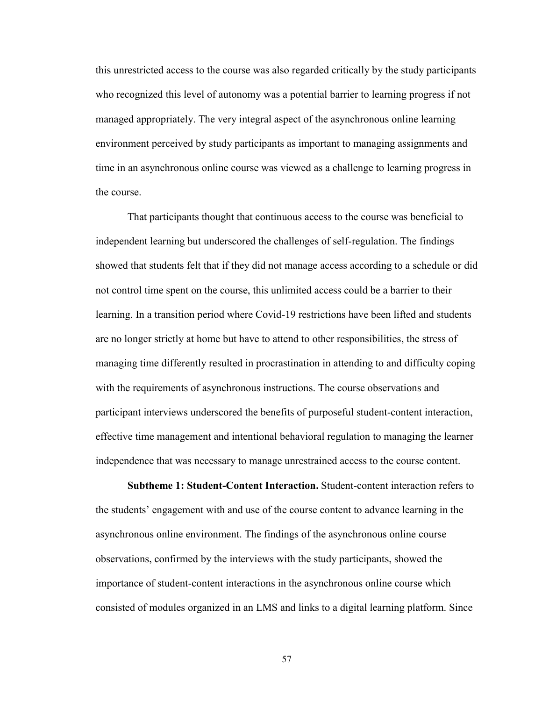this unrestricted access to the course was also regarded critically by the study participants who recognized this level of autonomy was a potential barrier to learning progress if not managed appropriately. The very integral aspect of the asynchronous online learning environment perceived by study participants as important to managing assignments and time in an asynchronous online course was viewed as a challenge to learning progress in the course.

That participants thought that continuous access to the course was beneficial to independent learning but underscored the challenges of self-regulation. The findings showed that students felt that if they did not manage access according to a schedule or did not control time spent on the course, this unlimited access could be a barrier to their learning. In a transition period where Covid-19 restrictions have been lifted and students are no longer strictly at home but have to attend to other responsibilities, the stress of managing time differently resulted in procrastination in attending to and difficulty coping with the requirements of asynchronous instructions. The course observations and participant interviews underscored the benefits of purposeful student-content interaction, effective time management and intentional behavioral regulation to managing the learner independence that was necessary to manage unrestrained access to the course content.

**Subtheme 1: Student-Content Interaction.** Student-content interaction refers to the students' engagement with and use of the course content to advance learning in the asynchronous online environment. The findings of the asynchronous online course observations, confirmed by the interviews with the study participants, showed the importance of student-content interactions in the asynchronous online course which consisted of modules organized in an LMS and links to a digital learning platform. Since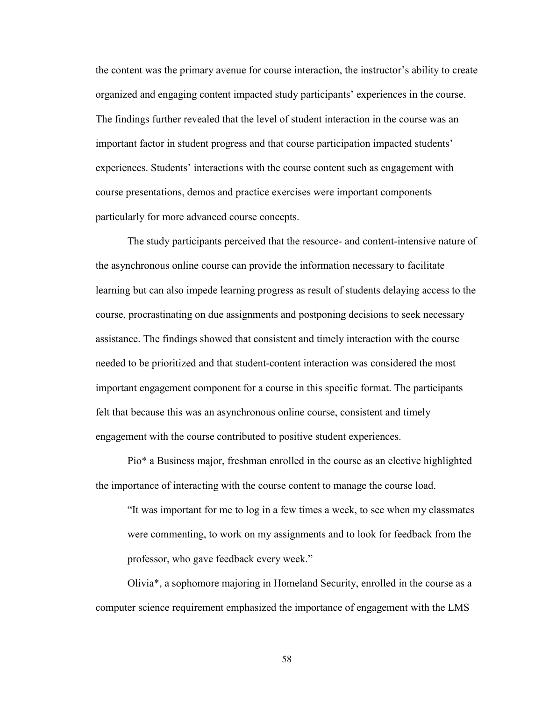the content was the primary avenue for course interaction, the instructor's ability to create organized and engaging content impacted study participants' experiences in the course. The findings further revealed that the level of student interaction in the course was an important factor in student progress and that course participation impacted students' experiences. Students' interactions with the course content such as engagement with course presentations, demos and practice exercises were important components particularly for more advanced course concepts.

The study participants perceived that the resource- and content-intensive nature of the asynchronous online course can provide the information necessary to facilitate learning but can also impede learning progress as result of students delaying access to the course, procrastinating on due assignments and postponing decisions to seek necessary assistance. The findings showed that consistent and timely interaction with the course needed to be prioritized and that student-content interaction was considered the most important engagement component for a course in this specific format. The participants felt that because this was an asynchronous online course, consistent and timely engagement with the course contributed to positive student experiences.

Pio\* a Business major, freshman enrolled in the course as an elective highlighted the importance of interacting with the course content to manage the course load.

"It was important for me to log in a few times a week, to see when my classmates were commenting, to work on my assignments and to look for feedback from the professor, who gave feedback every week."

Olivia\*, a sophomore majoring in Homeland Security, enrolled in the course as a computer science requirement emphasized the importance of engagement with the LMS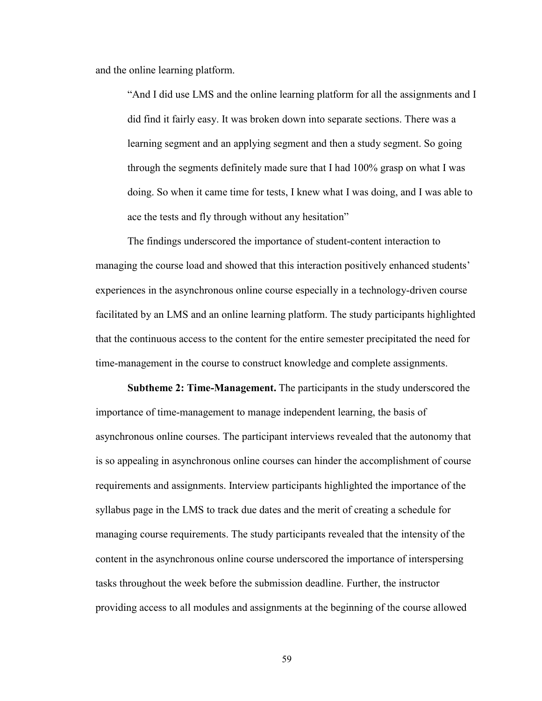and the online learning platform.

"And I did use LMS and the online learning platform for all the assignments and I did find it fairly easy. It was broken down into separate sections. There was a learning segment and an applying segment and then a study segment. So going through the segments definitely made sure that I had 100% grasp on what I was doing. So when it came time for tests, I knew what I was doing, and I was able to ace the tests and fly through without any hesitation"

The findings underscored the importance of student-content interaction to managing the course load and showed that this interaction positively enhanced students' experiences in the asynchronous online course especially in a technology-driven course facilitated by an LMS and an online learning platform. The study participants highlighted that the continuous access to the content for the entire semester precipitated the need for time-management in the course to construct knowledge and complete assignments.

**Subtheme 2: Time-Management.** The participants in the study underscored the importance of time-management to manage independent learning, the basis of asynchronous online courses. The participant interviews revealed that the autonomy that is so appealing in asynchronous online courses can hinder the accomplishment of course requirements and assignments. Interview participants highlighted the importance of the syllabus page in the LMS to track due dates and the merit of creating a schedule for managing course requirements. The study participants revealed that the intensity of the content in the asynchronous online course underscored the importance of interspersing tasks throughout the week before the submission deadline. Further, the instructor providing access to all modules and assignments at the beginning of the course allowed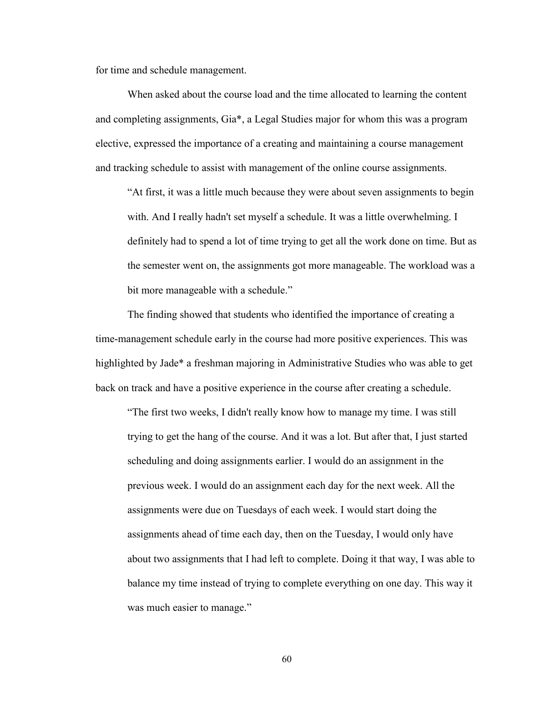for time and schedule management.

When asked about the course load and the time allocated to learning the content and completing assignments, Gia\*, a Legal Studies major for whom this was a program elective, expressed the importance of a creating and maintaining a course management and tracking schedule to assist with management of the online course assignments.

"At first, it was a little much because they were about seven assignments to begin with. And I really hadn't set myself a schedule. It was a little overwhelming. I definitely had to spend a lot of time trying to get all the work done on time. But as the semester went on, the assignments got more manageable. The workload was a bit more manageable with a schedule."

The finding showed that students who identified the importance of creating a time-management schedule early in the course had more positive experiences. This was highlighted by Jade\* a freshman majoring in Administrative Studies who was able to get back on track and have a positive experience in the course after creating a schedule.

"The first two weeks, I didn't really know how to manage my time. I was still trying to get the hang of the course. And it was a lot. But after that, I just started scheduling and doing assignments earlier. I would do an assignment in the previous week. I would do an assignment each day for the next week. All the assignments were due on Tuesdays of each week. I would start doing the assignments ahead of time each day, then on the Tuesday, I would only have about two assignments that I had left to complete. Doing it that way, I was able to balance my time instead of trying to complete everything on one day. This way it was much easier to manage."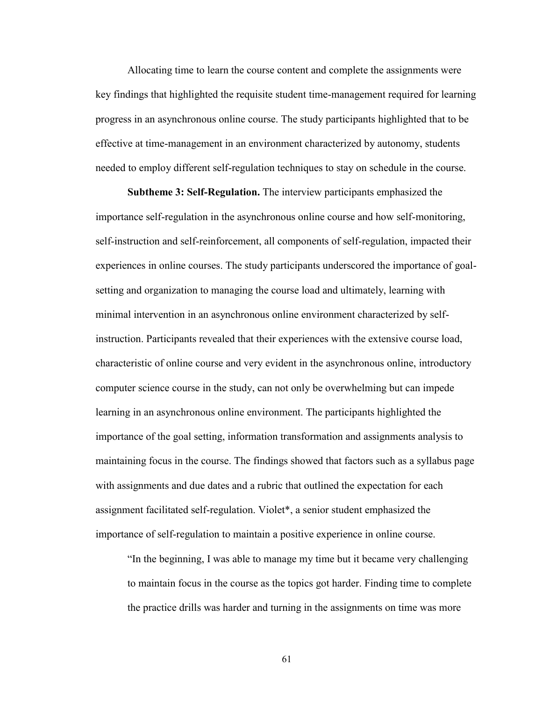Allocating time to learn the course content and complete the assignments were key findings that highlighted the requisite student time-management required for learning progress in an asynchronous online course. The study participants highlighted that to be effective at time-management in an environment characterized by autonomy, students needed to employ different self-regulation techniques to stay on schedule in the course.

**Subtheme 3: Self-Regulation.** The interview participants emphasized the importance self-regulation in the asynchronous online course and how self-monitoring, self-instruction and self-reinforcement, all components of self-regulation, impacted their experiences in online courses. The study participants underscored the importance of goalsetting and organization to managing the course load and ultimately, learning with minimal intervention in an asynchronous online environment characterized by selfinstruction. Participants revealed that their experiences with the extensive course load, characteristic of online course and very evident in the asynchronous online, introductory computer science course in the study, can not only be overwhelming but can impede learning in an asynchronous online environment. The participants highlighted the importance of the goal setting, information transformation and assignments analysis to maintaining focus in the course. The findings showed that factors such as a syllabus page with assignments and due dates and a rubric that outlined the expectation for each assignment facilitated self-regulation. Violet\*, a senior student emphasized the importance of self-regulation to maintain a positive experience in online course.

"In the beginning, I was able to manage my time but it became very challenging to maintain focus in the course as the topics got harder. Finding time to complete the practice drills was harder and turning in the assignments on time was more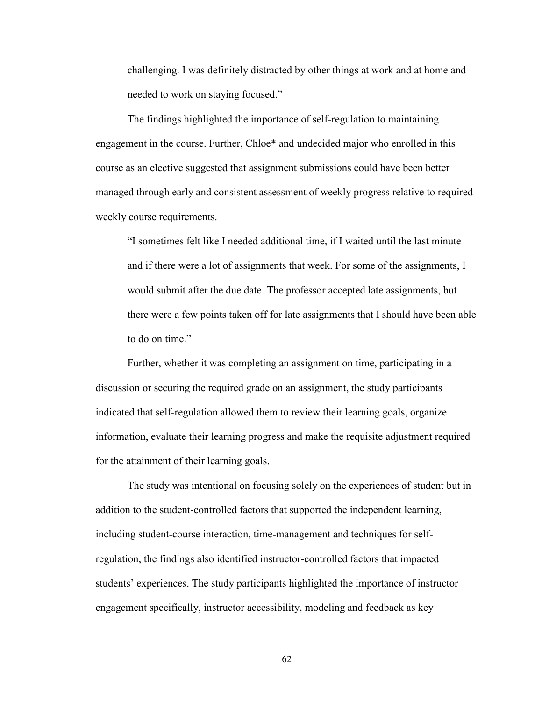challenging. I was definitely distracted by other things at work and at home and needed to work on staying focused."

The findings highlighted the importance of self-regulation to maintaining engagement in the course. Further, Chloe\* and undecided major who enrolled in this course as an elective suggested that assignment submissions could have been better managed through early and consistent assessment of weekly progress relative to required weekly course requirements.

"I sometimes felt like I needed additional time, if I waited until the last minute and if there were a lot of assignments that week. For some of the assignments, I would submit after the due date. The professor accepted late assignments, but there were a few points taken off for late assignments that I should have been able to do on time."

Further, whether it was completing an assignment on time, participating in a discussion or securing the required grade on an assignment, the study participants indicated that self-regulation allowed them to review their learning goals, organize information, evaluate their learning progress and make the requisite adjustment required for the attainment of their learning goals.

The study was intentional on focusing solely on the experiences of student but in addition to the student-controlled factors that supported the independent learning, including student-course interaction, time-management and techniques for selfregulation, the findings also identified instructor-controlled factors that impacted students' experiences. The study participants highlighted the importance of instructor engagement specifically, instructor accessibility, modeling and feedback as key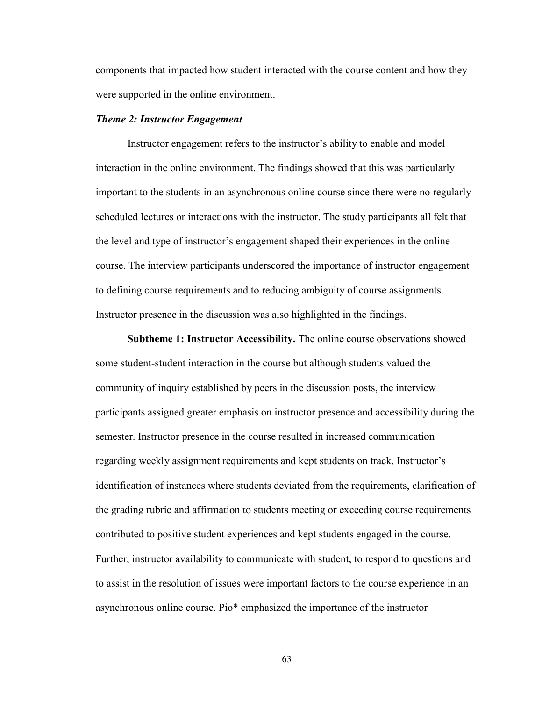components that impacted how student interacted with the course content and how they were supported in the online environment.

#### *Theme 2: Instructor Engagement*

Instructor engagement refers to the instructor's ability to enable and model interaction in the online environment. The findings showed that this was particularly important to the students in an asynchronous online course since there were no regularly scheduled lectures or interactions with the instructor. The study participants all felt that the level and type of instructor's engagement shaped their experiences in the online course. The interview participants underscored the importance of instructor engagement to defining course requirements and to reducing ambiguity of course assignments. Instructor presence in the discussion was also highlighted in the findings.

**Subtheme 1: Instructor Accessibility.** The online course observations showed some student-student interaction in the course but although students valued the community of inquiry established by peers in the discussion posts, the interview participants assigned greater emphasis on instructor presence and accessibility during the semester. Instructor presence in the course resulted in increased communication regarding weekly assignment requirements and kept students on track. Instructor's identification of instances where students deviated from the requirements, clarification of the grading rubric and affirmation to students meeting or exceeding course requirements contributed to positive student experiences and kept students engaged in the course. Further, instructor availability to communicate with student, to respond to questions and to assist in the resolution of issues were important factors to the course experience in an asynchronous online course. Pio\* emphasized the importance of the instructor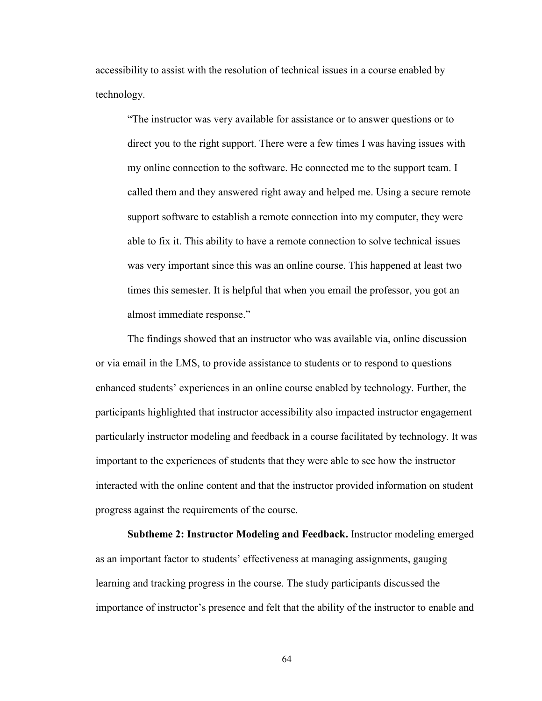accessibility to assist with the resolution of technical issues in a course enabled by technology.

"The instructor was very available for assistance or to answer questions or to direct you to the right support. There were a few times I was having issues with my online connection to the software. He connected me to the support team. I called them and they answered right away and helped me. Using a secure remote support software to establish a remote connection into my computer, they were able to fix it. This ability to have a remote connection to solve technical issues was very important since this was an online course. This happened at least two times this semester. It is helpful that when you email the professor, you got an almost immediate response."

The findings showed that an instructor who was available via, online discussion or via email in the LMS, to provide assistance to students or to respond to questions enhanced students' experiences in an online course enabled by technology. Further, the participants highlighted that instructor accessibility also impacted instructor engagement particularly instructor modeling and feedback in a course facilitated by technology. It was important to the experiences of students that they were able to see how the instructor interacted with the online content and that the instructor provided information on student progress against the requirements of the course.

**Subtheme 2: Instructor Modeling and Feedback.** Instructor modeling emerged as an important factor to students' effectiveness at managing assignments, gauging learning and tracking progress in the course. The study participants discussed the importance of instructor's presence and felt that the ability of the instructor to enable and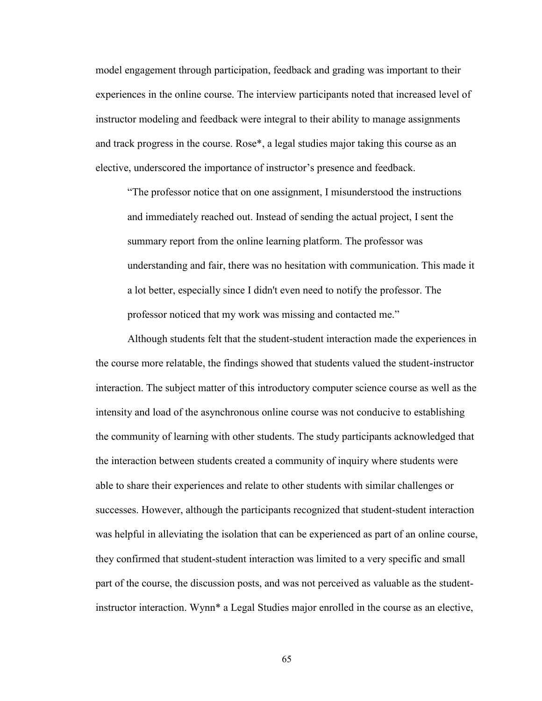model engagement through participation, feedback and grading was important to their experiences in the online course. The interview participants noted that increased level of instructor modeling and feedback were integral to their ability to manage assignments and track progress in the course. Rose\*, a legal studies major taking this course as an elective, underscored the importance of instructor's presence and feedback.

"The professor notice that on one assignment, I misunderstood the instructions and immediately reached out. Instead of sending the actual project, I sent the summary report from the online learning platform. The professor was understanding and fair, there was no hesitation with communication. This made it a lot better, especially since I didn't even need to notify the professor. The professor noticed that my work was missing and contacted me."

Although students felt that the student-student interaction made the experiences in the course more relatable, the findings showed that students valued the student-instructor interaction. The subject matter of this introductory computer science course as well as the intensity and load of the asynchronous online course was not conducive to establishing the community of learning with other students. The study participants acknowledged that the interaction between students created a community of inquiry where students were able to share their experiences and relate to other students with similar challenges or successes. However, although the participants recognized that student-student interaction was helpful in alleviating the isolation that can be experienced as part of an online course, they confirmed that student-student interaction was limited to a very specific and small part of the course, the discussion posts, and was not perceived as valuable as the studentinstructor interaction. Wynn\* a Legal Studies major enrolled in the course as an elective,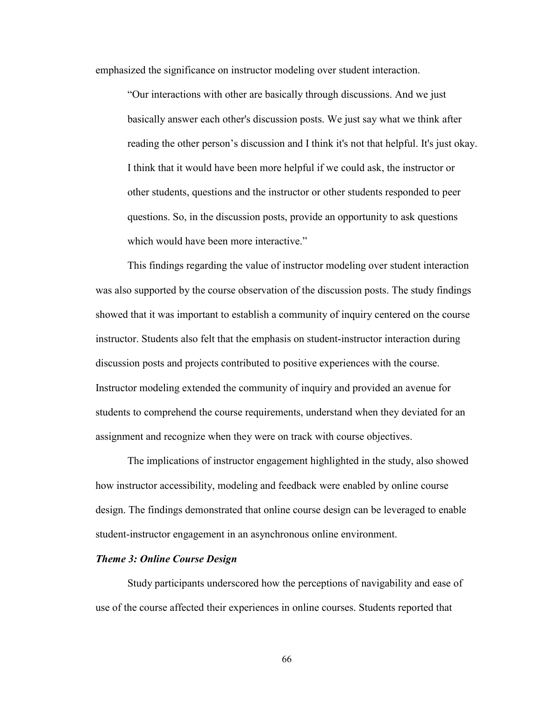emphasized the significance on instructor modeling over student interaction.

"Our interactions with other are basically through discussions. And we just basically answer each other's discussion posts. We just say what we think after reading the other person's discussion and I think it's not that helpful. It's just okay. I think that it would have been more helpful if we could ask, the instructor or other students, questions and the instructor or other students responded to peer questions. So, in the discussion posts, provide an opportunity to ask questions which would have been more interactive."

This findings regarding the value of instructor modeling over student interaction was also supported by the course observation of the discussion posts. The study findings showed that it was important to establish a community of inquiry centered on the course instructor. Students also felt that the emphasis on student-instructor interaction during discussion posts and projects contributed to positive experiences with the course. Instructor modeling extended the community of inquiry and provided an avenue for students to comprehend the course requirements, understand when they deviated for an assignment and recognize when they were on track with course objectives.

The implications of instructor engagement highlighted in the study, also showed how instructor accessibility, modeling and feedback were enabled by online course design. The findings demonstrated that online course design can be leveraged to enable student-instructor engagement in an asynchronous online environment.

### *Theme 3: Online Course Design*

Study participants underscored how the perceptions of navigability and ease of use of the course affected their experiences in online courses. Students reported that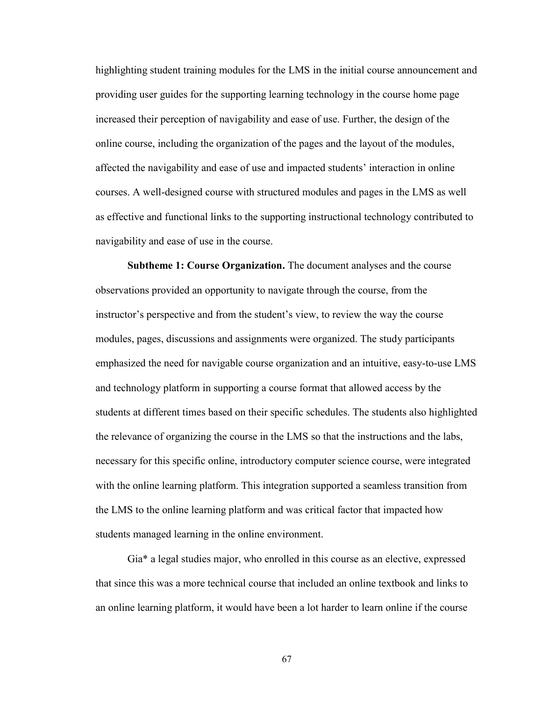highlighting student training modules for the LMS in the initial course announcement and providing user guides for the supporting learning technology in the course home page increased their perception of navigability and ease of use. Further, the design of the online course, including the organization of the pages and the layout of the modules, affected the navigability and ease of use and impacted students' interaction in online courses. A well-designed course with structured modules and pages in the LMS as well as effective and functional links to the supporting instructional technology contributed to navigability and ease of use in the course.

**Subtheme 1: Course Organization.** The document analyses and the course observations provided an opportunity to navigate through the course, from the instructor's perspective and from the student's view, to review the way the course modules, pages, discussions and assignments were organized. The study participants emphasized the need for navigable course organization and an intuitive, easy-to-use LMS and technology platform in supporting a course format that allowed access by the students at different times based on their specific schedules. The students also highlighted the relevance of organizing the course in the LMS so that the instructions and the labs, necessary for this specific online, introductory computer science course, were integrated with the online learning platform. This integration supported a seamless transition from the LMS to the online learning platform and was critical factor that impacted how students managed learning in the online environment.

Gia\* a legal studies major, who enrolled in this course as an elective, expressed that since this was a more technical course that included an online textbook and links to an online learning platform, it would have been a lot harder to learn online if the course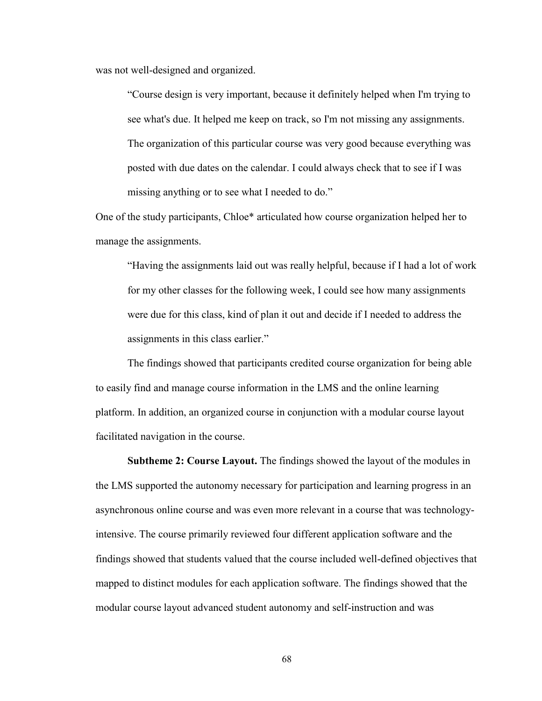was not well-designed and organized.

"Course design is very important, because it definitely helped when I'm trying to see what's due. It helped me keep on track, so I'm not missing any assignments. The organization of this particular course was very good because everything was posted with due dates on the calendar. I could always check that to see if I was missing anything or to see what I needed to do."

One of the study participants, Chloe\* articulated how course organization helped her to manage the assignments.

"Having the assignments laid out was really helpful, because if I had a lot of work for my other classes for the following week, I could see how many assignments were due for this class, kind of plan it out and decide if I needed to address the assignments in this class earlier."

The findings showed that participants credited course organization for being able to easily find and manage course information in the LMS and the online learning platform. In addition, an organized course in conjunction with a modular course layout facilitated navigation in the course.

**Subtheme 2: Course Layout.** The findings showed the layout of the modules in the LMS supported the autonomy necessary for participation and learning progress in an asynchronous online course and was even more relevant in a course that was technologyintensive. The course primarily reviewed four different application software and the findings showed that students valued that the course included well-defined objectives that mapped to distinct modules for each application software. The findings showed that the modular course layout advanced student autonomy and self-instruction and was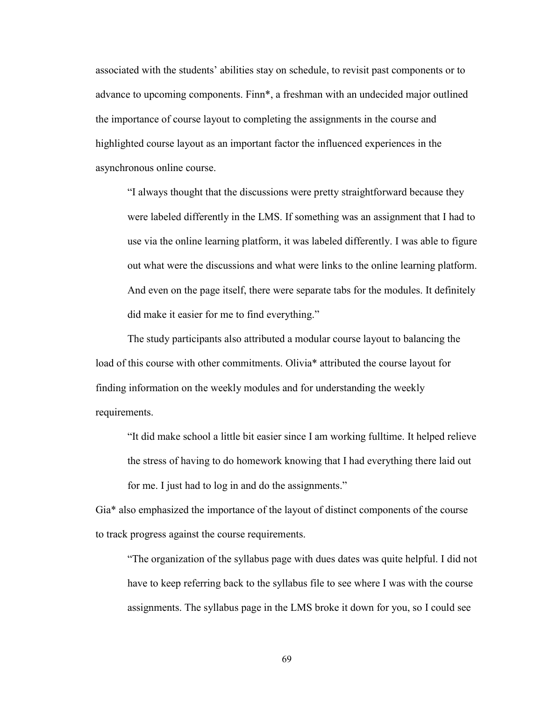associated with the students' abilities stay on schedule, to revisit past components or to advance to upcoming components. Finn\*, a freshman with an undecided major outlined the importance of course layout to completing the assignments in the course and highlighted course layout as an important factor the influenced experiences in the asynchronous online course.

"I always thought that the discussions were pretty straightforward because they were labeled differently in the LMS. If something was an assignment that I had to use via the online learning platform, it was labeled differently. I was able to figure out what were the discussions and what were links to the online learning platform. And even on the page itself, there were separate tabs for the modules. It definitely did make it easier for me to find everything."

The study participants also attributed a modular course layout to balancing the load of this course with other commitments. Olivia\* attributed the course layout for finding information on the weekly modules and for understanding the weekly requirements.

"It did make school a little bit easier since I am working fulltime. It helped relieve the stress of having to do homework knowing that I had everything there laid out for me. I just had to log in and do the assignments."

Gia\* also emphasized the importance of the layout of distinct components of the course to track progress against the course requirements.

"The organization of the syllabus page with dues dates was quite helpful. I did not have to keep referring back to the syllabus file to see where I was with the course assignments. The syllabus page in the LMS broke it down for you, so I could see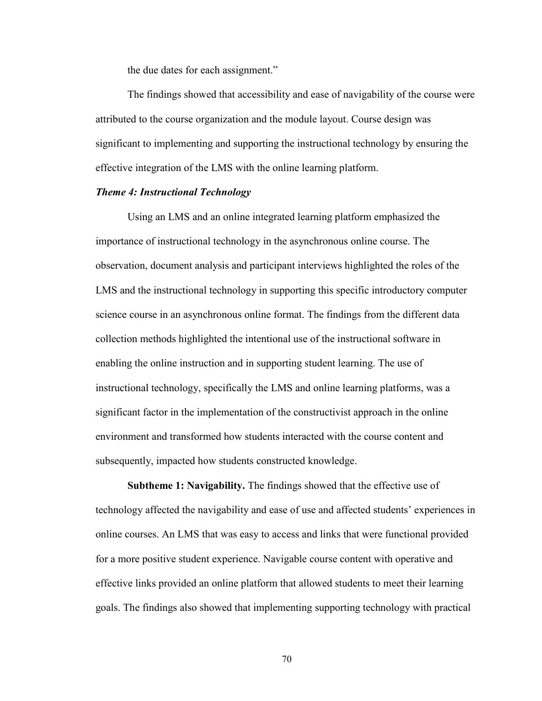the due dates for each assignment."

The findings showed that accessibility and ease of navigability of the course were attributed to the course organization and the module layout. Course design was significant to implementing and supporting the instructional technology by ensuring the effective integration of the LMS with the online learning platform.

## *Theme 4: Instructional Technology*

Using an LMS and an online integrated learning platform emphasized the importance of instructional technology in the asynchronous online course. The observation, document analysis and participant interviews highlighted the roles of the LMS and the instructional technology in supporting this specific introductory computer science course in an asynchronous online format. The findings from the different data collection methods highlighted the intentional use of the instructional software in enabling the online instruction and in supporting student learning. The use of instructional technology, specifically the LMS and online learning platforms, was a significant factor in the implementation of the constructivist approach in the online environment and transformed how students interacted with the course content and subsequently, impacted how students constructed knowledge.

**Subtheme 1: Navigability.** The findings showed that the effective use of technology affected the navigability and ease of use and affected students' experiences in online courses. An LMS that was easy to access and links that were functional provided for a more positive student experience. Navigable course content with operative and effective links provided an online platform that allowed students to meet their learning goals. The findings also showed that implementing supporting technology with practical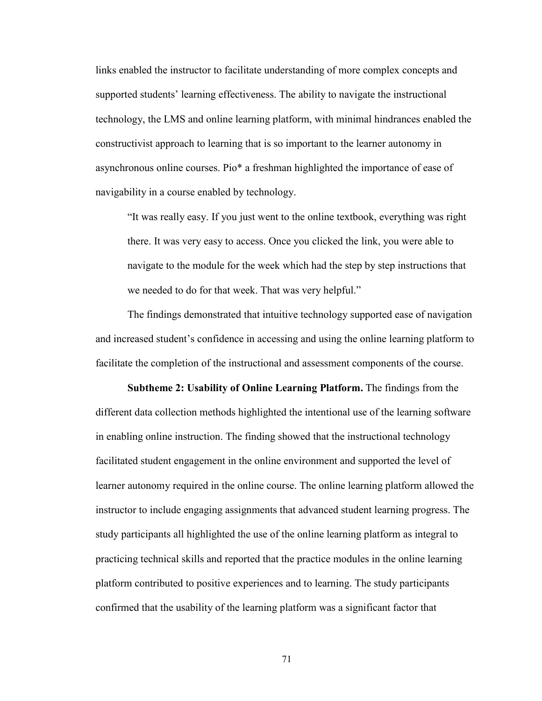links enabled the instructor to facilitate understanding of more complex concepts and supported students' learning effectiveness. The ability to navigate the instructional technology, the LMS and online learning platform, with minimal hindrances enabled the constructivist approach to learning that is so important to the learner autonomy in asynchronous online courses. Pio\* a freshman highlighted the importance of ease of navigability in a course enabled by technology.

"It was really easy. If you just went to the online textbook, everything was right there. It was very easy to access. Once you clicked the link, you were able to navigate to the module for the week which had the step by step instructions that we needed to do for that week. That was very helpful."

The findings demonstrated that intuitive technology supported ease of navigation and increased student's confidence in accessing and using the online learning platform to facilitate the completion of the instructional and assessment components of the course.

**Subtheme 2: Usability of Online Learning Platform.** The findings from the different data collection methods highlighted the intentional use of the learning software in enabling online instruction. The finding showed that the instructional technology facilitated student engagement in the online environment and supported the level of learner autonomy required in the online course. The online learning platform allowed the instructor to include engaging assignments that advanced student learning progress. The study participants all highlighted the use of the online learning platform as integral to practicing technical skills and reported that the practice modules in the online learning platform contributed to positive experiences and to learning. The study participants confirmed that the usability of the learning platform was a significant factor that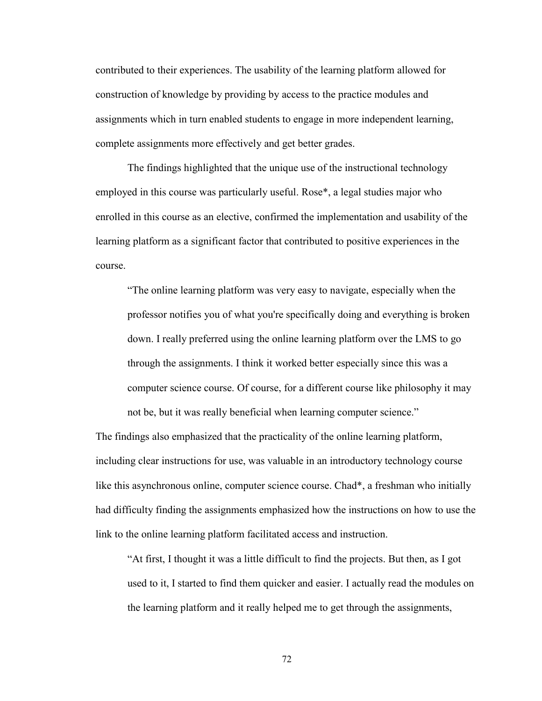contributed to their experiences. The usability of the learning platform allowed for construction of knowledge by providing by access to the practice modules and assignments which in turn enabled students to engage in more independent learning, complete assignments more effectively and get better grades.

The findings highlighted that the unique use of the instructional technology employed in this course was particularly useful. Rose\*, a legal studies major who enrolled in this course as an elective, confirmed the implementation and usability of the learning platform as a significant factor that contributed to positive experiences in the course.

"The online learning platform was very easy to navigate, especially when the professor notifies you of what you're specifically doing and everything is broken down. I really preferred using the online learning platform over the LMS to go through the assignments. I think it worked better especially since this was a computer science course. Of course, for a different course like philosophy it may not be, but it was really beneficial when learning computer science."

The findings also emphasized that the practicality of the online learning platform, including clear instructions for use, was valuable in an introductory technology course like this asynchronous online, computer science course. Chad\*, a freshman who initially had difficulty finding the assignments emphasized how the instructions on how to use the link to the online learning platform facilitated access and instruction.

"At first, I thought it was a little difficult to find the projects. But then, as I got used to it, I started to find them quicker and easier. I actually read the modules on the learning platform and it really helped me to get through the assignments,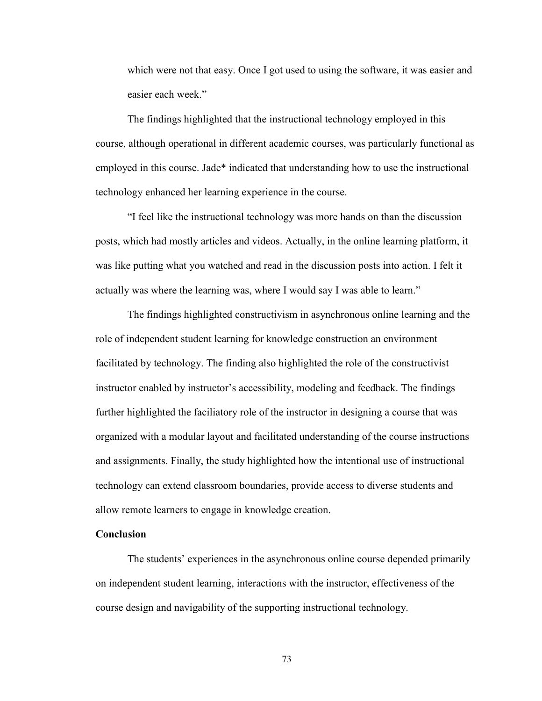which were not that easy. Once I got used to using the software, it was easier and easier each week."

The findings highlighted that the instructional technology employed in this course, although operational in different academic courses, was particularly functional as employed in this course. Jade\* indicated that understanding how to use the instructional technology enhanced her learning experience in the course.

"I feel like the instructional technology was more hands on than the discussion posts, which had mostly articles and videos. Actually, in the online learning platform, it was like putting what you watched and read in the discussion posts into action. I felt it actually was where the learning was, where I would say I was able to learn."

The findings highlighted constructivism in asynchronous online learning and the role of independent student learning for knowledge construction an environment facilitated by technology. The finding also highlighted the role of the constructivist instructor enabled by instructor's accessibility, modeling and feedback. The findings further highlighted the faciliatory role of the instructor in designing a course that was organized with a modular layout and facilitated understanding of the course instructions and assignments. Finally, the study highlighted how the intentional use of instructional technology can extend classroom boundaries, provide access to diverse students and allow remote learners to engage in knowledge creation.

## **Conclusion**

The students' experiences in the asynchronous online course depended primarily on independent student learning, interactions with the instructor, effectiveness of the course design and navigability of the supporting instructional technology.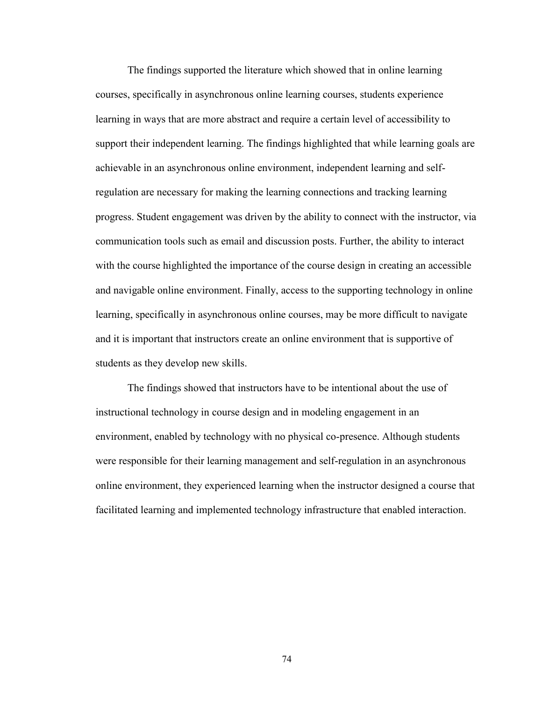The findings supported the literature which showed that in online learning courses, specifically in asynchronous online learning courses, students experience learning in ways that are more abstract and require a certain level of accessibility to support their independent learning. The findings highlighted that while learning goals are achievable in an asynchronous online environment, independent learning and selfregulation are necessary for making the learning connections and tracking learning progress. Student engagement was driven by the ability to connect with the instructor, via communication tools such as email and discussion posts. Further, the ability to interact with the course highlighted the importance of the course design in creating an accessible and navigable online environment. Finally, access to the supporting technology in online learning, specifically in asynchronous online courses, may be more difficult to navigate and it is important that instructors create an online environment that is supportive of students as they develop new skills.

The findings showed that instructors have to be intentional about the use of instructional technology in course design and in modeling engagement in an environment, enabled by technology with no physical co-presence. Although students were responsible for their learning management and self-regulation in an asynchronous online environment, they experienced learning when the instructor designed a course that facilitated learning and implemented technology infrastructure that enabled interaction.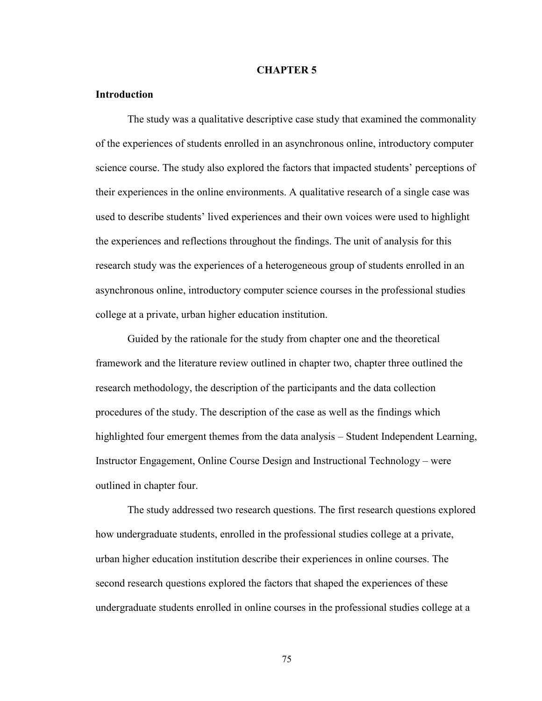#### **CHAPTER 5**

## **Introduction**

The study was a qualitative descriptive case study that examined the commonality of the experiences of students enrolled in an asynchronous online, introductory computer science course. The study also explored the factors that impacted students' perceptions of their experiences in the online environments. A qualitative research of a single case was used to describe students' lived experiences and their own voices were used to highlight the experiences and reflections throughout the findings. The unit of analysis for this research study was the experiences of a heterogeneous group of students enrolled in an asynchronous online, introductory computer science courses in the professional studies college at a private, urban higher education institution.

Guided by the rationale for the study from chapter one and the theoretical framework and the literature review outlined in chapter two, chapter three outlined the research methodology, the description of the participants and the data collection procedures of the study. The description of the case as well as the findings which highlighted four emergent themes from the data analysis – Student Independent Learning, Instructor Engagement, Online Course Design and Instructional Technology – were outlined in chapter four.

The study addressed two research questions. The first research questions explored how undergraduate students, enrolled in the professional studies college at a private, urban higher education institution describe their experiences in online courses. The second research questions explored the factors that shaped the experiences of these undergraduate students enrolled in online courses in the professional studies college at a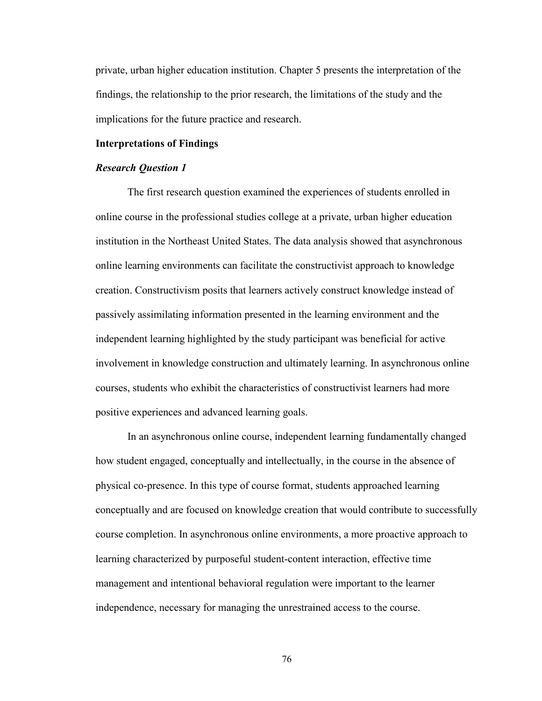private, urban higher education institution. Chapter 5 presents the interpretation of the findings, the relationship to the prior research, the limitations of the study and the implications for the future practice and research.

#### **Interpretations of Findings**

#### *Research Question 1*

The first research question examined the experiences of students enrolled in online course in the professional studies college at a private, urban higher education institution in the Northeast United States. The data analysis showed that asynchronous online learning environments can facilitate the constructivist approach to knowledge creation. Constructivism posits that learners actively construct knowledge instead of passively assimilating information presented in the learning environment and the independent learning highlighted by the study participant was beneficial for active involvement in knowledge construction and ultimately learning. In asynchronous online courses, students who exhibit the characteristics of constructivist learners had more positive experiences and advanced learning goals.

In an asynchronous online course, independent learning fundamentally changed how student engaged, conceptually and intellectually, in the course in the absence of physical co-presence. In this type of course format, students approached learning conceptually and are focused on knowledge creation that would contribute to successfully course completion. In asynchronous online environments, a more proactive approach to learning characterized by purposeful student-content interaction, effective time management and intentional behavioral regulation were important to the learner independence, necessary for managing the unrestrained access to the course.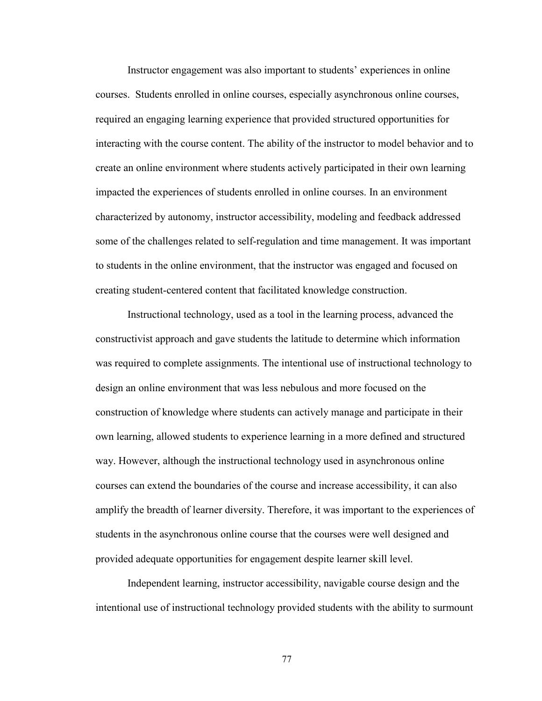Instructor engagement was also important to students' experiences in online courses. Students enrolled in online courses, especially asynchronous online courses, required an engaging learning experience that provided structured opportunities for interacting with the course content. The ability of the instructor to model behavior and to create an online environment where students actively participated in their own learning impacted the experiences of students enrolled in online courses. In an environment characterized by autonomy, instructor accessibility, modeling and feedback addressed some of the challenges related to self-regulation and time management. It was important to students in the online environment, that the instructor was engaged and focused on creating student-centered content that facilitated knowledge construction.

Instructional technology, used as a tool in the learning process, advanced the constructivist approach and gave students the latitude to determine which information was required to complete assignments. The intentional use of instructional technology to design an online environment that was less nebulous and more focused on the construction of knowledge where students can actively manage and participate in their own learning, allowed students to experience learning in a more defined and structured way. However, although the instructional technology used in asynchronous online courses can extend the boundaries of the course and increase accessibility, it can also amplify the breadth of learner diversity. Therefore, it was important to the experiences of students in the asynchronous online course that the courses were well designed and provided adequate opportunities for engagement despite learner skill level.

Independent learning, instructor accessibility, navigable course design and the intentional use of instructional technology provided students with the ability to surmount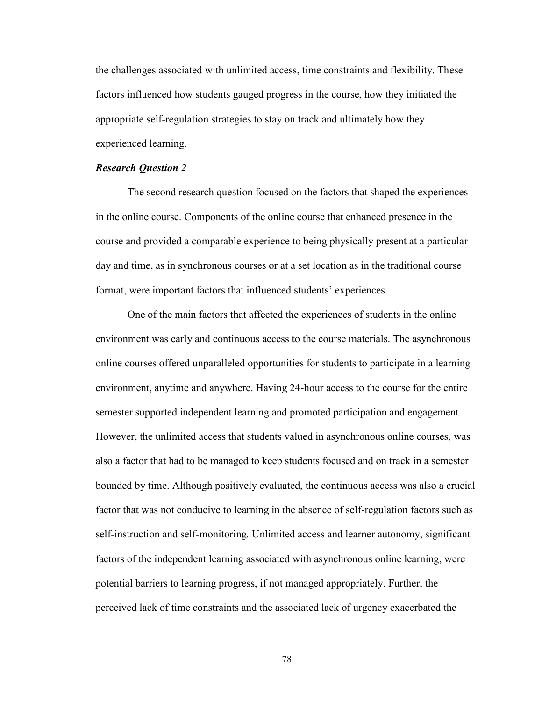the challenges associated with unlimited access, time constraints and flexibility. These factors influenced how students gauged progress in the course, how they initiated the appropriate self-regulation strategies to stay on track and ultimately how they experienced learning.

#### *Research Question 2*

The second research question focused on the factors that shaped the experiences in the online course. Components of the online course that enhanced presence in the course and provided a comparable experience to being physically present at a particular day and time, as in synchronous courses or at a set location as in the traditional course format, were important factors that influenced students' experiences.

One of the main factors that affected the experiences of students in the online environment was early and continuous access to the course materials. The asynchronous online courses offered unparalleled opportunities for students to participate in a learning environment, anytime and anywhere. Having 24-hour access to the course for the entire semester supported independent learning and promoted participation and engagement. However, the unlimited access that students valued in asynchronous online courses, was also a factor that had to be managed to keep students focused and on track in a semester bounded by time. Although positively evaluated, the continuous access was also a crucial factor that was not conducive to learning in the absence of self-regulation factors such as self-instruction and self-monitoring*.* Unlimited access and learner autonomy, significant factors of the independent learning associated with asynchronous online learning, were potential barriers to learning progress, if not managed appropriately. Further, the perceived lack of time constraints and the associated lack of urgency exacerbated the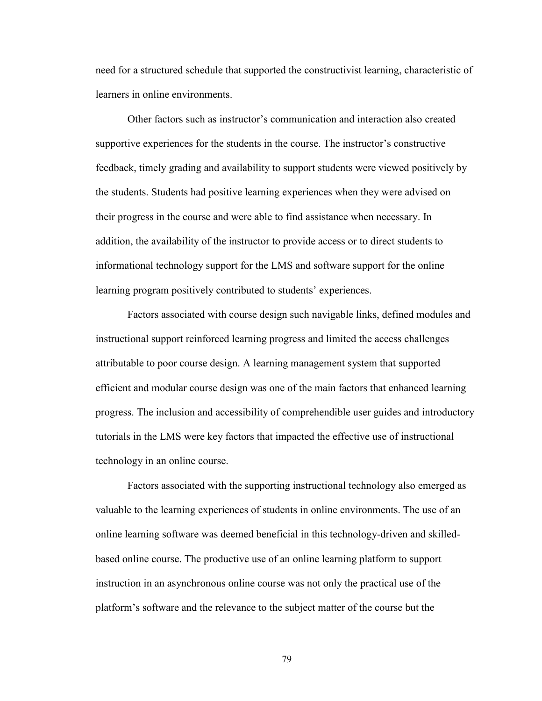need for a structured schedule that supported the constructivist learning, characteristic of learners in online environments.

Other factors such as instructor's communication and interaction also created supportive experiences for the students in the course. The instructor's constructive feedback, timely grading and availability to support students were viewed positively by the students. Students had positive learning experiences when they were advised on their progress in the course and were able to find assistance when necessary. In addition, the availability of the instructor to provide access or to direct students to informational technology support for the LMS and software support for the online learning program positively contributed to students' experiences.

Factors associated with course design such navigable links, defined modules and instructional support reinforced learning progress and limited the access challenges attributable to poor course design. A learning management system that supported efficient and modular course design was one of the main factors that enhanced learning progress. The inclusion and accessibility of comprehendible user guides and introductory tutorials in the LMS were key factors that impacted the effective use of instructional technology in an online course.

Factors associated with the supporting instructional technology also emerged as valuable to the learning experiences of students in online environments. The use of an online learning software was deemed beneficial in this technology-driven and skilledbased online course. The productive use of an online learning platform to support instruction in an asynchronous online course was not only the practical use of the platform's software and the relevance to the subject matter of the course but the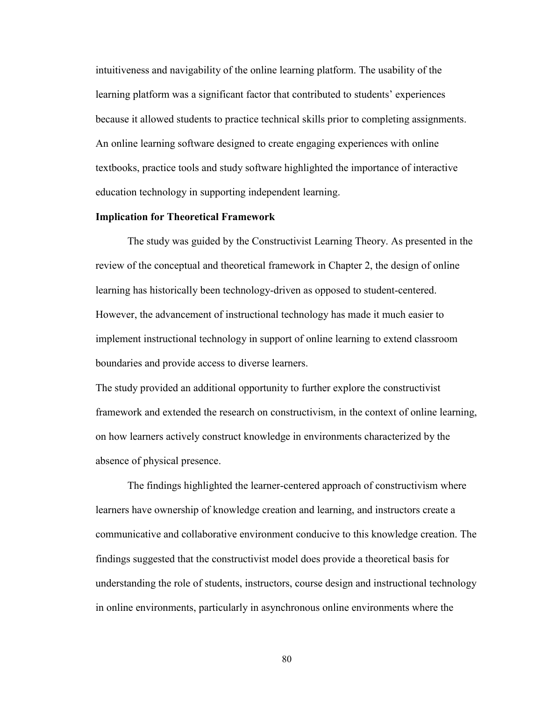intuitiveness and navigability of the online learning platform. The usability of the learning platform was a significant factor that contributed to students' experiences because it allowed students to practice technical skills prior to completing assignments. An online learning software designed to create engaging experiences with online textbooks, practice tools and study software highlighted the importance of interactive education technology in supporting independent learning.

## **Implication for Theoretical Framework**

The study was guided by the Constructivist Learning Theory. As presented in the review of the conceptual and theoretical framework in Chapter 2, the design of online learning has historically been technology-driven as opposed to student-centered. However, the advancement of instructional technology has made it much easier to implement instructional technology in support of online learning to extend classroom boundaries and provide access to diverse learners.

The study provided an additional opportunity to further explore the constructivist framework and extended the research on constructivism, in the context of online learning, on how learners actively construct knowledge in environments characterized by the absence of physical presence.

The findings highlighted the learner-centered approach of constructivism where learners have ownership of knowledge creation and learning, and instructors create a communicative and collaborative environment conducive to this knowledge creation. The findings suggested that the constructivist model does provide a theoretical basis for understanding the role of students, instructors, course design and instructional technology in online environments, particularly in asynchronous online environments where the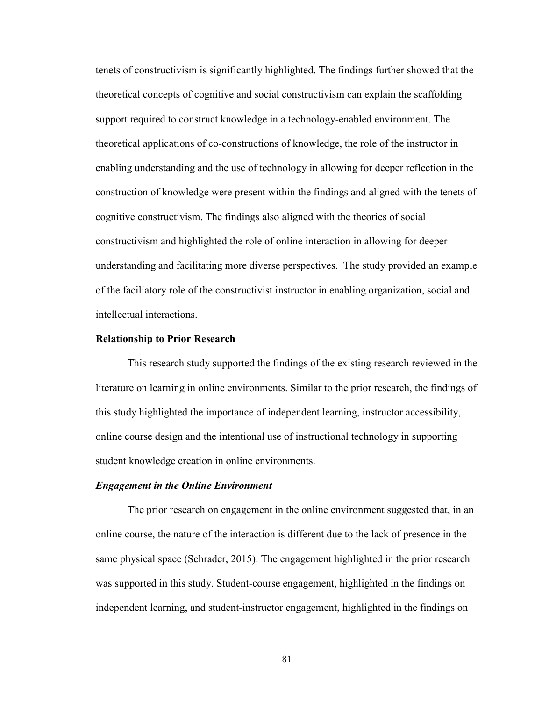tenets of constructivism is significantly highlighted. The findings further showed that the theoretical concepts of cognitive and social constructivism can explain the scaffolding support required to construct knowledge in a technology-enabled environment. The theoretical applications of co-constructions of knowledge, the role of the instructor in enabling understanding and the use of technology in allowing for deeper reflection in the construction of knowledge were present within the findings and aligned with the tenets of cognitive constructivism. The findings also aligned with the theories of social constructivism and highlighted the role of online interaction in allowing for deeper understanding and facilitating more diverse perspectives. The study provided an example of the faciliatory role of the constructivist instructor in enabling organization, social and intellectual interactions.

#### **Relationship to Prior Research**

This research study supported the findings of the existing research reviewed in the literature on learning in online environments. Similar to the prior research, the findings of this study highlighted the importance of independent learning, instructor accessibility, online course design and the intentional use of instructional technology in supporting student knowledge creation in online environments.

#### *Engagement in the Online Environment*

The prior research on engagement in the online environment suggested that, in an online course, the nature of the interaction is different due to the lack of presence in the same physical space (Schrader, 2015). The engagement highlighted in the prior research was supported in this study. Student-course engagement, highlighted in the findings on independent learning, and student-instructor engagement, highlighted in the findings on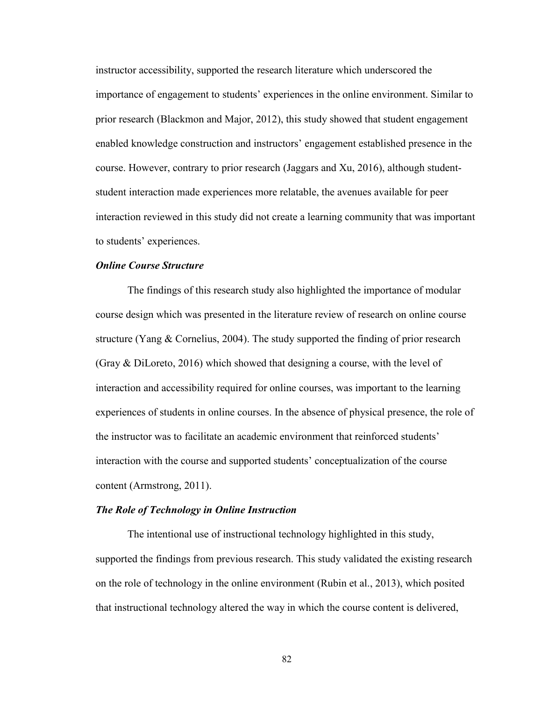instructor accessibility, supported the research literature which underscored the importance of engagement to students' experiences in the online environment. Similar to prior research (Blackmon and Major, 2012), this study showed that student engagement enabled knowledge construction and instructors' engagement established presence in the course. However, contrary to prior research (Jaggars and Xu, 2016), although studentstudent interaction made experiences more relatable, the avenues available for peer interaction reviewed in this study did not create a learning community that was important to students' experiences.

# *Online Course Structure*

The findings of this research study also highlighted the importance of modular course design which was presented in the literature review of research on online course structure (Yang & Cornelius, 2004). The study supported the finding of prior research (Gray & DiLoreto, 2016) which showed that designing a course, with the level of interaction and accessibility required for online courses, was important to the learning experiences of students in online courses. In the absence of physical presence, the role of the instructor was to facilitate an academic environment that reinforced students' interaction with the course and supported students' conceptualization of the course content (Armstrong, 2011).

#### *The Role of Technology in Online Instruction*

The intentional use of instructional technology highlighted in this study, supported the findings from previous research. This study validated the existing research on the role of technology in the online environment (Rubin et al., 2013), which posited that instructional technology altered the way in which the course content is delivered,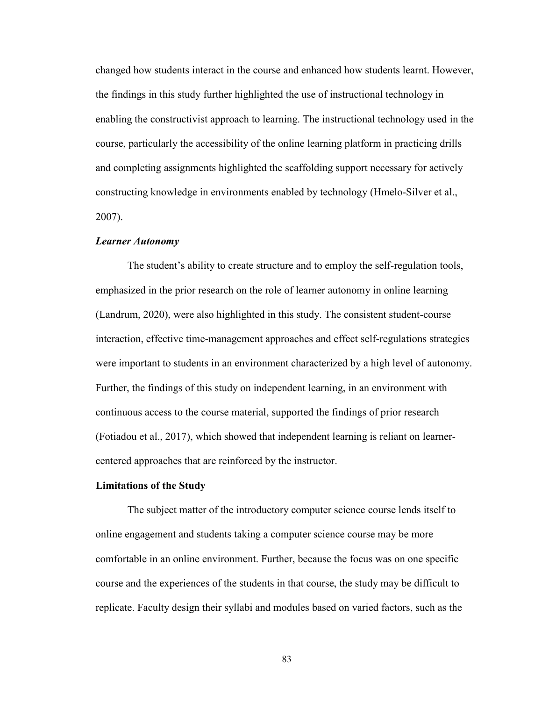changed how students interact in the course and enhanced how students learnt. However, the findings in this study further highlighted the use of instructional technology in enabling the constructivist approach to learning. The instructional technology used in the course, particularly the accessibility of the online learning platform in practicing drills and completing assignments highlighted the scaffolding support necessary for actively constructing knowledge in environments enabled by technology (Hmelo-Silver et al., 2007).

#### *Learner Autonomy*

The student's ability to create structure and to employ the self-regulation tools, emphasized in the prior research on the role of learner autonomy in online learning (Landrum, 2020), were also highlighted in this study. The consistent student-course interaction, effective time-management approaches and effect self-regulations strategies were important to students in an environment characterized by a high level of autonomy. Further, the findings of this study on independent learning, in an environment with continuous access to the course material, supported the findings of prior research (Fotiadou et al., 2017), which showed that independent learning is reliant on learnercentered approaches that are reinforced by the instructor.

#### **Limitations of the Study**

The subject matter of the introductory computer science course lends itself to online engagement and students taking a computer science course may be more comfortable in an online environment. Further, because the focus was on one specific course and the experiences of the students in that course, the study may be difficult to replicate. Faculty design their syllabi and modules based on varied factors, such as the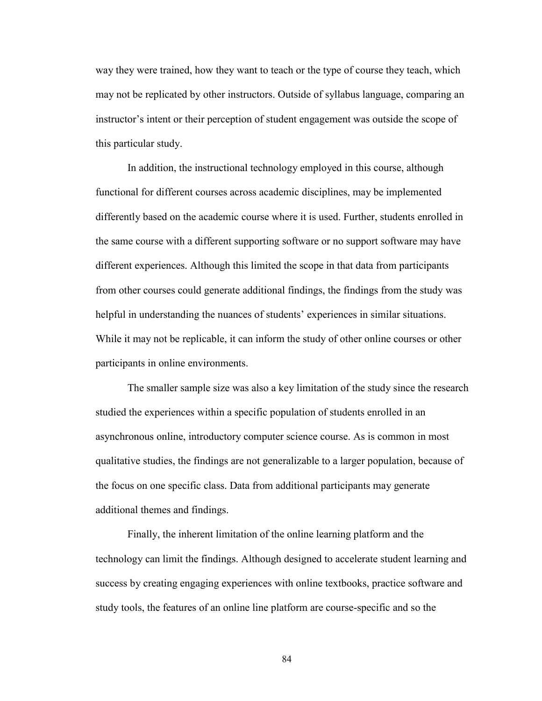way they were trained, how they want to teach or the type of course they teach, which may not be replicated by other instructors. Outside of syllabus language, comparing an instructor's intent or their perception of student engagement was outside the scope of this particular study.

In addition, the instructional technology employed in this course, although functional for different courses across academic disciplines, may be implemented differently based on the academic course where it is used. Further, students enrolled in the same course with a different supporting software or no support software may have different experiences. Although this limited the scope in that data from participants from other courses could generate additional findings, the findings from the study was helpful in understanding the nuances of students' experiences in similar situations. While it may not be replicable, it can inform the study of other online courses or other participants in online environments.

The smaller sample size was also a key limitation of the study since the research studied the experiences within a specific population of students enrolled in an asynchronous online, introductory computer science course. As is common in most qualitative studies, the findings are not generalizable to a larger population, because of the focus on one specific class. Data from additional participants may generate additional themes and findings.

Finally, the inherent limitation of the online learning platform and the technology can limit the findings. Although designed to accelerate student learning and success by creating engaging experiences with online textbooks, practice software and study tools, the features of an online line platform are course-specific and so the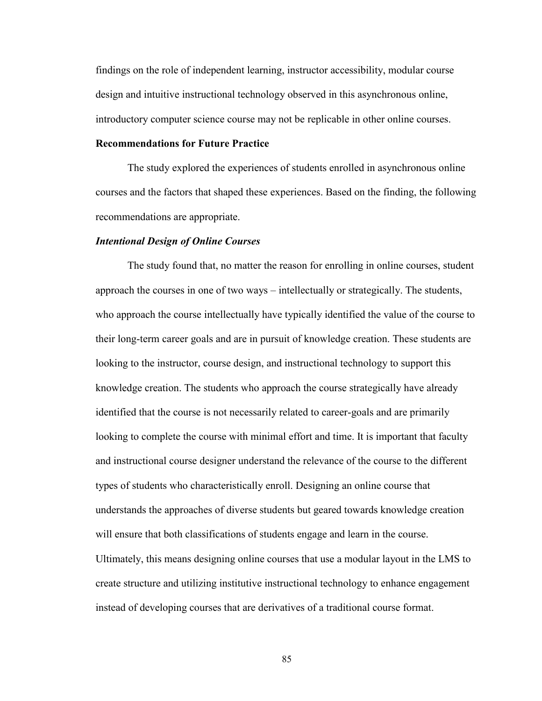findings on the role of independent learning, instructor accessibility, modular course design and intuitive instructional technology observed in this asynchronous online, introductory computer science course may not be replicable in other online courses.

## **Recommendations for Future Practice**

The study explored the experiences of students enrolled in asynchronous online courses and the factors that shaped these experiences. Based on the finding, the following recommendations are appropriate.

## *Intentional Design of Online Courses*

The study found that, no matter the reason for enrolling in online courses, student approach the courses in one of two ways – intellectually or strategically. The students, who approach the course intellectually have typically identified the value of the course to their long-term career goals and are in pursuit of knowledge creation. These students are looking to the instructor, course design, and instructional technology to support this knowledge creation. The students who approach the course strategically have already identified that the course is not necessarily related to career-goals and are primarily looking to complete the course with minimal effort and time. It is important that faculty and instructional course designer understand the relevance of the course to the different types of students who characteristically enroll. Designing an online course that understands the approaches of diverse students but geared towards knowledge creation will ensure that both classifications of students engage and learn in the course. Ultimately, this means designing online courses that use a modular layout in the LMS to create structure and utilizing institutive instructional technology to enhance engagement instead of developing courses that are derivatives of a traditional course format.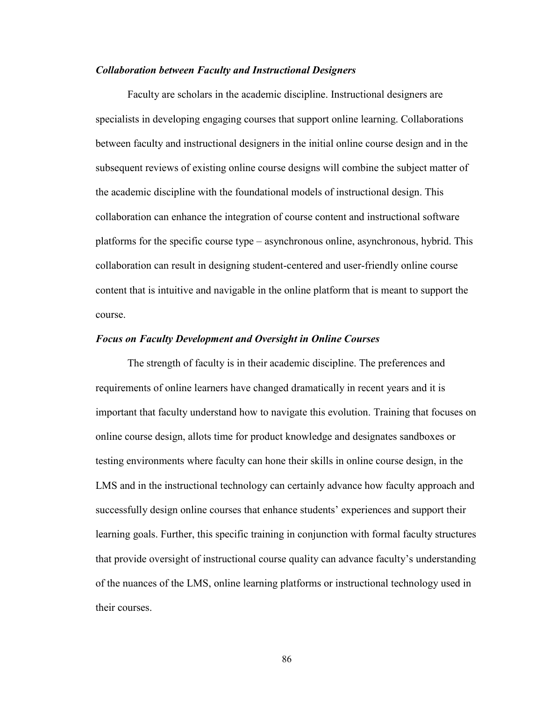#### *Collaboration between Faculty and Instructional Designers*

Faculty are scholars in the academic discipline. Instructional designers are specialists in developing engaging courses that support online learning. Collaborations between faculty and instructional designers in the initial online course design and in the subsequent reviews of existing online course designs will combine the subject matter of the academic discipline with the foundational models of instructional design. This collaboration can enhance the integration of course content and instructional software platforms for the specific course type – asynchronous online, asynchronous, hybrid. This collaboration can result in designing student-centered and user-friendly online course content that is intuitive and navigable in the online platform that is meant to support the course.

#### *Focus on Faculty Development and Oversight in Online Courses*

The strength of faculty is in their academic discipline. The preferences and requirements of online learners have changed dramatically in recent years and it is important that faculty understand how to navigate this evolution. Training that focuses on online course design, allots time for product knowledge and designates sandboxes or testing environments where faculty can hone their skills in online course design, in the LMS and in the instructional technology can certainly advance how faculty approach and successfully design online courses that enhance students' experiences and support their learning goals. Further, this specific training in conjunction with formal faculty structures that provide oversight of instructional course quality can advance faculty's understanding of the nuances of the LMS, online learning platforms or instructional technology used in their courses.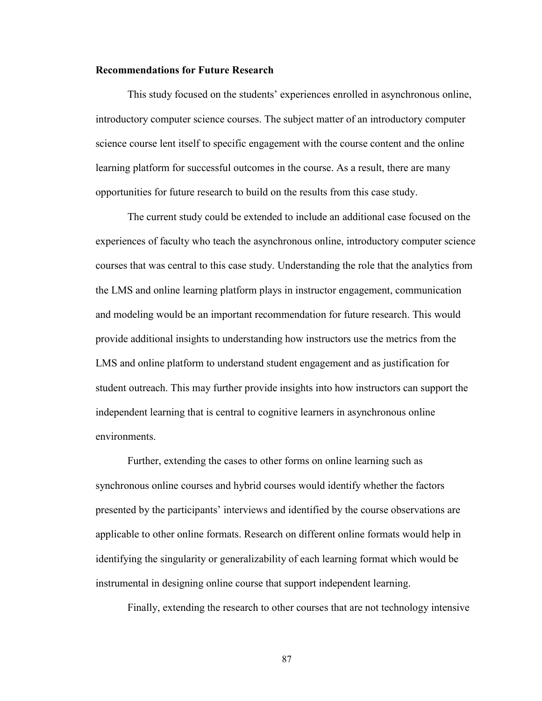#### **Recommendations for Future Research**

This study focused on the students' experiences enrolled in asynchronous online, introductory computer science courses. The subject matter of an introductory computer science course lent itself to specific engagement with the course content and the online learning platform for successful outcomes in the course. As a result, there are many opportunities for future research to build on the results from this case study.

The current study could be extended to include an additional case focused on the experiences of faculty who teach the asynchronous online, introductory computer science courses that was central to this case study. Understanding the role that the analytics from the LMS and online learning platform plays in instructor engagement, communication and modeling would be an important recommendation for future research. This would provide additional insights to understanding how instructors use the metrics from the LMS and online platform to understand student engagement and as justification for student outreach. This may further provide insights into how instructors can support the independent learning that is central to cognitive learners in asynchronous online environments.

Further, extending the cases to other forms on online learning such as synchronous online courses and hybrid courses would identify whether the factors presented by the participants' interviews and identified by the course observations are applicable to other online formats. Research on different online formats would help in identifying the singularity or generalizability of each learning format which would be instrumental in designing online course that support independent learning.

Finally, extending the research to other courses that are not technology intensive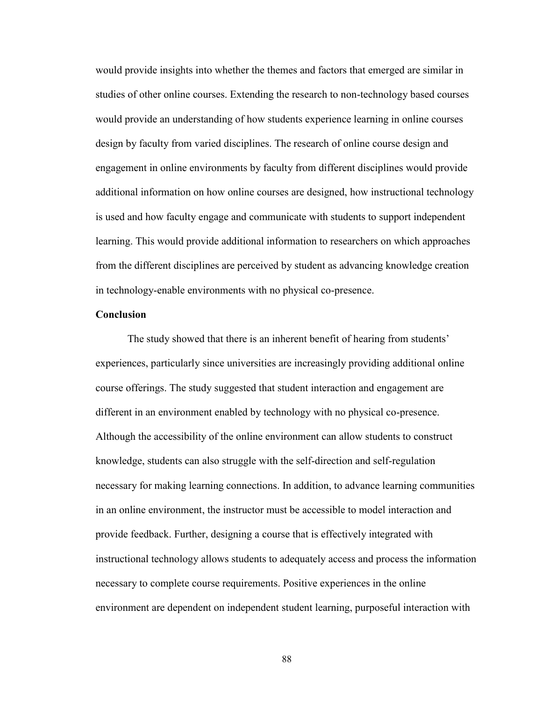would provide insights into whether the themes and factors that emerged are similar in studies of other online courses. Extending the research to non-technology based courses would provide an understanding of how students experience learning in online courses design by faculty from varied disciplines. The research of online course design and engagement in online environments by faculty from different disciplines would provide additional information on how online courses are designed, how instructional technology is used and how faculty engage and communicate with students to support independent learning. This would provide additional information to researchers on which approaches from the different disciplines are perceived by student as advancing knowledge creation in technology-enable environments with no physical co-presence.

## **Conclusion**

The study showed that there is an inherent benefit of hearing from students' experiences, particularly since universities are increasingly providing additional online course offerings. The study suggested that student interaction and engagement are different in an environment enabled by technology with no physical co-presence. Although the accessibility of the online environment can allow students to construct knowledge, students can also struggle with the self-direction and self-regulation necessary for making learning connections. In addition, to advance learning communities in an online environment, the instructor must be accessible to model interaction and provide feedback. Further, designing a course that is effectively integrated with instructional technology allows students to adequately access and process the information necessary to complete course requirements. Positive experiences in the online environment are dependent on independent student learning, purposeful interaction with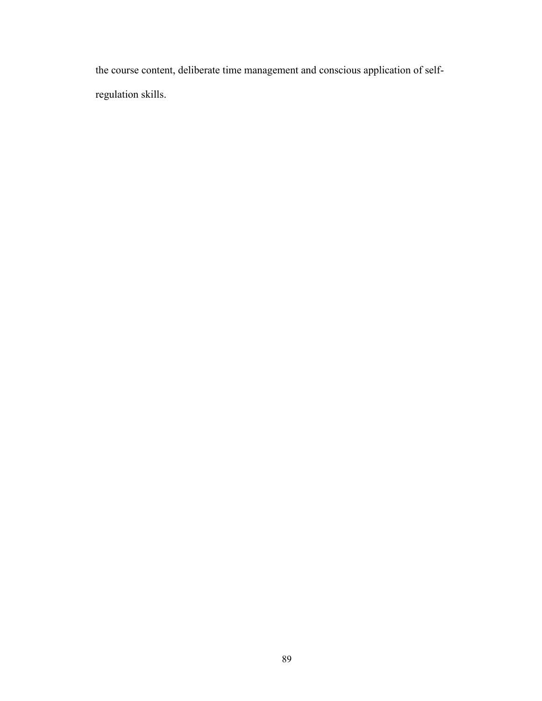the course content, deliberate time management and conscious application of selfregulation skills.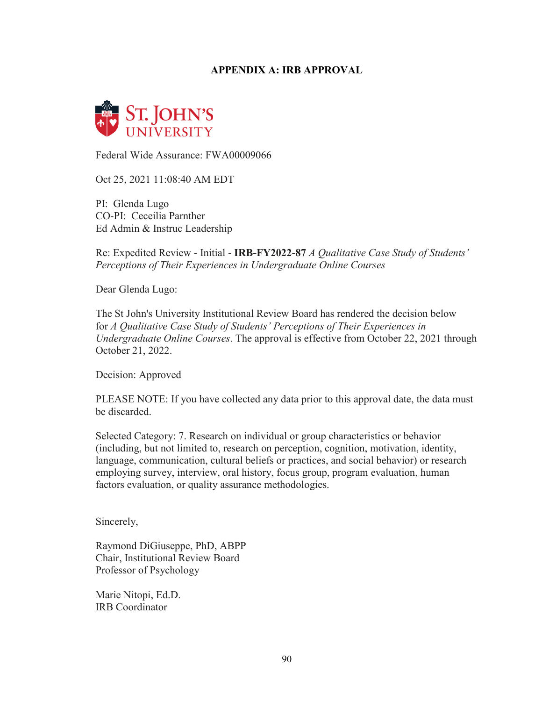# **APPENDIX A: IRB APPROVAL**



Federal Wide Assurance: FWA00009066

Oct 25, 2021 11:08:40 AM EDT

PI: Glenda Lugo CO-PI: Ceceilia Parnther Ed Admin & Instruc Leadership

Re: Expedited Review - Initial - **IRB-FY2022-87** *A Qualitative Case Study of Students' Perceptions of Their Experiences in Undergraduate Online Courses*

Dear Glenda Lugo:

The St John's University Institutional Review Board has rendered the decision below for *A Qualitative Case Study of Students' Perceptions of Their Experiences in Undergraduate Online Courses*. The approval is effective from October 22, 2021 through October 21, 2022.

Decision: Approved

PLEASE NOTE: If you have collected any data prior to this approval date, the data must be discarded.

Selected Category: 7. Research on individual or group characteristics or behavior (including, but not limited to, research on perception, cognition, motivation, identity, language, communication, cultural beliefs or practices, and social behavior) or research employing survey, interview, oral history, focus group, program evaluation, human factors evaluation, or quality assurance methodologies.

Sincerely,

Raymond DiGiuseppe, PhD, ABPP Chair, Institutional Review Board Professor of Psychology

Marie Nitopi, Ed.D. IRB Coordinator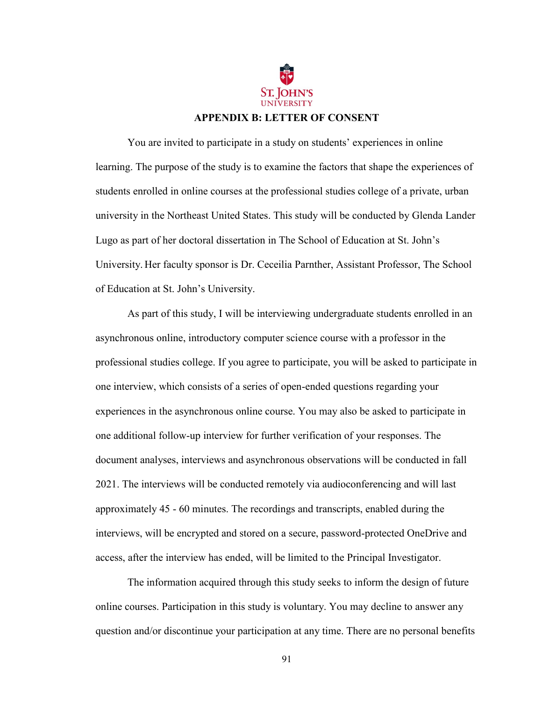

You are invited to participate in a study on students' experiences in online learning. The purpose of the study is to examine the factors that shape the experiences of students enrolled in online courses at the professional studies college of a private, urban university in the Northeast United States. This study will be conducted by Glenda Lander Lugo as part of her doctoral dissertation in The School of Education at St. John's University. Her faculty sponsor is Dr. Ceceilia Parnther, Assistant Professor, The School of Education at St. John's University.

As part of this study, I will be interviewing undergraduate students enrolled in an asynchronous online, introductory computer science course with a professor in the professional studies college. If you agree to participate, you will be asked to participate in one interview, which consists of a series of open-ended questions regarding your experiences in the asynchronous online course. You may also be asked to participate in one additional follow-up interview for further verification of your responses. The document analyses, interviews and asynchronous observations will be conducted in fall 2021. The interviews will be conducted remotely via audioconferencing and will last approximately 45 - 60 minutes. The recordings and transcripts, enabled during the interviews, will be encrypted and stored on a secure, password-protected OneDrive and access, after the interview has ended, will be limited to the Principal Investigator.

The information acquired through this study seeks to inform the design of future online courses. Participation in this study is voluntary. You may decline to answer any question and/or discontinue your participation at any time. There are no personal benefits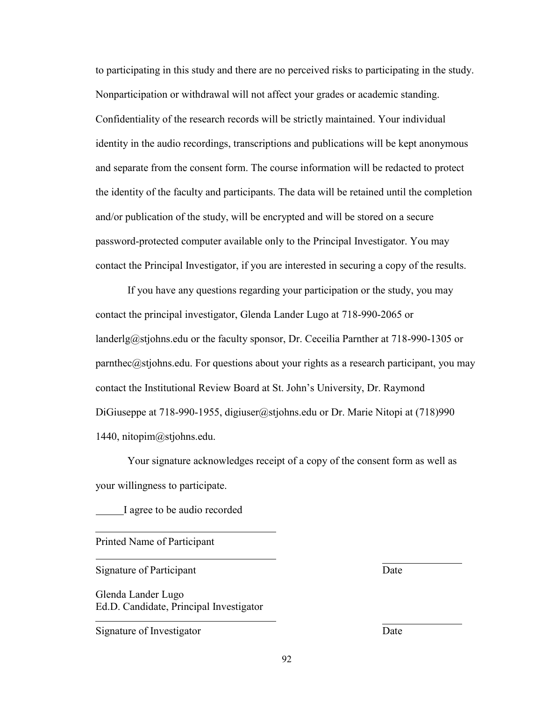to participating in this study and there are no perceived risks to participating in the study. Nonparticipation or withdrawal will not affect your grades or academic standing. Confidentiality of the research records will be strictly maintained. Your individual identity in the audio recordings, transcriptions and publications will be kept anonymous and separate from the consent form. The course information will be redacted to protect the identity of the faculty and participants. The data will be retained until the completion and/or publication of the study, will be encrypted and will be stored on a secure password-protected computer available only to the Principal Investigator. You may contact the Principal Investigator, if you are interested in securing a copy of the results.

If you have any questions regarding your participation or the study, you may contact the principal investigator, Glenda Lander Lugo at [718-990-2065 or](mailto:landerlg@stjohns.edu)  [landerlg@stjohns.edu o](mailto:landerlg@stjohns.edu)r the faculty sponsor, Dr. Ceceilia Parnther at 718-990-1305 or parnthec $@$ stjohns.edu. For questions about your rights as a research participant, you may contact the Institutional Review Board at St. John's University, Dr. Raymond DiGiuseppe at 718-990-1955, digiuser@stjohns.edu or Dr. Marie Nitopi at (718)990 1440, nitopim@stjohns.edu.

Your signature acknowledges receipt of a copy of the consent form as well as your willingness to participate.

I agree to be audio recorded

Printed Name of Participant

Signature of Participant Date

Glenda Lander Lugo Ed.D. Candidate, Principal Investigator

Signature of Investigator Date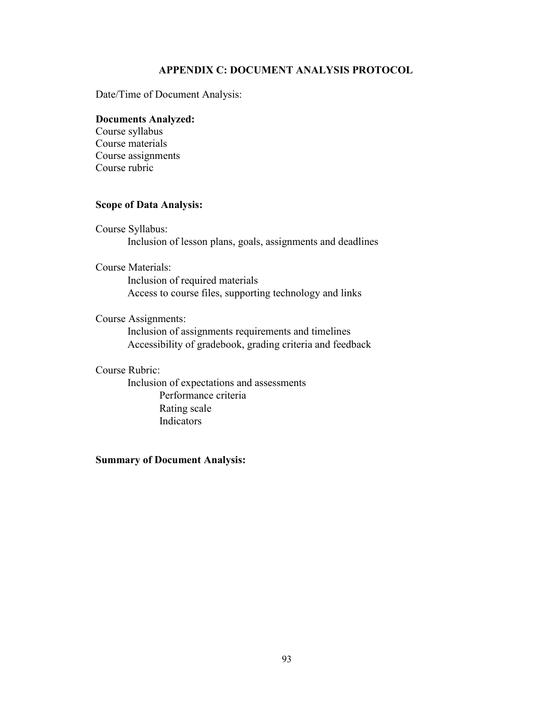# **APPENDIX C: DOCUMENT ANALYSIS PROTOCOL**

Date/Time of Document Analysis:

## **Documents Analyzed:**

Course syllabus Course materials Course assignments Course rubric

# **Scope of Data Analysis:**

Course Syllabus: Inclusion of lesson plans, goals, assignments and deadlines

## Course Materials:

Inclusion of required materials Access to course files, supporting technology and links

# Course Assignments:

Inclusion of assignments requirements and timelines Accessibility of gradebook, grading criteria and feedback

# Course Rubric:

Inclusion of expectations and assessments Performance criteria Rating scale **Indicators** 

# **Summary of Document Analysis:**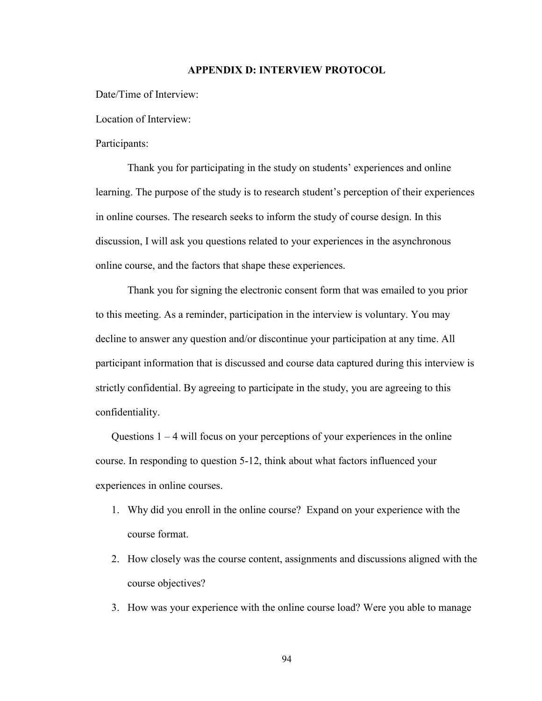#### **APPENDIX D: INTERVIEW PROTOCOL**

Date/Time of Interview:

Location of Interview:

# Participants:

Thank you for participating in the study on students' experiences and online learning. The purpose of the study is to research student's perception of their experiences in online courses. The research seeks to inform the study of course design. In this discussion, I will ask you questions related to your experiences in the asynchronous online course, and the factors that shape these experiences.

Thank you for signing the electronic consent form that was emailed to you prior to this meeting. As a reminder, participation in the interview is voluntary. You may decline to answer any question and/or discontinue your participation at any time. All participant information that is discussed and course data captured during this interview is strictly confidential. By agreeing to participate in the study, you are agreeing to this confidentiality.

Questions  $1 - 4$  will focus on your perceptions of your experiences in the online course. In responding to question 5-12, think about what factors influenced your experiences in online courses.

- 1. Why did you enroll in the online course? Expand on your experience with the course format.
- 2. How closely was the course content, assignments and discussions aligned with the course objectives?
- 3. How was your experience with the online course load? Were you able to manage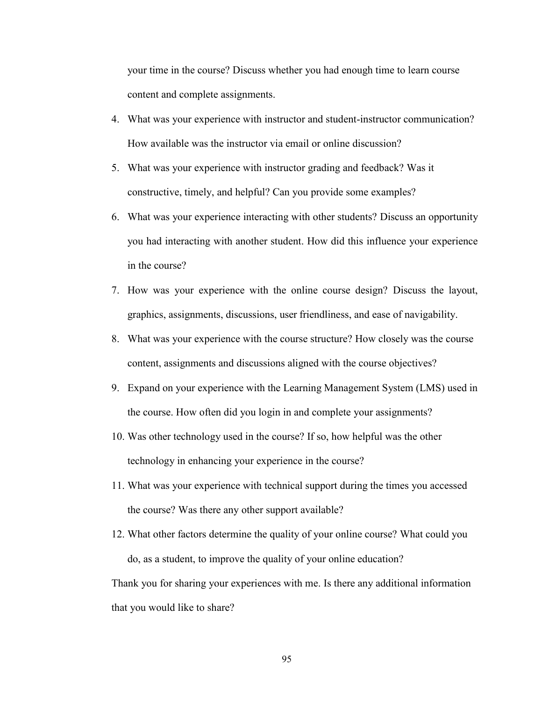your time in the course? Discuss whether you had enough time to learn course content and complete assignments.

- 4. What was your experience with instructor and student-instructor communication? How available was the instructor via email or online discussion?
- 5. What was your experience with instructor grading and feedback? Was it constructive, timely, and helpful? Can you provide some examples?
- 6. What was your experience interacting with other students? Discuss an opportunity you had interacting with another student. How did this influence your experience in the course?
- 7. How was your experience with the online course design? Discuss the layout, graphics, assignments, discussions, user friendliness, and ease of navigability.
- 8. What was your experience with the course structure? How closely was the course content, assignments and discussions aligned with the course objectives?
- 9. Expand on your experience with the Learning Management System (LMS) used in the course. How often did you login in and complete your assignments?
- 10. Was other technology used in the course? If so, how helpful was the other technology in enhancing your experience in the course?
- 11. What was your experience with technical support during the times you accessed the course? Was there any other support available?
- 12. What other factors determine the quality of your online course? What could you do, as a student, to improve the quality of your online education?

Thank you for sharing your experiences with me. Is there any additional information that you would like to share?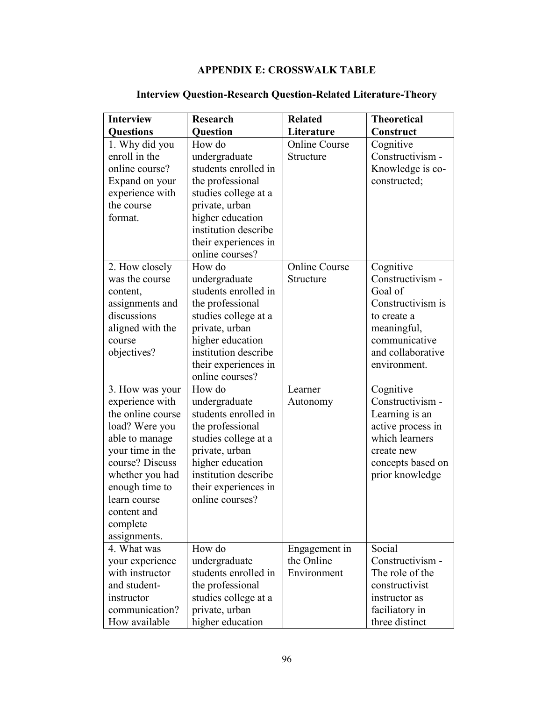# **APPENDIX E: CROSSWALK TABLE**

| <b>Interview</b>                                                                                                                                                                                                                   | <b>Research</b>                                                                                                                                                                                      | <b>Related</b>                             | <b>Theoretical</b>                                                                                                                                |
|------------------------------------------------------------------------------------------------------------------------------------------------------------------------------------------------------------------------------------|------------------------------------------------------------------------------------------------------------------------------------------------------------------------------------------------------|--------------------------------------------|---------------------------------------------------------------------------------------------------------------------------------------------------|
| <b>Questions</b>                                                                                                                                                                                                                   | <b>Question</b>                                                                                                                                                                                      | Literature                                 | Construct                                                                                                                                         |
| 1. Why did you<br>enroll in the<br>online course?<br>Expand on your<br>experience with<br>the course<br>format.                                                                                                                    | How do<br>undergraduate<br>students enrolled in<br>the professional<br>studies college at a<br>private, urban<br>higher education<br>institution describe<br>their experiences in<br>online courses? | <b>Online Course</b><br>Structure          | Cognitive<br>Constructivism -<br>Knowledge is co-<br>constructed;                                                                                 |
| 2. How closely<br>was the course<br>content,<br>assignments and<br>discussions<br>aligned with the<br>course<br>objectives?                                                                                                        | How do<br>undergraduate<br>students enrolled in<br>the professional<br>studies college at a<br>private, urban<br>higher education<br>institution describe<br>their experiences in<br>online courses? | <b>Online Course</b><br>Structure          | Cognitive<br>Constructivism -<br>Goal of<br>Constructivism is<br>to create a<br>meaningful,<br>communicative<br>and collaborative<br>environment. |
| 3. How was your<br>experience with<br>the online course<br>load? Were you<br>able to manage<br>your time in the<br>course? Discuss<br>whether you had<br>enough time to<br>learn course<br>content and<br>complete<br>assignments. | How do<br>undergraduate<br>students enrolled in<br>the professional<br>studies college at a<br>private, urban<br>higher education<br>institution describe<br>their experiences in<br>online courses? | Learner<br>Autonomy                        | Cognitive<br>Constructivism -<br>Learning is an<br>active process in<br>which learners<br>create new<br>concepts based on<br>prior knowledge      |
| 4. What was<br>your experience<br>with instructor<br>and student-<br>instructor<br>communication?<br>How available                                                                                                                 | How do<br>undergraduate<br>students enrolled in<br>the professional<br>studies college at a<br>private, urban<br>higher education                                                                    | Engagement in<br>the Online<br>Environment | Social<br>Constructivism -<br>The role of the<br>constructivist<br>instructor as<br>faciliatory in<br>three distinct                              |

# **Interview Question-Research Question-Related Literature-Theory**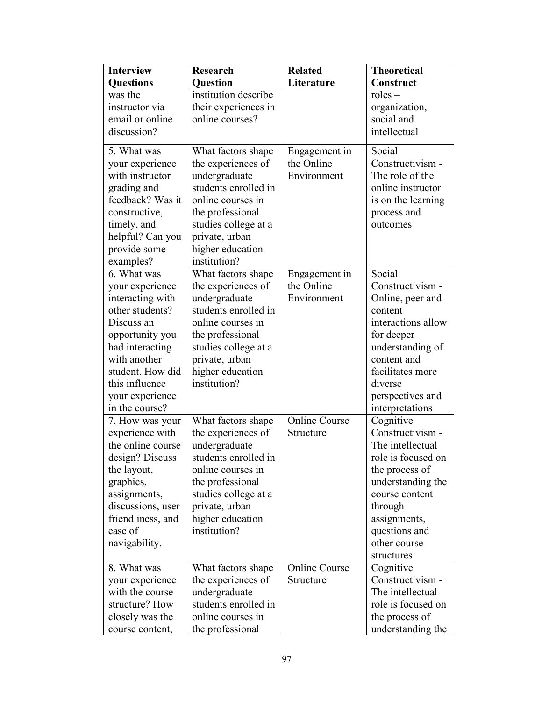| <b>Interview</b>                   | <b>Research</b>                              | <b>Related</b>       | <b>Theoretical</b>                   |
|------------------------------------|----------------------------------------------|----------------------|--------------------------------------|
| <b>Questions</b>                   | <b>Question</b>                              | Literature           | Construct                            |
| was the<br>instructor via          | institution describe<br>their experiences in |                      | $roles -$<br>organization,           |
| email or online                    | online courses?                              |                      | social and                           |
| discussion?                        |                                              |                      | intellectual                         |
|                                    |                                              |                      |                                      |
| 5. What was                        | What factors shape                           | Engagement in        | Social                               |
| your experience                    | the experiences of                           | the Online           | Constructivism -                     |
| with instructor                    | undergraduate<br>students enrolled in        | Environment          | The role of the<br>online instructor |
| grading and<br>feedback? Was it    | online courses in                            |                      | is on the learning                   |
| constructive,                      | the professional                             |                      | process and                          |
| timely, and                        | studies college at a                         |                      | outcomes                             |
| helpful? Can you                   | private, urban                               |                      |                                      |
| provide some                       | higher education                             |                      |                                      |
| examples?                          | institution?                                 |                      |                                      |
| 6. What was                        | What factors shape                           | Engagement in        | Social                               |
| your experience                    | the experiences of                           | the Online           | Constructivism -                     |
| interacting with                   | undergraduate                                | Environment          | Online, peer and                     |
| other students?                    | students enrolled in                         |                      | content                              |
| Discuss an                         | online courses in                            |                      | interactions allow                   |
| opportunity you                    | the professional                             |                      | for deeper                           |
| had interacting                    | studies college at a                         |                      | understanding of                     |
| with another                       | private, urban                               |                      | content and                          |
| student. How did                   | higher education                             |                      | facilitates more                     |
| this influence                     | institution?                                 |                      | diverse                              |
| your experience<br>in the course?  |                                              |                      | perspectives and                     |
|                                    |                                              | <b>Online Course</b> | interpretations<br>Cognitive         |
| 7. How was your<br>experience with | What factors shape<br>the experiences of     | Structure            | Constructivism -                     |
| the online course                  | undergraduate                                |                      | The intellectual                     |
| design? Discuss                    | students enrolled in                         |                      | role is focused on                   |
| the layout,                        | online courses in                            |                      | the process of                       |
| graphics,                          | the professional                             |                      | understanding the                    |
| assignments,                       | studies college at a                         |                      | course content                       |
| discussions, user                  | private, urban                               |                      | through                              |
| friendliness, and                  | higher education                             |                      | assignments,                         |
| ease of                            | institution?                                 |                      | questions and                        |
| navigability.                      |                                              |                      | other course                         |
|                                    |                                              |                      | structures                           |
| 8. What was                        | What factors shape                           | <b>Online Course</b> | Cognitive                            |
| your experience                    | the experiences of                           | Structure            | Constructivism -                     |
| with the course                    | undergraduate                                |                      | The intellectual                     |
| structure? How                     | students enrolled in                         |                      | role is focused on                   |
| closely was the                    | online courses in                            |                      | the process of                       |
| course content,                    | the professional                             |                      | understanding the                    |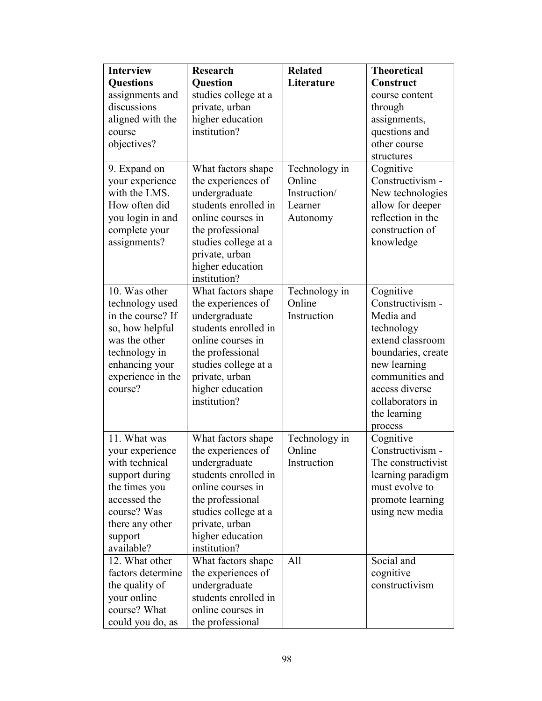| <b>Interview</b>                                                                                                                                                | <b>Research</b>                                                                                                                                                                                          | <b>Related</b>                                                 | <b>Theoretical</b>                                                                                                                                                                                     |
|-----------------------------------------------------------------------------------------------------------------------------------------------------------------|----------------------------------------------------------------------------------------------------------------------------------------------------------------------------------------------------------|----------------------------------------------------------------|--------------------------------------------------------------------------------------------------------------------------------------------------------------------------------------------------------|
| <b>Questions</b>                                                                                                                                                | <b>Question</b>                                                                                                                                                                                          | Literature                                                     | Construct                                                                                                                                                                                              |
| assignments and<br>discussions<br>aligned with the<br>course<br>objectives?                                                                                     | studies college at a<br>private, urban<br>higher education<br>institution?                                                                                                                               |                                                                | course content<br>through<br>assignments,<br>questions and<br>other course<br>structures                                                                                                               |
| 9. Expand on<br>your experience<br>with the LMS.<br>How often did<br>you login in and<br>complete your<br>assignments?                                          | What factors shape<br>the experiences of<br>undergraduate<br>students enrolled in<br>online courses in<br>the professional<br>studies college at a<br>private, urban<br>higher education<br>institution? | Technology in<br>Online<br>Instruction/<br>Learner<br>Autonomy | Cognitive<br>Constructivism -<br>New technologies<br>allow for deeper<br>reflection in the<br>construction of<br>knowledge                                                                             |
| 10. Was other<br>technology used<br>in the course? If<br>so, how helpful<br>was the other<br>technology in<br>enhancing your<br>experience in the<br>course?    | What factors shape<br>the experiences of<br>undergraduate<br>students enrolled in<br>online courses in<br>the professional<br>studies college at a<br>private, urban<br>higher education<br>institution? | Technology in<br>Online<br>Instruction                         | Cognitive<br>Constructivism -<br>Media and<br>technology<br>extend classroom<br>boundaries, create<br>new learning<br>communities and<br>access diverse<br>collaborators in<br>the learning<br>process |
| 11. What was<br>your experience<br>with technical<br>support during<br>the times you<br>accessed the<br>course? Was<br>there any other<br>support<br>available? | What factors shape<br>the experiences of<br>undergraduate<br>students enrolled in<br>online courses in<br>the professional<br>studies college at a<br>private, urban<br>higher education<br>institution? | Technology in<br>Online<br>Instruction                         | Cognitive<br>Constructivism -<br>The constructivist<br>learning paradigm<br>must evolve to<br>promote learning<br>using new media                                                                      |
| 12. What other<br>factors determine<br>the quality of<br>your online<br>course? What<br>could you do, as                                                        | What factors shape<br>the experiences of<br>undergraduate<br>students enrolled in<br>online courses in<br>the professional                                                                               | All                                                            | Social and<br>cognitive<br>constructivism                                                                                                                                                              |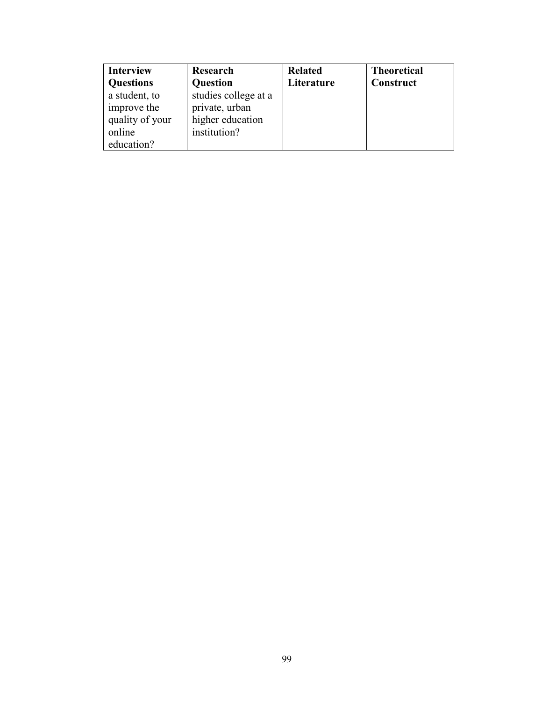| <b>Interview</b> | Research             | <b>Related</b> | <b>Theoretical</b> |
|------------------|----------------------|----------------|--------------------|
| <b>Questions</b> | <b>Question</b>      | Literature     | Construct          |
| a student, to    | studies college at a |                |                    |
| improve the      | private, urban       |                |                    |
| quality of your  | higher education     |                |                    |
| online           | institution?         |                |                    |
| education?       |                      |                |                    |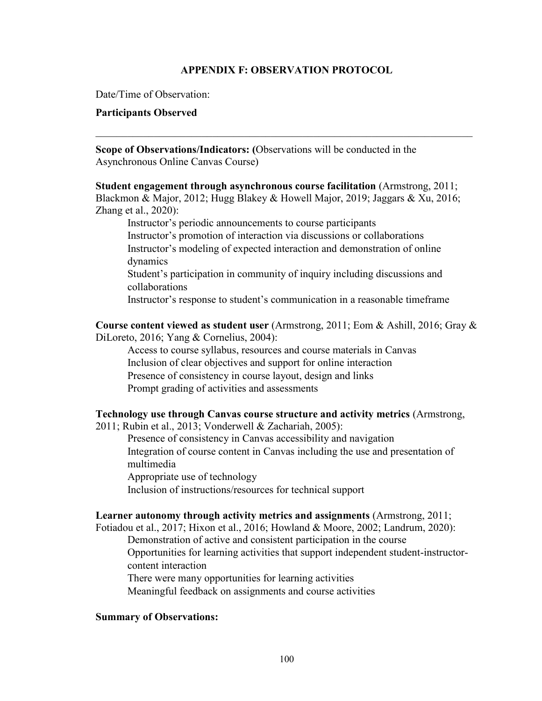### **APPENDIX F: OBSERVATION PROTOCOL**

\_\_\_\_\_\_\_\_\_\_\_\_\_\_\_\_\_\_\_\_\_\_\_\_\_\_\_\_\_\_\_\_\_\_\_\_\_\_\_\_\_\_\_\_\_\_\_\_\_\_\_\_\_\_\_\_\_\_\_\_\_\_\_\_\_\_\_\_\_\_\_

Date/Time of Observation:

### **Participants Observed**

**Scope of Observations/Indicators: (**Observations will be conducted in the Asynchronous Online Canvas Course)

**Student engagement through asynchronous course facilitation** (Armstrong, 2011; Blackmon & Major, 2012; Hugg Blakey & Howell Major, 2019; Jaggars & Xu, 2016; Zhang et al., 2020):

Instructor's periodic announcements to course participants

Instructor's promotion of interaction via discussions or collaborations Instructor's modeling of expected interaction and demonstration of online dynamics

Student's participation in community of inquiry including discussions and collaborations

Instructor's response to student's communication in a reasonable timeframe

**Course content viewed as student user** (Armstrong, 2011; Eom & Ashill, 2016; Gray & DiLoreto, 2016; Yang & Cornelius, 2004):

Access to course syllabus, resources and course materials in Canvas Inclusion of clear objectives and support for online interaction Presence of consistency in course layout, design and links Prompt grading of activities and assessments

# **Technology use through Canvas course structure and activity metrics** (Armstrong,

2011; Rubin et al., 2013; Vonderwell & Zachariah, 2005):

Presence of consistency in Canvas accessibility and navigation Integration of course content in Canvas including the use and presentation of multimedia

Appropriate use of technology Inclusion of instructions/resources for technical support

### **Learner autonomy through activity metrics and assignments** (Armstrong, 2011;

Fotiadou et al., 2017; Hixon et al., 2016; Howland & Moore, 2002; Landrum, 2020):

Demonstration of active and consistent participation in the course Opportunities for learning activities that support independent student-instructor-

content interaction

There were many opportunities for learning activities

Meaningful feedback on assignments and course activities

### **Summary of Observations:**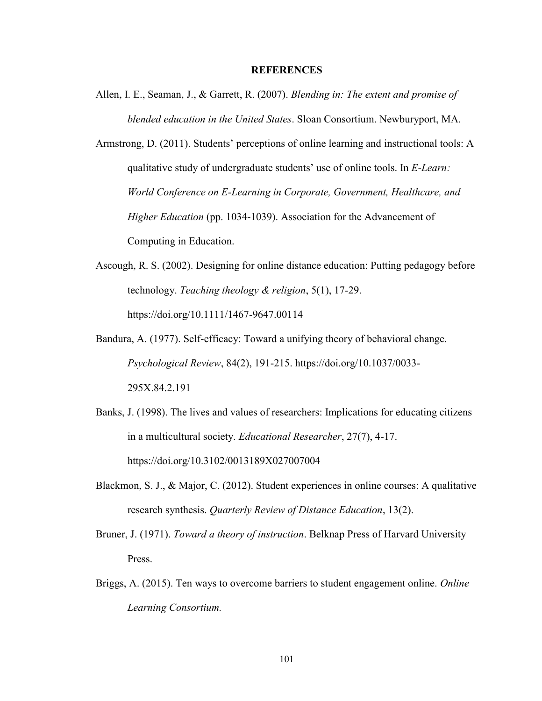#### **REFERENCES**

- Allen, I. E., Seaman, J., & Garrett, R. (2007). *Blending in: The extent and promise of blended education in the United States*. Sloan Consortium. Newburyport, MA.
- Armstrong, D. (2011). Students' perceptions of online learning and instructional tools: A qualitative study of undergraduate students' use of online tools. In *E-Learn: World Conference on E-Learning in Corporate, Government, Healthcare, and Higher Education* (pp. 1034-1039). Association for the Advancement of Computing in Education.
- Ascough, R. S. (2002). Designing for online distance education: Putting pedagogy before technology. *Teaching theology & religion*, 5(1), 17-29. https://doi.org/10.1111/1467-9647.00114
- Bandura, A. (1977). Self-efficacy: Toward a unifying theory of behavioral change. *Psychological Review*, 84(2), 191-215. [https://doi.org/10.1037/0033-](https://doi.org/10.1037/0033-295X.84.2.191) [295X.84.2.191](https://doi.org/10.1037/0033-295X.84.2.191)
- Banks, J. (1998). The lives and values of researchers: Implications for educating citizens in a multicultural society. *Educational Researcher*, 27(7), 4-17. <https://doi.org/10.3102/0013189X027007004>
- Blackmon, S. J., & Major, C. (2012). Student experiences in online courses: A qualitative research synthesis. *Quarterly Review of Distance Education*, 13(2).
- Bruner, J. (1971). *Toward a theory of instruction*. Belknap Press of Harvard University Press.
- Briggs, A. (2015). Ten ways to overcome barriers to student engagement online. *Online Learning Consortium.*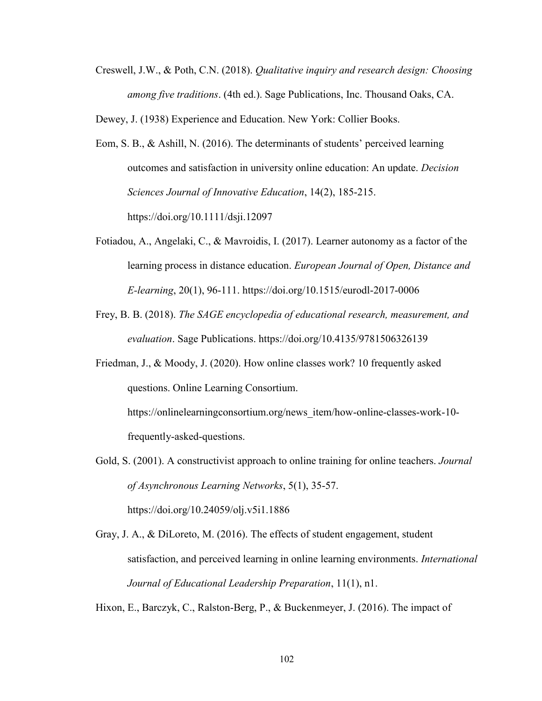Creswell, J.W., & Poth, C.N. (2018). *Qualitative inquiry and research design: Choosing among five traditions*. (4th ed.). Sage Publications, Inc. Thousand Oaks, CA.

Dewey, J. (1938) Experience and Education. New York: Collier Books.

- Eom, S. B., & Ashill, N. (2016). The determinants of students' perceived learning outcomes and satisfaction in university online education: An update. *Decision Sciences Journal of Innovative Education*, 14(2), 185-215. https://doi.org/10.1111/dsji.12097
- Fotiadou, A., Angelaki, C., & Mavroidis, I. (2017). Learner autonomy as a factor of the learning process in distance education. *European Journal of Open, Distance and E-learning*, 20(1), 96-111. https://doi.org/10.1515/eurodl-2017-0006
- Frey, B. B. (2018). *The SAGE encyclopedia of educational research, measurement, and evaluation*. Sage Publications. https://doi.org/10.4135/9781506326139
- Friedman, J., & Moody, J. (2020). How online classes work? 10 frequently asked questions. Online Learning Consortium.

https://onlinelearningconsortium.org/news\_item/how-online-classes-work-10 frequently-asked-questions.

- Gold, S. (2001). A constructivist approach to online training for online teachers. *Journal of Asynchronous Learning Networks*, 5(1), 35-57. https://doi.org/10.24059/olj.v5i1.1886
- Gray, J. A., & DiLoreto, M. (2016). The effects of student engagement, student satisfaction, and perceived learning in online learning environments. *International Journal of Educational Leadership Preparation*, 11(1), n1.

Hixon, E., Barczyk, C., Ralston-Berg, P., & Buckenmeyer, J. (2016). The impact of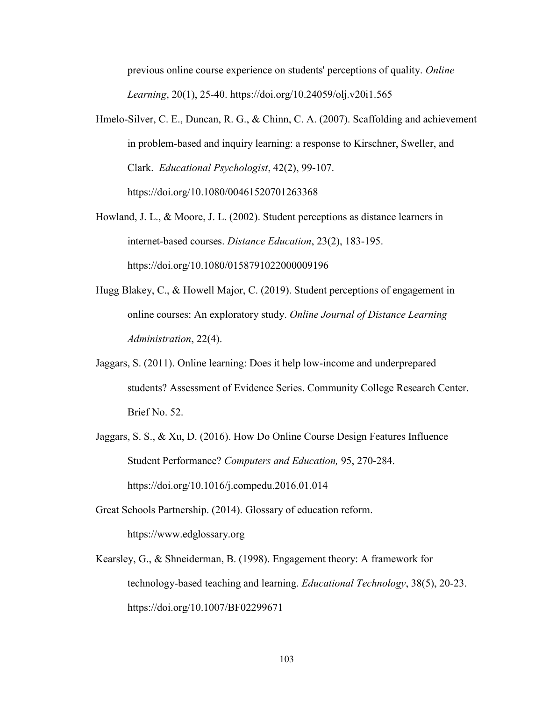previous online course experience on students' perceptions of quality. *Online Learning*, 20(1), 25-40. https://doi.org/10.24059/olj.v20i1.565

- Hmelo-Silver, C. E., Duncan, R. G., & Chinn, C. A. (2007). Scaffolding and achievement in problem-based and inquiry learning: a response to Kirschner, Sweller, and Clark. *Educational Psychologist*, 42(2), 99-107. https://doi.org/10.1080/00461520701263368
- Howland, J. L., & Moore, J. L. (2002). Student perceptions as distance learners in internet-based courses. *Distance Education*, 23(2), 183-195. https://doi.org/10.1080/0158791022000009196
- Hugg Blakey, C., & Howell Major, C. (2019). Student perceptions of engagement in online courses: An exploratory study. *Online Journal of Distance Learning Administration*, 22(4).
- Jaggars, S. (2011). Online learning: Does it help low-income and underprepared students? Assessment of Evidence Series. Community College Research Center. Brief No. 52.
- Jaggars, S. S., & Xu, D. (2016). How Do Online Course Design Features Influence Student Performance? *Computers and Education,* 95, 270-284. https://doi.org/10.1016/j.compedu.2016.01.014
- Great Schools Partnership. (2014). Glossary of education reform. https://www.edglossary.org
- Kearsley, G., & Shneiderman, B. (1998). Engagement theory: A framework for technology-based teaching and learning. *Educational Technology*, 38(5), 20-23. https://doi.org/10.1007/BF02299671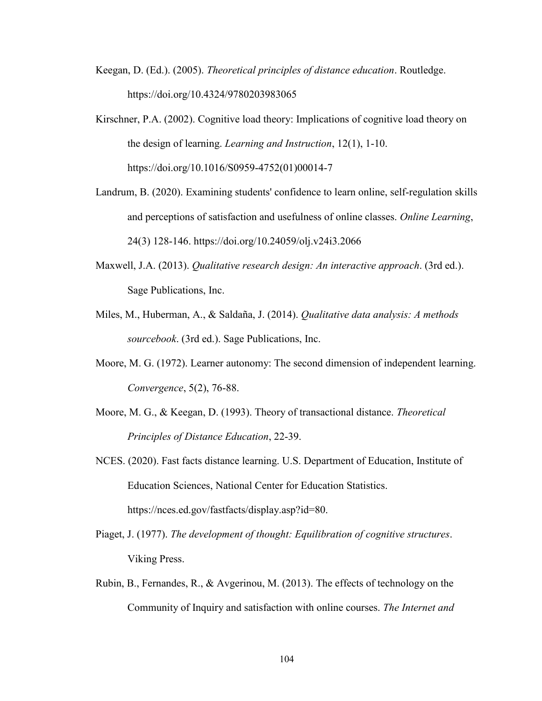- Keegan, D. (Ed.). (2005). *Theoretical principles of distance education*. Routledge. https://doi.org/10.4324/9780203983065
- Kirschner, P.A. (2002). Cognitive load theory: Implications of cognitive load theory on the design of learning. *Learning and Instruction*, 12(1), 1-10. https://doi.org/10.1016/S0959-4752(01)00014-7
- Landrum, B. (2020). Examining students' confidence to learn online, self-regulation skills and perceptions of satisfaction and usefulness of online classes. *Online Learning*, 24(3) 128-146. https://doi.org/10.24059/olj.v24i3.2066
- Maxwell, J.A. (2013). *Qualitative research design: An interactive approach*. (3rd ed.). Sage Publications, Inc.
- Miles, M., Huberman, A., & Saldaña, J. (2014). *Qualitative data analysis: A methods sourcebook*. (3rd ed.). Sage Publications, Inc.
- Moore, M. G. (1972). Learner autonomy: The second dimension of independent learning. *Convergence*, 5(2), 76-88.
- Moore, M. G., & Keegan, D. (1993). Theory of transactional distance. *Theoretical Principles of Distance Education*, 22-39.
- NCES. (2020). Fast facts distance learning. U.S. Department of Education, Institute of Education Sciences, National Center for Education Statistics. https://nces.ed.gov/fastfacts/display.asp?id=80.
- Piaget, J. (1977). *The development of thought: Equilibration of cognitive structures*. Viking Press.
- Rubin, B., Fernandes, R., & Avgerinou, M. (2013). The effects of technology on the Community of Inquiry and satisfaction with online courses. *The Internet and*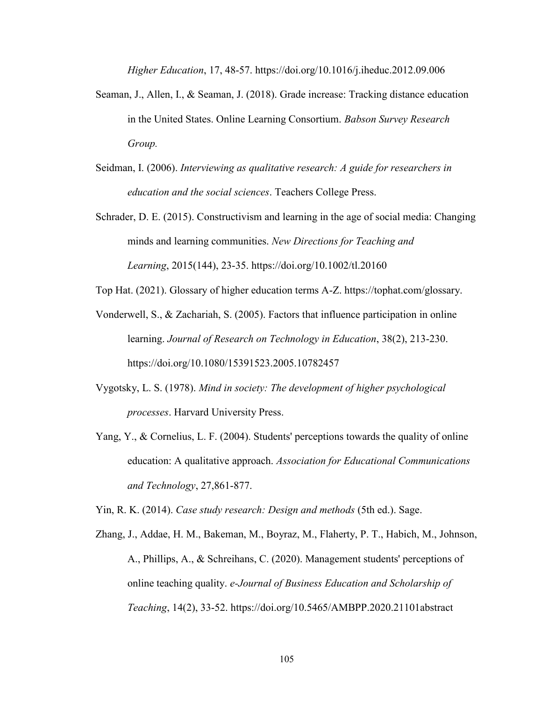*Higher Education*, 17, 48-57. https://doi.org/10.1016/j.iheduc.2012.09.006

- Seaman, J., Allen, I., & Seaman, J. (2018). Grade increase: Tracking distance education in the United States. Online Learning Consortium. *Babson Survey Research Group.*
- Seidman, I. (2006). *Interviewing as qualitative research: A guide for researchers in education and the social sciences*. Teachers College Press.
- Schrader, D. E. (2015). Constructivism and learning in the age of social media: Changing minds and learning communities. *New Directions for Teaching and Learning*, 2015(144), 23-35. https://doi.org/10.1002/tl.20160

Top Hat. (2021). Glossary of higher education terms A-Z. https://tophat.com/glossary.

- Vonderwell, S., & Zachariah, S. (2005). Factors that influence participation in online learning. *Journal of Research on Technology in Education*, 38(2), 213-230. https://doi.org/10.1080/15391523.2005.10782457
- Vygotsky, L. S. (1978). *Mind in society: The development of higher psychological processes*. Harvard University Press.
- Yang, Y., & Cornelius, L. F. (2004). Students' perceptions towards the quality of online education: A qualitative approach. *Association for Educational Communications and Technology*, 27,861-877.

Yin, R. K. (2014). *Case study research: Design and methods* (5th ed.). Sage.

Zhang, J., Addae, H. M., Bakeman, M., Boyraz, M., Flaherty, P. T., Habich, M., Johnson, A., Phillips, A., & Schreihans, C. (2020). Management students' perceptions of online teaching quality. *e-Journal of Business Education and Scholarship of Teaching*, 14(2), 33-52. https://doi.org/10.5465/AMBPP.2020.21101abstract